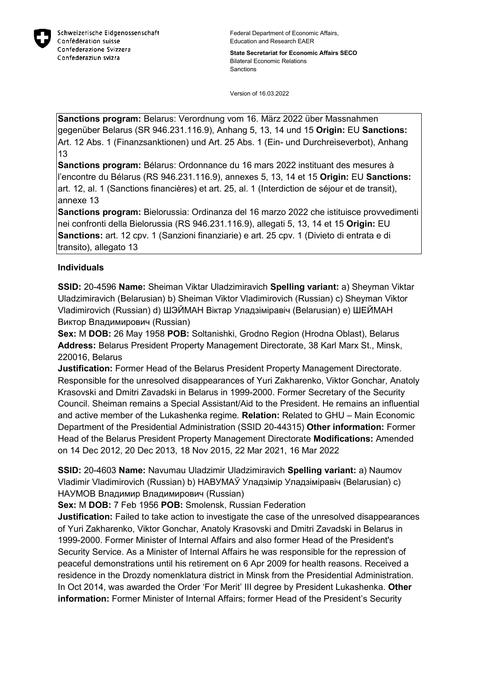

**State Secretariat for Economic Affairs SECO** Bilateral Economic Relations Sanctions

Version of 16.03.2022

**Sanctions program:** Belarus: Verordnung vom 16. März 2022 über Massnahmen gegenüber Belarus (SR 946.231.116.9), Anhang 5, 13, 14 und 15 **Origin:** EU **Sanctions:** Art. 12 Abs. 1 (Finanzsanktionen) und Art. 25 Abs. 1 (Ein- und Durchreiseverbot), Anhang 13

**Sanctions program:** Bélarus: Ordonnance du 16 mars 2022 instituant des mesures à l'encontre du Bélarus (RS 946.231.116.9), annexes 5, 13, 14 et 15 **Origin:** EU **Sanctions:** art. 12, al. 1 (Sanctions financières) et art. 25, al. 1 (Interdiction de séjour et de transit), annexe 13

**Sanctions program:** Bielorussia: Ordinanza del 16 marzo 2022 che istituisce provvedimenti nei confronti della Bielorussia (RS 946.231.116.9), allegati 5, 13, 14 et 15 **Origin:** EU **Sanctions:** art. 12 cpv. 1 (Sanzioni finanziarie) e art. 25 cpv. 1 (Divieto di entrata e di transito), allegato 13

### **Individuals**

**SSID:** 20-4596 **Name:** Sheiman Viktar Uladzimiravich **Spelling variant:** a) Sheyman Viktar Uladzimiravich (Belarusian) b) Sheiman Viktor Vladimirovich (Russian) c) Sheyman Viktor Vladimirovich (Russian) d) ШЭЙМАН Віктар Уладзіміравіч (Belarusian) e) ШЕЙМАН Виктор Владимирович (Russian)

**Sex:** M **DOB:** 26 May 1958 **POB:** Soltanishki, Grodno Region (Hrodna Oblast), Belarus **Address:** Belarus President Property Management Directorate, 38 Karl Marx St., Minsk, 220016, Belarus

**Justification:** Former Head of the Belarus President Property Management Directorate. Responsible for the unresolved disappearances of Yuri Zakharenko, Viktor Gonchar, Anatoly Krasovski and Dmitri Zavadski in Belarus in 1999-2000. Former Secretary of the Security Council. Sheiman remains a Special Assistant/Aid to the President. He remains an influential and active member of the Lukashenka regime. **Relation:** Related to GHU – Main Economic Department of the Presidential Administration (SSID 20-44315) **Other information:** Former Head of the Belarus President Property Management Directorate **Modifications:** Amended on 14 Dec 2012, 20 Dec 2013, 18 Nov 2015, 22 Mar 2021, 16 Mar 2022

**SSID:** 20-4603 **Name:** Navumau Uladzimir Uladzimiravich **Spelling variant:** a) Naumov Vladimir Vladimirovich (Russian) b) НАВУМАЎ Уладзімір Уладзіміравіч (Belarusian) c) НАУМОВ Владимир Владимирович (Russian)

**Sex:** M **DOB:** 7 Feb 1956 **POB:** Smolensk, Russian Federation

**Justification:** Failed to take action to investigate the case of the unresolved disappearances of Yuri Zakharenko, Viktor Gonchar, Anatoly Krasovski and Dmitri Zavadski in Belarus in 1999-2000. Former Minister of Internal Affairs and also former Head of the President's Security Service. As a Minister of Internal Affairs he was responsible for the repression of peaceful demonstrations until his retirement on 6 Apr 2009 for health reasons. Received a residence in the Drozdy nomenklatura district in Minsk from the Presidential Administration. In Oct 2014, was awarded the Order 'For Merit' III degree by President Lukashenka. **Other information:** Former Minister of Internal Affairs; former Head of the President's Security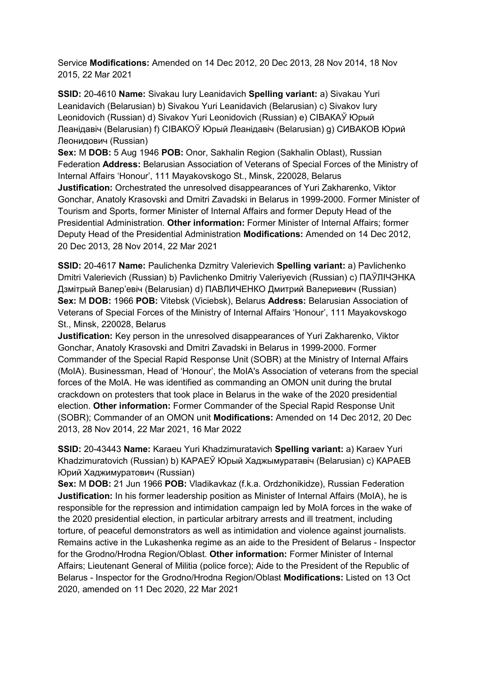Service **Modifications:** Amended on 14 Dec 2012, 20 Dec 2013, 28 Nov 2014, 18 Nov 2015, 22 Mar 2021

**SSID:** 20-4610 **Name:** Sivakau Iury Leanidavich **Spelling variant:** a) Sivakau Yuri Leanidavich (Belarusian) b) Sivakou Yuri Leanidavich (Belarusian) c) Sivakov Iury Leonidovich (Russian) d) Sivakov Yuri Leonidovich (Russian) e) СIВАКАЎ Юрый Леанiдавiч (Belarusian) f) СIВАКОЎ Юрый Леанiдавiч (Belarusian) g) СИВАКОВ Юрий Леонидович (Russian)

**Sex:** M **DOB:** 5 Aug 1946 **POB:** Onor, Sakhalin Region (Sakhalin Oblast), Russian Federation **Address:** Belarusian Association of Veterans of Special Forces of the Ministry of Internal Affairs 'Honour', 111 Mayakovskogo St., Minsk, 220028, Belarus **Justification:** Orchestrated the unresolved disappearances of Yuri Zakharenko, Viktor Gonchar, Anatoly Krasovski and Dmitri Zavadski in Belarus in 1999-2000. Former Minister of Tourism and Sports, former Minister of Internal Affairs and former Deputy Head of the Presidential Administration. **Other information:** Former Minister of Internal Affairs; former Deputy Head of the Presidential Administration **Modifications:** Amended on 14 Dec 2012, 20 Dec 2013, 28 Nov 2014, 22 Mar 2021

**SSID:** 20-4617 **Name:** Paulichenka Dzmitry Valerievich **Spelling variant:** a) Pavlichenko Dmitri Valerievich (Russian) b) Pavlichenko Dmitriy Valeriyevich (Russian) c) ПАЎЛIЧЭНКА Дзмiтрый Валер'евіч (Belarusian) d) ПАВЛИЧЕНКО Дмитрий Валериевич (Russian) **Sex:** M **DOB:** 1966 **POB:** Vitebsk (Viciebsk), Belarus **Address:** Belarusian Association of Veterans of Special Forces of the Ministry of Internal Affairs 'Honour', 111 Mayakovskogo St., Minsk, 220028, Belarus

**Justification:** Key person in the unresolved disappearances of Yuri Zakharenko, Viktor Gonchar, Anatoly Krasovski and Dmitri Zavadski in Belarus in 1999-2000. Former Commander of the Special Rapid Response Unit (SOBR) at the Ministry of Internal Affairs (MoIA). Businessman, Head of 'Honour', the MoIA's Association of veterans from the special forces of the MoIA. He was identified as commanding an OMON unit during the brutal crackdown on protesters that took place in Belarus in the wake of the 2020 presidential election. **Other information:** Former Commander of the Special Rapid Response Unit (SOBR); Commander of an OMON unit **Modifications:** Amended on 14 Dec 2012, 20 Dec 2013, 28 Nov 2014, 22 Mar 2021, 16 Mar 2022

**SSID:** 20-43443 **Name:** Karaeu Yuri Khadzimuratavich **Spelling variant:** a) Karaev Yuri Khadzimuratovich (Russian) b) КАРАЕЎ Юрый Хаджымуратавiч (Belarusian) c) КАРАЕВ Юрий Хаджимуратович (Russian)

**Sex:** M **DOB:** 21 Jun 1966 **POB:** Vladikavkaz (f.k.a. Ordzhonikidze), Russian Federation **Justification:** In his former leadership position as Minister of Internal Affairs (MoIA), he is responsible for the repression and intimidation campaign led by MoIA forces in the wake of the 2020 presidential election, in particular arbitrary arrests and ill treatment, including torture, of peaceful demonstrators as well as intimidation and violence against journalists. Remains active in the Lukashenka regime as an aide to the President of Belarus - Inspector for the Grodno/Hrodna Region/Oblast. **Other information:** Former Minister of Internal Affairs; Lieutenant General of Militia (police force); Aide to the President of the Republic of Belarus - Inspector for the Grodno/Hrodna Region/Oblast **Modifications:** Listed on 13 Oct 2020, amended on 11 Dec 2020, 22 Mar 2021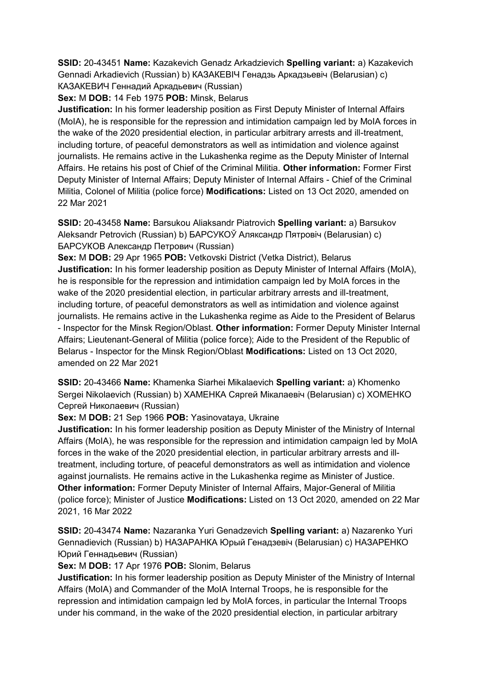**SSID:** 20-43451 **Name:** Kazakevich Genadz Arkadzievich **Spelling variant:** a) Kazakevich Gennadi Arkadievich (Russian) b) КАЗАКЕВIЧ Генадзь Аркадзьевiч (Belarusian) c) КАЗАКЕВИЧ Геннадий Аркадьевич (Russian)

**Sex:** M **DOB:** 14 Feb 1975 **POB:** Minsk, Belarus

**Justification:** In his former leadership position as First Deputy Minister of Internal Affairs (MoIA), he is responsible for the repression and intimidation campaign led by MoIA forces in the wake of the 2020 presidential election, in particular arbitrary arrests and ill-treatment, including torture, of peaceful demonstrators as well as intimidation and violence against journalists. He remains active in the Lukashenka regime as the Deputy Minister of Internal Affairs. He retains his post of Chief of the Criminal Militia. **Other information:** Former First Deputy Minister of Internal Affairs; Deputy Minister of Internal Affairs - Chief of the Criminal Militia, Colonel of Militia (police force) **Modifications:** Listed on 13 Oct 2020, amended on 22 Mar 2021

**SSID:** 20-43458 **Name:** Barsukou Aliaksandr Piatrovich **Spelling variant:** a) Barsukov Aleksandr Petrovich (Russian) b) БАРСУКОЎ Аляксандр Пятровiч (Belarusian) c) БАРСУКОВ Александр Петрович (Russian)

**Sex:** M **DOB:** 29 Apr 1965 **POB:** Vetkovski District (Vetka District), Belarus **Justification:** In his former leadership position as Deputy Minister of Internal Affairs (MoIA), he is responsible for the repression and intimidation campaign led by MoIA forces in the wake of the 2020 presidential election, in particular arbitrary arrests and ill-treatment, including torture, of peaceful demonstrators as well as intimidation and violence against journalists. He remains active in the Lukashenka regime as Aide to the President of Belarus - Inspector for the Minsk Region/Oblast. **Other information:** Former Deputy Minister Internal Affairs; Lieutenant-General of Militia (police force); Aide to the President of the Republic of Belarus - Inspector for the Minsk Region/Oblast **Modifications:** Listed on 13 Oct 2020, amended on 22 Mar 2021

**SSID:** 20-43466 **Name:** Khamenka Siarhei Mikalaevich **Spelling variant:** a) Khomenko Sergei Nikolaevich (Russian) b) ХАМЕНКА Сяргей Мiкалаевiч (Belarusian) c) ХОМЕНКО Сергей Николаевич (Russian)

**Sex:** M **DOB:** 21 Sep 1966 **POB:** Yasinovataya, Ukraine

**Justification:** In his former leadership position as Deputy Minister of the Ministry of Internal Affairs (MoIA), he was responsible for the repression and intimidation campaign led by MoIA forces in the wake of the 2020 presidential election, in particular arbitrary arrests and illtreatment, including torture, of peaceful demonstrators as well as intimidation and violence against journalists. He remains active in the Lukashenka regime as Minister of Justice. **Other information:** Former Deputy Minister of Internal Affairs, Major-General of Militia (police force); Minister of Justice **Modifications:** Listed on 13 Oct 2020, amended on 22 Mar 2021, 16 Mar 2022

**SSID:** 20-43474 **Name:** Nazaranka Yuri Genadzevich **Spelling variant:** a) Nazarenko Yuri Gennadievich (Russian) b) НАЗАРАНКА Юрый Генадзевiч (Belarusian) c) НАЗАРЕНКО Юрий Геннадьевич (Russian)

**Sex:** M **DOB:** 17 Apr 1976 **POB:** Slonim, Belarus

**Justification:** In his former leadership position as Deputy Minister of the Ministry of Internal Affairs (MoIA) and Commander of the MoIA Internal Troops, he is responsible for the repression and intimidation campaign led by MoIA forces, in particular the Internal Troops under his command, in the wake of the 2020 presidential election, in particular arbitrary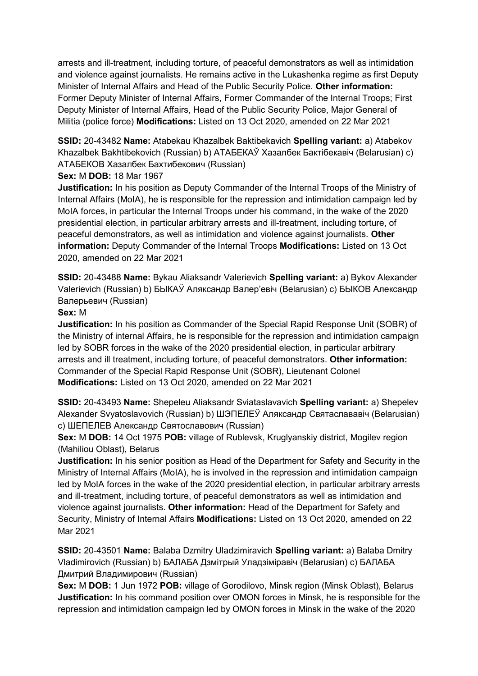arrests and ill-treatment, including torture, of peaceful demonstrators as well as intimidation and violence against journalists. He remains active in the Lukashenka regime as first Deputy Minister of Internal Affairs and Head of the Public Security Police. **Other information:** Former Deputy Minister of Internal Affairs, Former Commander of the Internal Troops; First Deputy Minister of Internal Affairs, Head of the Public Security Police, Major General of Militia (police force) **Modifications:** Listed on 13 Oct 2020, amended on 22 Mar 2021

**SSID:** 20-43482 **Name:** Atabekau Khazalbek Baktibekavich **Spelling variant:** a) Atabekov Khazalbek Bakhtibekovich (Russian) b) АТАБЕКАЎ Хазалбек Бактiбекавiч (Belarusian) c) АТАБЕКОВ Хазалбек Бахтибекович (Russian)

## **Sex:** M **DOB:** 18 Mar 1967

**Justification:** In his position as Deputy Commander of the Internal Troops of the Ministry of Internal Affairs (MoIA), he is responsible for the repression and intimidation campaign led by MoIA forces, in particular the Internal Troops under his command, in the wake of the 2020 presidential election, in particular arbitrary arrests and ill-treatment, including torture, of peaceful demonstrators, as well as intimidation and violence against journalists. **Other information:** Deputy Commander of the Internal Troops **Modifications:** Listed on 13 Oct 2020, amended on 22 Mar 2021

**SSID:** 20-43488 **Name:** Bykau Aliaksandr Valerievich **Spelling variant:** a) Bykov Alexander Valerievich (Russian) b) БЫКАЎ Аляксандр Валер'евiч (Belarusian) c) БЫКОВ Александр Валерьевич (Russian)

### **Sex:** M

**Justification:** In his position as Commander of the Special Rapid Response Unit (SOBR) of the Ministry of internal Affairs, he is responsible for the repression and intimidation campaign led by SOBR forces in the wake of the 2020 presidential election, in particular arbitrary arrests and ill treatment, including torture, of peaceful demonstrators. **Other information:** Commander of the Special Rapid Response Unit (SOBR), Lieutenant Colonel **Modifications:** Listed on 13 Oct 2020, amended on 22 Mar 2021

**SSID:** 20-43493 **Name:** Shepeleu Aliaksandr Sviataslavavich **Spelling variant:** a) Shepelev Alexander Svyatoslavovich (Russian) b) ШЭПЕЛЕЎ Аляксандр Святаслававiч (Belarusian) c) ШЕПЕЛЕВ Александр Святославович (Russian)

**Sex:** M **DOB:** 14 Oct 1975 **POB:** village of Rublevsk, Kruglyanskiy district, Mogilev region (Mahiliou Oblast), Belarus

**Justification:** In his senior position as Head of the Department for Safety and Security in the Ministry of Internal Affairs (MoIA), he is involved in the repression and intimidation campaign led by MoIA forces in the wake of the 2020 presidential election, in particular arbitrary arrests and ill-treatment, including torture, of peaceful demonstrators as well as intimidation and violence against journalists. **Other information:** Head of the Department for Safety and Security, Ministry of Internal Affairs **Modifications:** Listed on 13 Oct 2020, amended on 22 Mar 2021

**SSID:** 20-43501 **Name:** Balaba Dzmitry Uladzimiravich **Spelling variant:** a) Balaba Dmitry Vladimirovich (Russian) b) БАЛАБА Дзмiтрый Уладзiмiравiч (Belarusian) c) БАЛАБА Дмитрий Владимирович (Russian)

**Sex:** M **DOB:** 1 Jun 1972 **POB:** village of Gorodilovo, Minsk region (Minsk Oblast), Belarus **Justification:** In his command position over OMON forces in Minsk, he is responsible for the repression and intimidation campaign led by OMON forces in Minsk in the wake of the 2020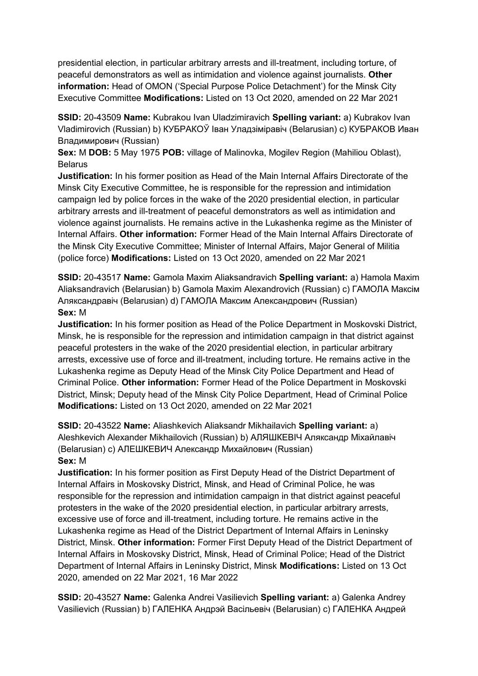presidential election, in particular arbitrary arrests and ill-treatment, including torture, of peaceful demonstrators as well as intimidation and violence against journalists. **Other information:** Head of OMON ('Special Purpose Police Detachment') for the Minsk City Executive Committee **Modifications:** Listed on 13 Oct 2020, amended on 22 Mar 2021

**SSID:** 20-43509 **Name:** Kubrakou Ivan Uladzimiravich **Spelling variant:** a) Kubrakov Ivan Vladimirovich (Russian) b) КУБРАКОЎ Iван Уладзiмiравiч (Belarusian) c) КУБРАКОВ Иван Владимирович (Russian)

**Sex:** M **DOB:** 5 May 1975 **POB:** village of Malinovka, Mogilev Region (Mahiliou Oblast), **Belarus** 

**Justification:** In his former position as Head of the Main Internal Affairs Directorate of the Minsk City Executive Committee, he is responsible for the repression and intimidation campaign led by police forces in the wake of the 2020 presidential election, in particular arbitrary arrests and ill-treatment of peaceful demonstrators as well as intimidation and violence against journalists. He remains active in the Lukashenka regime as the Minister of Internal Affairs. **Other information:** Former Head of the Main Internal Affairs Directorate of the Minsk City Executive Committee; Minister of Internal Affairs, Major General of Militia (police force) **Modifications:** Listed on 13 Oct 2020, amended on 22 Mar 2021

**SSID:** 20-43517 **Name:** Gamola Maxim Aliaksandravich **Spelling variant:** a) Hamola Maxim Aliaksandravich (Belarusian) b) Gamola Maxim Alexandrovich (Russian) c) ГАМОЛА Максiм Аляксандравiч (Belarusian) d) ГАМОЛА Максим Александрович (Russian) **Sex:** M

**Justification:** In his former position as Head of the Police Department in Moskovski District, Minsk, he is responsible for the repression and intimidation campaign in that district against peaceful protesters in the wake of the 2020 presidential election, in particular arbitrary arrests, excessive use of force and ill-treatment, including torture. He remains active in the Lukashenka regime as Deputy Head of the Minsk City Police Department and Head of Criminal Police. **Other information:** Former Head of the Police Department in Moskovski District, Minsk; Deputy head of the Minsk City Police Department, Head of Criminal Police **Modifications:** Listed on 13 Oct 2020, amended on 22 Mar 2021

**SSID:** 20-43522 **Name:** Aliashkevich Aliaksandr Mikhailavich **Spelling variant:** a) Aleshkevich Alexander Mikhailovich (Russian) b) АЛЯШКЕВIЧ Аляксандр Мiхайлавiч (Belarusian) c) АЛЕШКЕВИЧ Александр Михайлович (Russian) **Sex:** M

**Justification:** In his former position as First Deputy Head of the District Department of Internal Affairs in Moskovsky District, Minsk, and Head of Criminal Police, he was responsible for the repression and intimidation campaign in that district against peaceful protesters in the wake of the 2020 presidential election, in particular arbitrary arrests, excessive use of force and ill-treatment, including torture. He remains active in the Lukashenka regime as Head of the District Department of Internal Affairs in Leninsky District, Minsk. **Other information:** Former First Deputy Head of the District Department of Internal Affairs in Moskovsky District, Minsk, Head of Criminal Police; Head of the District Department of Internal Affairs in Leninsky District, Minsk **Modifications:** Listed on 13 Oct 2020, amended on 22 Mar 2021, 16 Mar 2022

**SSID:** 20-43527 **Name:** Galenka Andrei Vasilievich **Spelling variant:** a) Galenka Andrey Vasilievich (Russian) b) ГАЛЕНКА Андрэй Васiльевiч (Belarusian) c) ГАЛЕНКА Андрей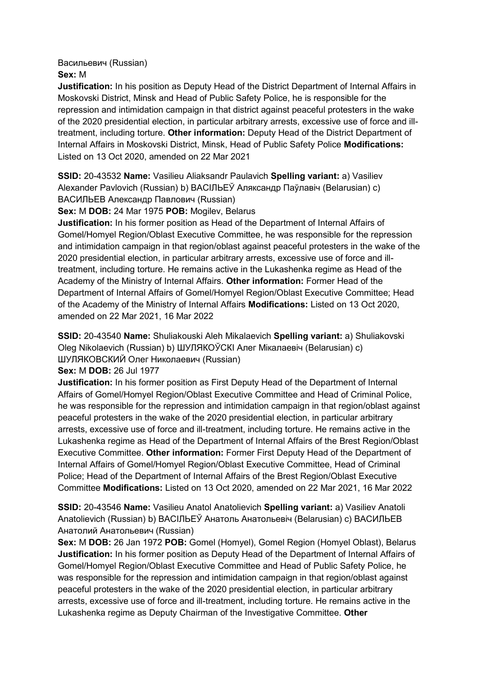Васильевич (Russian)

**Sex:** M

**Justification:** In his position as Deputy Head of the District Department of Internal Affairs in Moskovski District, Minsk and Head of Public Safety Police, he is responsible for the repression and intimidation campaign in that district against peaceful protesters in the wake of the 2020 presidential election, in particular arbitrary arrests, excessive use of force and illtreatment, including torture. **Other information:** Deputy Head of the District Department of Internal Affairs in Moskovski District, Minsk, Head of Public Safety Police **Modifications:**  Listed on 13 Oct 2020, amended on 22 Mar 2021

**SSID:** 20-43532 **Name:** Vasilieu Aliaksandr Paulavich **Spelling variant:** a) Vasiliev Alexander Pavlovich (Russian) b) ВАСIЛЬЕЎ Аляксандр Паўлавiч (Belarusian) c) ВАСИЛЬЕВ Александр Павлович (Russian)

**Sex:** M **DOB:** 24 Mar 1975 **POB:** Mogilev, Belarus

**Justification:** In his former position as Head of the Department of Internal Affairs of Gomel/Homyel Region/Oblast Executive Committee, he was responsible for the repression and intimidation campaign in that region/oblast against peaceful protesters in the wake of the 2020 presidential election, in particular arbitrary arrests, excessive use of force and illtreatment, including torture. He remains active in the Lukashenka regime as Head of the Academy of the Ministry of Internal Affairs. **Other information:** Former Head of the Department of Internal Affairs of Gomel/Homyel Region/Oblast Executive Committee; Head of the Academy of the Ministry of Internal Affairs **Modifications:** Listed on 13 Oct 2020, amended on 22 Mar 2021, 16 Mar 2022

**SSID:** 20-43540 **Name:** Shuliakouski Aleh Mikalaevich **Spelling variant:** a) Shuliakovski Oleg Nikolaevich (Russian) b) ШУЛЯКОЎСКI Алег Мiкалаевiч (Belarusian) c) ШУЛЯКОВСКИЙ Олег Николаевич (Russian)

**Sex:** M **DOB:** 26 Jul 1977

**Justification:** In his former position as First Deputy Head of the Department of Internal Affairs of Gomel/Homyel Region/Oblast Executive Committee and Head of Criminal Police, he was responsible for the repression and intimidation campaign in that region/oblast against peaceful protesters in the wake of the 2020 presidential election, in particular arbitrary arrests, excessive use of force and ill-treatment, including torture. He remains active in the Lukashenka regime as Head of the Department of Internal Affairs of the Brest Region/Oblast Executive Committee. **Other information:** Former First Deputy Head of the Department of Internal Affairs of Gomel/Homyel Region/Oblast Executive Committee, Head of Criminal Police; Head of the Department of Internal Affairs of the Brest Region/Oblast Executive Committee **Modifications:** Listed on 13 Oct 2020, amended on 22 Mar 2021, 16 Mar 2022

**SSID:** 20-43546 **Name:** Vasilieu Anatol Anatolievich **Spelling variant:** a) Vasiliev Anatoli Anatolievich (Russian) b) ВАСIЛЬЕЎ Анатоль Анатольевiч (Belarusian) c) ВАСИЛЬЕВ Анатолий Анатольевич (Russian)

**Sex:** M **DOB:** 26 Jan 1972 **POB:** Gomel (Homyel), Gomel Region (Homyel Oblast), Belarus **Justification:** In his former position as Deputy Head of the Department of Internal Affairs of Gomel/Homyel Region/Oblast Executive Committee and Head of Public Safety Police, he was responsible for the repression and intimidation campaign in that region/oblast against peaceful protesters in the wake of the 2020 presidential election, in particular arbitrary arrests, excessive use of force and ill-treatment, including torture. He remains active in the Lukashenka regime as Deputy Chairman of the Investigative Committee. **Other**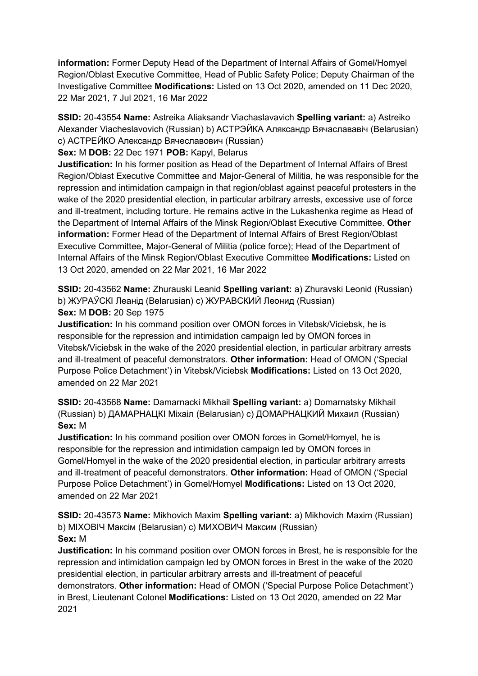**information:** Former Deputy Head of the Department of Internal Affairs of Gomel/Homyel Region/Oblast Executive Committee, Head of Public Safety Police; Deputy Chairman of the Investigative Committee **Modifications:** Listed on 13 Oct 2020, amended on 11 Dec 2020, 22 Mar 2021, 7 Jul 2021, 16 Mar 2022

**SSID:** 20-43554 **Name:** Astreika Aliaksandr Viachaslavavich **Spelling variant:** a) Astreiko Alexander Viacheslavovich (Russian) b) АСТРЭЙКА Аляксандр Вячаслававiч (Belarusian) c) АСТРЕЙКО Александр Вячеславович (Russian)

### **Sex:** M **DOB:** 22 Dec 1971 **POB:** Kapyl, Belarus

**Justification:** In his former position as Head of the Department of Internal Affairs of Brest Region/Oblast Executive Committee and Major-General of Militia, he was responsible for the repression and intimidation campaign in that region/oblast against peaceful protesters in the wake of the 2020 presidential election, in particular arbitrary arrests, excessive use of force and ill-treatment, including torture. He remains active in the Lukashenka regime as Head of the Department of Internal Affairs of the Minsk Region/Oblast Executive Committee. **Other information:** Former Head of the Department of Internal Affairs of Brest Region/Oblast Executive Committee, Major-General of Militia (police force); Head of the Department of Internal Affairs of the Minsk Region/Oblast Executive Committee **Modifications:** Listed on 13 Oct 2020, amended on 22 Mar 2021, 16 Mar 2022

**SSID:** 20-43562 **Name:** Zhurauski Leanid **Spelling variant:** a) Zhuravski Leonid (Russian) b) ЖУРАЎСКI Леанiд (Belarusian) c) ЖУРАВСКИЙ Леонид (Russian) **Sex:** M **DOB:** 20 Sep 1975

**Justification:** In his command position over OMON forces in Vitebsk/Viciebsk, he is responsible for the repression and intimidation campaign led by OMON forces in Vitebsk/Viciebsk in the wake of the 2020 presidential election, in particular arbitrary arrests and ill-treatment of peaceful demonstrators. **Other information:** Head of OMON ('Special Purpose Police Detachment') in Vitebsk/Viciebsk **Modifications:** Listed on 13 Oct 2020, amended on 22 Mar 2021

**SSID:** 20-43568 **Name:** Damarnacki Mikhail **Spelling variant:** a) Domarnatsky Mikhail (Russian) b) ДАМАРНАЦКI Мiхаiл (Belarusian) c) ДОМАРНАЦКИЙ Михаил (Russian) **Sex:** M

**Justification:** In his command position over OMON forces in Gomel/Homyel, he is responsible for the repression and intimidation campaign led by OMON forces in Gomel/Homyel in the wake of the 2020 presidential election, in particular arbitrary arrests and ill-treatment of peaceful demonstrators. **Other information:** Head of OMON ('Special Purpose Police Detachment') in Gomel/Homyel **Modifications:** Listed on 13 Oct 2020, amended on 22 Mar 2021

**SSID:** 20-43573 **Name:** Mikhovich Maxim **Spelling variant:** a) Mikhovich Maxim (Russian) b) МIХОВIЧ Максiм (Belarusian) c) МИХОВИЧ Максим (Russian) **Sex:** M

**Justification:** In his command position over OMON forces in Brest, he is responsible for the repression and intimidation campaign led by OMON forces in Brest in the wake of the 2020 presidential election, in particular arbitrary arrests and ill-treatment of peaceful demonstrators. **Other information:** Head of OMON ('Special Purpose Police Detachment') in Brest, Lieutenant Colonel **Modifications:** Listed on 13 Oct 2020, amended on 22 Mar 2021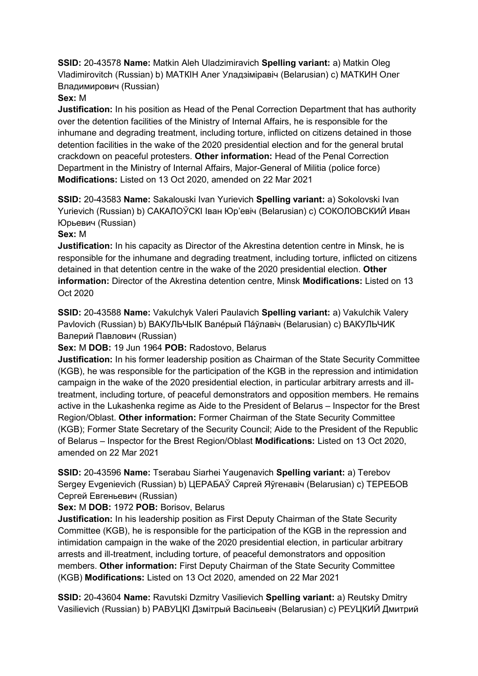**SSID:** 20-43578 **Name:** Matkin Aleh Uladzimiravich **Spelling variant:** a) Matkin Oleg Vladimirovitch (Russian) b) МАТКIН Алег Уладзiмiравiч (Belarusian) c) МАТКИН Олег Владимирович (Russian)

## **Sex:** M

**Justification:** In his position as Head of the Penal Correction Department that has authority over the detention facilities of the Ministry of Internal Affairs, he is responsible for the inhumane and degrading treatment, including torture, inflicted on citizens detained in those detention facilities in the wake of the 2020 presidential election and for the general brutal crackdown on peaceful protesters. **Other information:** Head of the Penal Correction Department in the Ministry of Internal Affairs, Major-General of Militia (police force) **Modifications:** Listed on 13 Oct 2020, amended on 22 Mar 2021

**SSID:** 20-43583 **Name:** Sakalouski Ivan Yurievich **Spelling variant:** a) Sokolovski Ivan Yurievich (Russian) b) САКАЛОЎСКI Iван Юр'евiч (Belarusian) c) СОКОЛОВСКИЙ Иван Юрьевич (Russian)

### **Sex:** M

**Justification:** In his capacity as Director of the Akrestina detention centre in Minsk, he is responsible for the inhumane and degrading treatment, including torture, inflicted on citizens detained in that detention centre in the wake of the 2020 presidential election. **Other information:** Director of the Akrestina detention centre, Minsk **Modifications:** Listed on 13 Oct 2020

**SSID:** 20-43588 **Name:** Vakulchyk Valeri Paulavich **Spelling variant:** a) Vakulchik Valery Pavlovich (Russian) b) ВАКУЛЬЧЬIК Валéрый Пáўлавiч (Belarusian) c) ВАКУЛЬЧИК Валерий Павлович (Russian)

**Sex:** M **DOB:** 19 Jun 1964 **POB:** Radostovo, Belarus

**Justification:** In his former leadership position as Chairman of the State Security Committee (KGB), he was responsible for the participation of the KGB in the repression and intimidation campaign in the wake of the 2020 presidential election, in particular arbitrary arrests and illtreatment, including torture, of peaceful demonstrators and opposition members. He remains active in the Lukashenka regime as Aide to the President of Belarus – Inspector for the Brest Region/Oblast. **Other information:** Former Chairman of the State Security Committee (KGB); Former State Secretary of the Security Council; Aide to the President of the Republic of Belarus – Inspector for the Brest Region/Oblast **Modifications:** Listed on 13 Oct 2020, amended on 22 Mar 2021

**SSID:** 20-43596 **Name:** Tserabau Siarhei Yaugenavich **Spelling variant:** a) Terebov Sergey Evgenievich (Russian) b) ЦЕРАБАЎ Сяргей Яўгенавiч (Belarusian) c) ТЕРЕБОВ Сергей Евгеньевич (Russian)

**Sex:** M **DOB:** 1972 **POB:** Borisov, Belarus

**Justification:** In his leadership position as First Deputy Chairman of the State Security Committee (KGB), he is responsible for the participation of the KGB in the repression and intimidation campaign in the wake of the 2020 presidential election, in particular arbitrary arrests and ill-treatment, including torture, of peaceful demonstrators and opposition members. **Other information:** First Deputy Chairman of the State Security Committee (KGB) **Modifications:** Listed on 13 Oct 2020, amended on 22 Mar 2021

**SSID:** 20-43604 **Name:** Ravutski Dzmitry Vasilievich **Spelling variant:** a) Reutsky Dmitry Vasilievich (Russian) b) РАВУЦКI Дзмiтрый Васiльевiч (Belarusian) c) РЕУЦКИЙ Дмитрий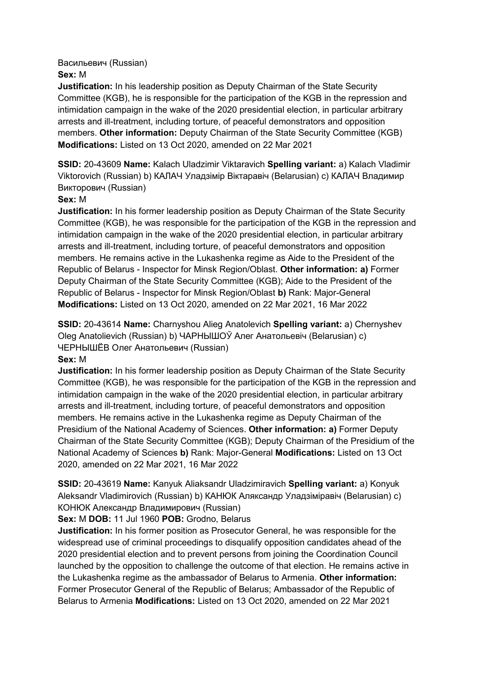Васильевич (Russian)

## **Sex:** M

**Justification:** In his leadership position as Deputy Chairman of the State Security Committee (KGB), he is responsible for the participation of the KGB in the repression and intimidation campaign in the wake of the 2020 presidential election, in particular arbitrary arrests and ill-treatment, including torture, of peaceful demonstrators and opposition members. **Other information:** Deputy Chairman of the State Security Committee (KGB) **Modifications:** Listed on 13 Oct 2020, amended on 22 Mar 2021

**SSID:** 20-43609 **Name:** Kalach Uladzimir Viktaravich **Spelling variant:** a) Kalach Vladimir Viktorovich (Russian) b) КАЛАЧ Уладзiмiр Вiктаравiч (Belarusian) c) КАЛАЧ Владимир Викторович (Russian)

## **Sex:** M

**Justification:** In his former leadership position as Deputy Chairman of the State Security Committee (KGB), he was responsible for the participation of the KGB in the repression and intimidation campaign in the wake of the 2020 presidential election, in particular arbitrary arrests and ill-treatment, including torture, of peaceful demonstrators and opposition members. He remains active in the Lukashenka regime as Aide to the President of the Republic of Belarus - Inspector for Minsk Region/Oblast. **Other information: a)** Former Deputy Chairman of the State Security Committee (KGB); Aide to the President of the Republic of Belarus - Inspector for Minsk Region/Oblast **b)** Rank: Major-General **Modifications:** Listed on 13 Oct 2020, amended on 22 Mar 2021, 16 Mar 2022

**SSID:** 20-43614 **Name:** Charnyshou Alieg Anatolevich **Spelling variant:** a) Chernyshev Oleg Anatolievich (Russian) b) ЧАРНЫШОЎ Алег Анатольевiч (Belarusian) c) ЧЕРНЫШЁВ Олег Анатольевич (Russian)

## **Sex:** M

**Justification:** In his former leadership position as Deputy Chairman of the State Security Committee (KGB), he was responsible for the participation of the KGB in the repression and intimidation campaign in the wake of the 2020 presidential election, in particular arbitrary arrests and ill-treatment, including torture, of peaceful demonstrators and opposition members. He remains active in the Lukashenka regime as Deputy Chairman of the Presidium of the National Academy of Sciences. **Other information: a)** Former Deputy Chairman of the State Security Committee (KGB); Deputy Chairman of the Presidium of the National Academy of Sciences **b)** Rank: Major-General **Modifications:** Listed on 13 Oct 2020, amended on 22 Mar 2021, 16 Mar 2022

**SSID:** 20-43619 **Name:** Kanyuk Aliaksandr Uladzimiravich **Spelling variant:** a) Konyuk Aleksandr Vladimirovich (Russian) b) КАНЮК Аляксандр Уладзiмiравiч (Belarusian) c) КОНЮК Александр Владимирович (Russian)

## **Sex:** M **DOB:** 11 Jul 1960 **POB:** Grodno, Belarus

**Justification:** In his former position as Prosecutor General, he was responsible for the widespread use of criminal proceedings to disqualify opposition candidates ahead of the 2020 presidential election and to prevent persons from joining the Coordination Council launched by the opposition to challenge the outcome of that election. He remains active in the Lukashenka regime as the ambassador of Belarus to Armenia. **Other information:** Former Prosecutor General of the Republic of Belarus; Ambassador of the Republic of Belarus to Armenia **Modifications:** Listed on 13 Oct 2020, amended on 22 Mar 2021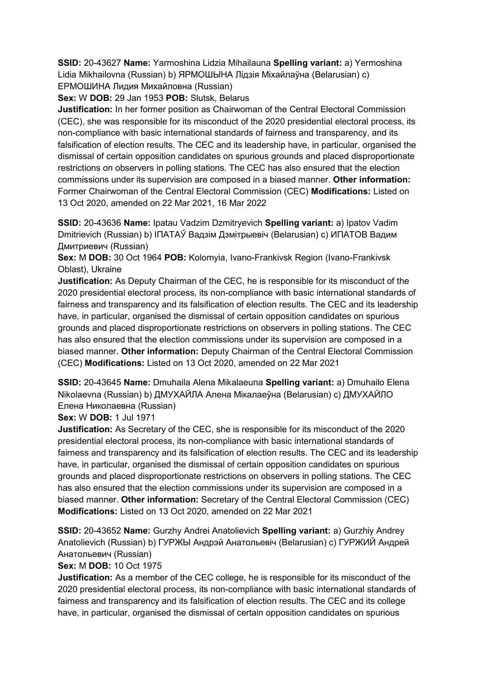**SSID:** 20-43627 **Name:** Yarmoshina Lidzia Mihailauna **Spelling variant:** a) Yermoshina Lidia Mikhailovna (Russian) b) ЯРМОШЫНА Лiдзiя Мiхайлаўна (Belarusian) c) ЕРМОШИНА Лидия Михайловна (Russian)

**Sex:** W **DOB:** 29 Jan 1953 **POB:** Slutsk, Belarus

**Justification:** In her former position as Chairwoman of the Central Electoral Commission (CEC), she was responsible for its misconduct of the 2020 presidential electoral process, its non-compliance with basic international standards of fairness and transparency, and its falsification of election results. The CEC and its leadership have, in particular, organised the dismissal of certain opposition candidates on spurious grounds and placed disproportionate restrictions on observers in polling stations. The CEC has also ensured that the election commissions under its supervision are composed in a biased manner. **Other information:** Former Chairwoman of the Central Electoral Commission (CEC) **Modifications:** Listed on 13 Oct 2020, amended on 22 Mar 2021, 16 Mar 2022

**SSID:** 20-43636 **Name:** Ipatau Vadzim Dzmitryevich **Spelling variant:** a) Ipatov Vadim Dmitrievich (Russian) b) IПАТАЎ Вадзiм Дзмiтрыевiч (Belarusian) c) ИПАТОВ Вадим Дмитриевич (Russian)

**Sex:** M **DOB:** 30 Oct 1964 **POB:** Kolomyia, Ivano-Frankivsk Region (Ivano-Frankivsk Oblast), Ukraine

**Justification:** As Deputy Chairman of the CEC, he is responsible for its misconduct of the 2020 presidential electoral process, its non-compliance with basic international standards of fairness and transparency and its falsification of election results. The CEC and its leadership have, in particular, organised the dismissal of certain opposition candidates on spurious grounds and placed disproportionate restrictions on observers in polling stations. The CEC has also ensured that the election commissions under its supervision are composed in a biased manner. **Other information:** Deputy Chairman of the Central Electoral Commission (CEC) **Modifications:** Listed on 13 Oct 2020, amended on 22 Mar 2021

**SSID:** 20-43645 **Name:** Dmuhaila Alena Mikalaeuna **Spelling variant:** a) Dmuhailo Elena Nikolaevna (Russian) b) ДМУХАЙЛА Алена Мiкалаеўна (Belarusian) c) ДМУХАЙЛО Елена Николаевна (Russian)

**Sex:** W **DOB:** 1 Jul 1971

**Justification:** As Secretary of the CEC, she is responsible for its misconduct of the 2020 presidential electoral process, its non-compliance with basic international standards of fairness and transparency and its falsification of election results. The CEC and its leadership have, in particular, organised the dismissal of certain opposition candidates on spurious grounds and placed disproportionate restrictions on observers in polling stations. The CEC has also ensured that the election commissions under its supervision are composed in a biased manner. **Other information:** Secretary of the Central Electoral Commission (CEC) **Modifications:** Listed on 13 Oct 2020, amended on 22 Mar 2021

**SSID:** 20-43652 **Name:** Gurzhy Andrei Anatolievich **Spelling variant:** a) Gurzhiy Andrey Anatolievich (Russian) b) ГУРЖЫ Андрэй Анатольевiч (Belarusian) c) ГУРЖИЙ Андрей Анатольевич (Russian)

**Sex:** M **DOB:** 10 Oct 1975

**Justification:** As a member of the CEC college, he is responsible for its misconduct of the 2020 presidential electoral process, its non-compliance with basic international standards of fairness and transparency and its falsification of election results. The CEC and its college have, in particular, organised the dismissal of certain opposition candidates on spurious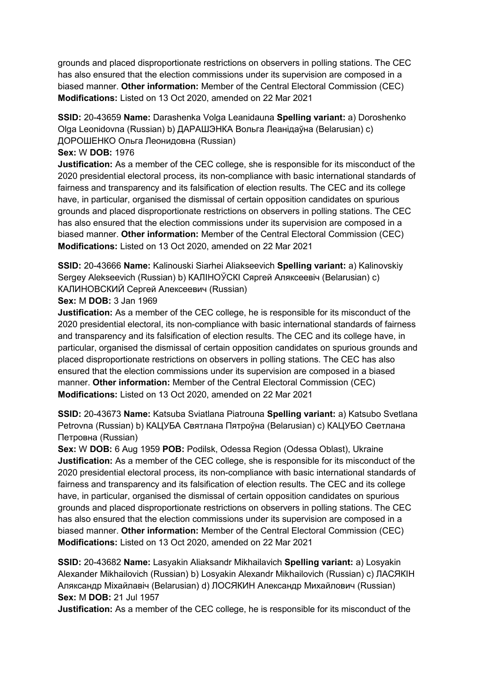grounds and placed disproportionate restrictions on observers in polling stations. The CEC has also ensured that the election commissions under its supervision are composed in a biased manner. **Other information:** Member of the Central Electoral Commission (CEC) **Modifications:** Listed on 13 Oct 2020, amended on 22 Mar 2021

**SSID:** 20-43659 **Name:** Darashenka Volga Leanidauna **Spelling variant:** a) Doroshenko Olga Leonidovna (Russian) b) ДАРАШЭНКА Вольга Леанiдаўна (Belarusian) c) ДОРОШЕНКО Ольга Леонидовна (Russian)

### **Sex:** W **DOB:** 1976

**Justification:** As a member of the CEC college, she is responsible for its misconduct of the 2020 presidential electoral process, its non-compliance with basic international standards of fairness and transparency and its falsification of election results. The CEC and its college have, in particular, organised the dismissal of certain opposition candidates on spurious grounds and placed disproportionate restrictions on observers in polling stations. The CEC has also ensured that the election commissions under its supervision are composed in a biased manner. **Other information:** Member of the Central Electoral Commission (CEC) **Modifications:** Listed on 13 Oct 2020, amended on 22 Mar 2021

**SSID:** 20-43666 **Name:** Kalinouski Siarhei Aliakseevich **Spelling variant:** a) Kalinovskiy Sergey Alekseevich (Russian) b) КАЛIНОЎСКI Сяргей Аляксеевiч (Belarusian) c) КАЛИНОВСКИЙ Сергей Алексеевич (Russian)

**Sex:** M **DOB:** 3 Jan 1969

**Justification:** As a member of the CEC college, he is responsible for its misconduct of the 2020 presidential electoral, its non-compliance with basic international standards of fairness and transparency and its falsification of election results. The CEC and its college have, in particular, organised the dismissal of certain opposition candidates on spurious grounds and placed disproportionate restrictions on observers in polling stations. The CEC has also ensured that the election commissions under its supervision are composed in a biased manner. **Other information:** Member of the Central Electoral Commission (CEC) **Modifications:** Listed on 13 Oct 2020, amended on 22 Mar 2021

**SSID:** 20-43673 **Name:** Katsuba Sviatlana Piatrouna **Spelling variant:** a) Katsubo Svetlana Petrovna (Russian) b) КАЦУБА Святлана Пятроўна (Belarusian) c) КАЦУБО Светлана Петровна (Russian)

**Sex:** W **DOB:** 6 Aug 1959 **POB:** Podilsk, Odessa Region (Odessa Oblast), Ukraine **Justification:** As a member of the CEC college, she is responsible for its misconduct of the 2020 presidential electoral process, its non-compliance with basic international standards of fairness and transparency and its falsification of election results. The CEC and its college have, in particular, organised the dismissal of certain opposition candidates on spurious grounds and placed disproportionate restrictions on observers in polling stations. The CEC has also ensured that the election commissions under its supervision are composed in a biased manner. **Other information:** Member of the Central Electoral Commission (CEC) **Modifications:** Listed on 13 Oct 2020, amended on 22 Mar 2021

**SSID:** 20-43682 **Name:** Lasyakin Aliaksandr Mikhailavich **Spelling variant:** a) Losyakin Alexander Mikhailovich (Russian) b) Losyakin Alexandr Mikhailovich (Russian) c) ЛАСЯКIН Аляксандр Мiхайлавiч (Belarusian) d) ЛОСЯКИН Александр Михайлович (Russian) **Sex:** M **DOB:** 21 Jul 1957

**Justification:** As a member of the CEC college, he is responsible for its misconduct of the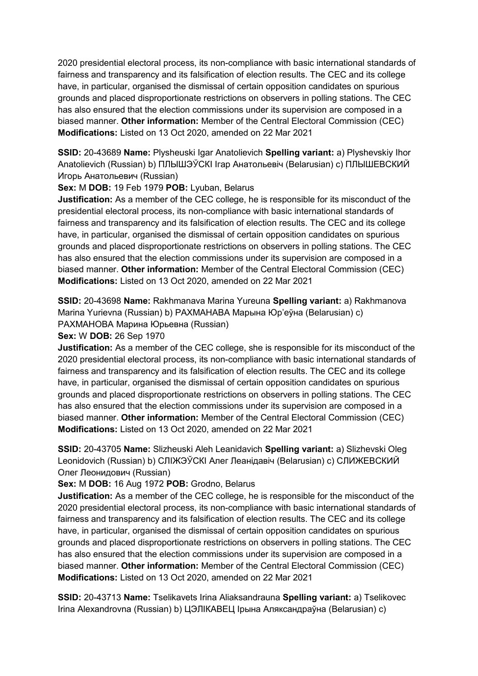2020 presidential electoral process, its non-compliance with basic international standards of fairness and transparency and its falsification of election results. The CEC and its college have, in particular, organised the dismissal of certain opposition candidates on spurious grounds and placed disproportionate restrictions on observers in polling stations. The CEC has also ensured that the election commissions under its supervision are composed in a biased manner. **Other information:** Member of the Central Electoral Commission (CEC) **Modifications:** Listed on 13 Oct 2020, amended on 22 Mar 2021

**SSID:** 20-43689 **Name:** Plysheuski Igar Anatolievich **Spelling variant:** a) Plyshevskiy Ihor Anatolievich (Russian) b) ПЛЫШЭЎСКI Iгар Анатольевiч (Belarusian) c) ПЛЫШЕВСКИЙ Игорь Анатольевич (Russian)

**Sex:** M **DOB:** 19 Feb 1979 **POB:** Lyuban, Belarus

**Justification:** As a member of the CEC college, he is responsible for its misconduct of the presidential electoral process, its non-compliance with basic international standards of fairness and transparency and its falsification of election results. The CEC and its college have, in particular, organised the dismissal of certain opposition candidates on spurious grounds and placed disproportionate restrictions on observers in polling stations. The CEC has also ensured that the election commissions under its supervision are composed in a biased manner. **Other information:** Member of the Central Electoral Commission (CEC) **Modifications:** Listed on 13 Oct 2020, amended on 22 Mar 2021

**SSID:** 20-43698 **Name:** Rakhmanava Marina Yureuna **Spelling variant:** a) Rakhmanova Marina Yurievna (Russian) b) РАХМАНАВА Марына Юр'еўна (Belarusian) c) РАХМАНОВА Марина Юрьевна (Russian)

**Sex:** W **DOB:** 26 Sep 1970

**Justification:** As a member of the CEC college, she is responsible for its misconduct of the 2020 presidential electoral process, its non-compliance with basic international standards of fairness and transparency and its falsification of election results. The CEC and its college have, in particular, organised the dismissal of certain opposition candidates on spurious grounds and placed disproportionate restrictions on observers in polling stations. The CEC has also ensured that the election commissions under its supervision are composed in a biased manner. **Other information:** Member of the Central Electoral Commission (CEC) **Modifications:** Listed on 13 Oct 2020, amended on 22 Mar 2021

**SSID:** 20-43705 **Name:** Slizheuski Aleh Leanidavich **Spelling variant:** a) Slizhevski Oleg Leonidovich (Russian) b) СЛIЖЭЎСКI Алег Леанiдавiч (Belarusian) c) СЛИЖЕВСКИЙ Олег Леонидович (Russian)

**Sex:** M **DOB:** 16 Aug 1972 **POB:** Grodno, Belarus

**Justification:** As a member of the CEC college, he is responsible for the misconduct of the 2020 presidential electoral process, its non-compliance with basic international standards of fairness and transparency and its falsification of election results. The CEC and its college have, in particular, organised the dismissal of certain opposition candidates on spurious grounds and placed disproportionate restrictions on observers in polling stations. The CEC has also ensured that the election commissions under its supervision are composed in a biased manner. **Other information:** Member of the Central Electoral Commission (CEC) **Modifications:** Listed on 13 Oct 2020, amended on 22 Mar 2021

**SSID:** 20-43713 **Name:** Tselikavets Irina Aliaksandrauna **Spelling variant:** a) Tselikovec Irina Alexandrovna (Russian) b) ЦЭЛIКАВЕЦ Iрына Аляксандраўна (Belarusian) c)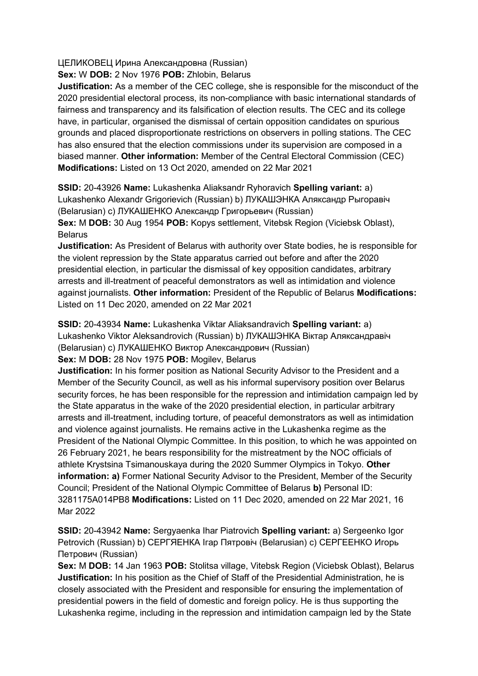ЦЕЛИКОВЕЦ Ирина Александровна (Russian)

**Sex:** W **DOB:** 2 Nov 1976 **POB:** Zhlobin, Belarus

**Justification:** As a member of the CEC college, she is responsible for the misconduct of the 2020 presidential electoral process, its non-compliance with basic international standards of fairness and transparency and its falsification of election results. The CEC and its college have, in particular, organised the dismissal of certain opposition candidates on spurious grounds and placed disproportionate restrictions on observers in polling stations. The CEC has also ensured that the election commissions under its supervision are composed in a biased manner. **Other information:** Member of the Central Electoral Commission (CEC) **Modifications:** Listed on 13 Oct 2020, amended on 22 Mar 2021

**SSID:** 20-43926 **Name:** Lukashenka Aliaksandr Ryhoravich **Spelling variant:** a) Lukashenko Alexandr Grigorievich (Russian) b) ЛУКАШЭНКА Аляксандр Рыгоравiч (Belarusian) c) ЛУКАШЕНКО Александр Григорьевич (Russian) **Sex:** M **DOB:** 30 Aug 1954 **POB:** Kopys settlement, Vitebsk Region (Viciebsk Oblast), Belarus

**Justification:** As President of Belarus with authority over State bodies, he is responsible for the violent repression by the State apparatus carried out before and after the 2020 presidential election, in particular the dismissal of key opposition candidates, arbitrary arrests and ill-treatment of peaceful demonstrators as well as intimidation and violence against journalists. **Other information:** President of the Republic of Belarus **Modifications:**  Listed on 11 Dec 2020, amended on 22 Mar 2021

**SSID:** 20-43934 **Name:** Lukashenka Viktar Aliaksandravich **Spelling variant:** a) Lukashenko Viktor Aleksandrovich (Russian) b) ЛУКАШЭНКА Вiктар Аляксандравiч (Belarusian) c) ЛУКАШЕНКО Виктор Александрович (Russian)

**Sex:** M **DOB:** 28 Nov 1975 **POB:** Mogilev, Belarus

**Justification:** In his former position as National Security Advisor to the President and a Member of the Security Council, as well as his informal supervisory position over Belarus security forces, he has been responsible for the repression and intimidation campaign led by the State apparatus in the wake of the 2020 presidential election, in particular arbitrary arrests and ill-treatment, including torture, of peaceful demonstrators as well as intimidation and violence against journalists. He remains active in the Lukashenka regime as the President of the National Olympic Committee. In this position, to which he was appointed on 26 February 2021, he bears responsibility for the mistreatment by the NOC officials of athlete Krystsina Tsimanouskaya during the 2020 Summer Olympics in Tokyo. **Other information: a)** Former National Security Advisor to the President, Member of the Security Council; President of the National Olympic Committee of Belarus **b)** Personal ID: 3281175A014PB8 **Modifications:** Listed on 11 Dec 2020, amended on 22 Mar 2021, 16 Mar 2022

**SSID:** 20-43942 **Name:** Sergyaenka Ihar Piatrovich **Spelling variant:** a) Sergeenko Igor Petrovich (Russian) b) СЕРГЯЕНКА Iгар Пятровiч (Belarusian) c) СЕРГЕЕНКО Игорь Петрович (Russian)

**Sex:** M **DOB:** 14 Jan 1963 **POB:** Stolitsa village, Vitebsk Region (Viciebsk Oblast), Belarus **Justification:** In his position as the Chief of Staff of the Presidential Administration, he is closely associated with the President and responsible for ensuring the implementation of presidential powers in the field of domestic and foreign policy. He is thus supporting the Lukashenka regime, including in the repression and intimidation campaign led by the State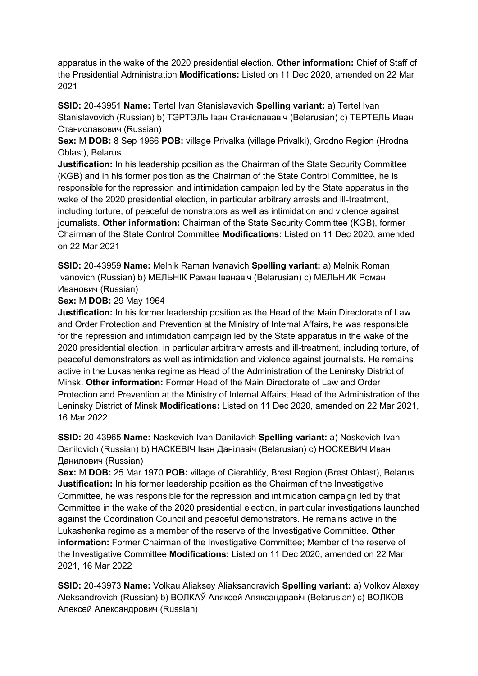apparatus in the wake of the 2020 presidential election. **Other information:** Chief of Staff of the Presidential Administration **Modifications:** Listed on 11 Dec 2020, amended on 22 Mar 2021

**SSID:** 20-43951 **Name:** Tertel Ivan Stanislavavich **Spelling variant:** a) Tertel Ivan Stanislavovich (Russian) b) ТЭРТЭЛЬ Iван Станiслававiч (Belarusian) c) ТЕРТЕЛЬ Иван Станиславович (Russian)

**Sex:** M **DOB:** 8 Sep 1966 **POB:** village Privalka (village Privalki), Grodno Region (Hrodna Oblast), Belarus

**Justification:** In his leadership position as the Chairman of the State Security Committee (KGB) and in his former position as the Chairman of the State Control Committee, he is responsible for the repression and intimidation campaign led by the State apparatus in the wake of the 2020 presidential election, in particular arbitrary arrests and ill-treatment, including torture, of peaceful demonstrators as well as intimidation and violence against journalists. **Other information:** Chairman of the State Security Committee (KGB), former Chairman of the State Control Committee **Modifications:** Listed on 11 Dec 2020, amended on 22 Mar 2021

**SSID:** 20-43959 **Name:** Melnik Raman Ivanavich **Spelling variant:** a) Melnik Roman Ivanovich (Russian) b) МЕЛЬНIК Раман Iванавiч (Belarusian) c) МЕЛЬНИК Роман Иванович (Russian)

**Sex:** M **DOB:** 29 May 1964

**Justification:** In his former leadership position as the Head of the Main Directorate of Law and Order Protection and Prevention at the Ministry of Internal Affairs, he was responsible for the repression and intimidation campaign led by the State apparatus in the wake of the 2020 presidential election, in particular arbitrary arrests and ill-treatment, including torture, of peaceful demonstrators as well as intimidation and violence against journalists. He remains active in the Lukashenka regime as Head of the Administration of the Leninsky District of Minsk. **Other information:** Former Head of the Main Directorate of Law and Order Protection and Prevention at the Ministry of Internal Affairs; Head of the Administration of the Leninsky District of Minsk **Modifications:** Listed on 11 Dec 2020, amended on 22 Mar 2021, 16 Mar 2022

**SSID:** 20-43965 **Name:** Naskevich Ivan Danilavich **Spelling variant:** a) Noskevich Ivan Danilovich (Russian) b) НАСКЕВIЧ Iван Данiлавiч (Belarusian) c) НОСКЕВИЧ Иван Данилович (Russian)

**Sex:** M **DOB:** 25 Mar 1970 **POB:** village of Cierabličy, Brest Region (Brest Oblast), Belarus **Justification:** In his former leadership position as the Chairman of the Investigative Committee, he was responsible for the repression and intimidation campaign led by that Committee in the wake of the 2020 presidential election, in particular investigations launched against the Coordination Council and peaceful demonstrators. He remains active in the Lukashenka regime as a member of the reserve of the Investigative Committee. **Other information:** Former Chairman of the Investigative Committee; Member of the reserve of the Investigative Committee **Modifications:** Listed on 11 Dec 2020, amended on 22 Mar 2021, 16 Mar 2022

**SSID:** 20-43973 **Name:** Volkau Aliaksey Aliaksandravich **Spelling variant:** a) Volkov Alexey Aleksandrovich (Russian) b) ВОЛКАЎ Аляксей Аляксандравiч (Belarusian) c) ВОЛКОВ Алексей Александрович (Russian)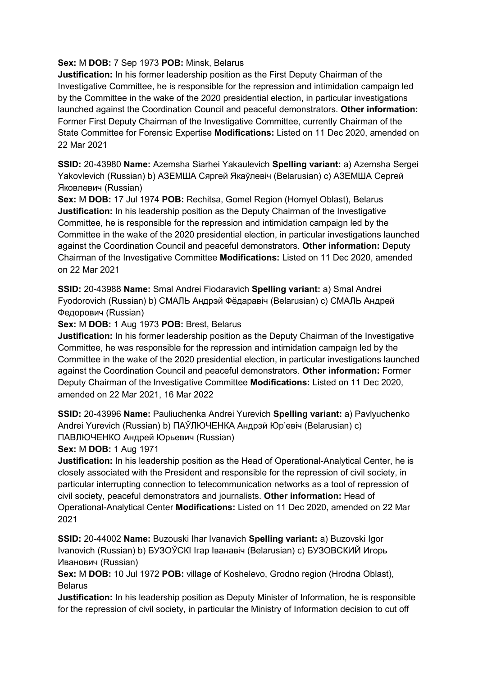### **Sex:** M **DOB:** 7 Sep 1973 **POB:** Minsk, Belarus

**Justification:** In his former leadership position as the First Deputy Chairman of the Investigative Committee, he is responsible for the repression and intimidation campaign led by the Committee in the wake of the 2020 presidential election, in particular investigations launched against the Coordination Council and peaceful demonstrators. **Other information:** Former First Deputy Chairman of the Investigative Committee, currently Chairman of the State Committee for Forensic Expertise **Modifications:** Listed on 11 Dec 2020, amended on 22 Mar 2021

**SSID:** 20-43980 **Name:** Azemsha Siarhei Yakaulevich **Spelling variant:** a) Azemsha Sergei Yakovlevich (Russian) b) АЗЕМША Сяргей Якаўлевiч (Belarusian) c) АЗЕМША Сергей Яковлевич (Russian)

**Sex:** M **DOB:** 17 Jul 1974 **POB:** Rechitsa, Gomel Region (Homyel Oblast), Belarus **Justification:** In his leadership position as the Deputy Chairman of the Investigative Committee, he is responsible for the repression and intimidation campaign led by the Committee in the wake of the 2020 presidential election, in particular investigations launched against the Coordination Council and peaceful demonstrators. **Other information:** Deputy Chairman of the Investigative Committee **Modifications:** Listed on 11 Dec 2020, amended on 22 Mar 2021

**SSID:** 20-43988 **Name:** Smal Andrei Fiodaravich **Spelling variant:** a) Smal Andrei Fyodorovich (Russian) b) СМАЛЬ Андрэй Фёдаравiч (Belarusian) c) СМАЛЬ Андрей Федорович (Russian)

**Sex:** M **DOB:** 1 Aug 1973 **POB:** Brest, Belarus

**Justification:** In his former leadership position as the Deputy Chairman of the Investigative Committee, he was responsible for the repression and intimidation campaign led by the Committee in the wake of the 2020 presidential election, in particular investigations launched against the Coordination Council and peaceful demonstrators. **Other information:** Former Deputy Chairman of the Investigative Committee **Modifications:** Listed on 11 Dec 2020, amended on 22 Mar 2021, 16 Mar 2022

**SSID:** 20-43996 **Name:** Pauliuchenka Andrei Yurevich **Spelling variant:** a) Pavlyuchenko Andrei Yurevich (Russian) b) ПАЎЛЮЧЕНКА Андрэй Юр'евiч (Belarusian) c) ПАВЛЮЧЕНКО Андрей Юрьевич (Russian)

**Sex:** M **DOB:** 1 Aug 1971

**Justification:** In his leadership position as the Head of Operational-Analytical Center, he is closely associated with the President and responsible for the repression of civil society, in particular interrupting connection to telecommunication networks as a tool of repression of civil society, peaceful demonstrators and journalists. **Other information:** Head of Operational-Analytical Center **Modifications:** Listed on 11 Dec 2020, amended on 22 Mar 2021

**SSID:** 20-44002 **Name:** Buzouski Ihar Ivanavich **Spelling variant:** a) Buzovski Igor Ivanovich (Russian) b) БУЗОЎСКI Iгар Iванавiч (Belarusian) c) БУЗОВСКИЙ Игорь Иванович (Russian)

**Sex:** M **DOB:** 10 Jul 1972 **POB:** village of Koshelevo, Grodno region (Hrodna Oblast), **Belarus** 

**Justification:** In his leadership position as Deputy Minister of Information, he is responsible for the repression of civil society, in particular the Ministry of Information decision to cut off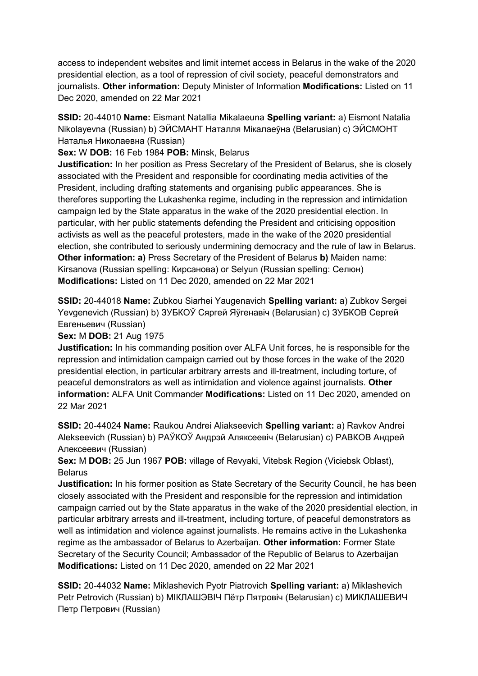access to independent websites and limit internet access in Belarus in the wake of the 2020 presidential election, as a tool of repression of civil society, peaceful demonstrators and journalists. **Other information:** Deputy Minister of Information **Modifications:** Listed on 11 Dec 2020, amended on 22 Mar 2021

**SSID:** 20-44010 **Name:** Eismant Natallia Mikalaeuna **Spelling variant:** a) Eismont Natalia Nikolayevna (Russian) b) ЭЙСМАНТ Наталля Мiкалаеўна (Belarusian) c) ЭЙСМОНТ Наталья Николаевна (Russian)

**Sex:** W **DOB:** 16 Feb 1984 **POB:** Minsk, Belarus

**Justification:** In her position as Press Secretary of the President of Belarus, she is closely associated with the President and responsible for coordinating media activities of the President, including drafting statements and organising public appearances. She is therefores supporting the Lukashenka regime, including in the repression and intimidation campaign led by the State apparatus in the wake of the 2020 presidential election. In particular, with her public statements defending the President and criticising opposition activists as well as the peaceful protesters, made in the wake of the 2020 presidential election, she contributed to seriously undermining democracy and the rule of law in Belarus. **Other information: a)** Press Secretary of the President of Belarus **b)** Maiden name: Kirsanova (Russian spelling: Кирсанова) or Selyun (Russian spelling: Селюн) **Modifications:** Listed on 11 Dec 2020, amended on 22 Mar 2021

**SSID:** 20-44018 **Name:** Zubkou Siarhei Yaugenavich **Spelling variant:** a) Zubkov Sergei Yevgenevich (Russian) b) ЗУБКОЎ Сяргей Яўгенавiч (Belarusian) c) ЗУБКОВ Сергей Евгеньевич (Russian)

**Sex:** M **DOB:** 21 Aug 1975

**Justification:** In his commanding position over ALFA Unit forces, he is responsible for the repression and intimidation campaign carried out by those forces in the wake of the 2020 presidential election, in particular arbitrary arrests and ill-treatment, including torture, of peaceful demonstrators as well as intimidation and violence against journalists. **Other information:** ALFA Unit Commander **Modifications:** Listed on 11 Dec 2020, amended on 22 Mar 2021

**SSID:** 20-44024 **Name:** Raukou Andrei Aliakseevich **Spelling variant:** a) Ravkov Andrei Alekseevich (Russian) b) РАЎКОЎ Андрэй Аляксеевiч (Belarusian) c) РАВКОВ Андрей Алексеевич (Russian)

**Sex:** M **DOB:** 25 Jun 1967 **POB:** village of Revyaki, Vitebsk Region (Viciebsk Oblast), Belarus

**Justification:** In his former position as State Secretary of the Security Council, he has been closely associated with the President and responsible for the repression and intimidation campaign carried out by the State apparatus in the wake of the 2020 presidential election, in particular arbitrary arrests and ill-treatment, including torture, of peaceful demonstrators as well as intimidation and violence against journalists. He remains active in the Lukashenka regime as the ambassador of Belarus to Azerbaijan. **Other information:** Former State Secretary of the Security Council; Ambassador of the Republic of Belarus to Azerbaijan **Modifications:** Listed on 11 Dec 2020, amended on 22 Mar 2021

**SSID:** 20-44032 **Name:** Miklashevich Pyotr Piatrovich **Spelling variant:** a) Miklashevich Petr Petrovich (Russian) b) МIКЛАШЭВIЧ Пётр Пятровiч (Belarusian) c) МИКЛАШЕВИЧ Петр Петрович (Russian)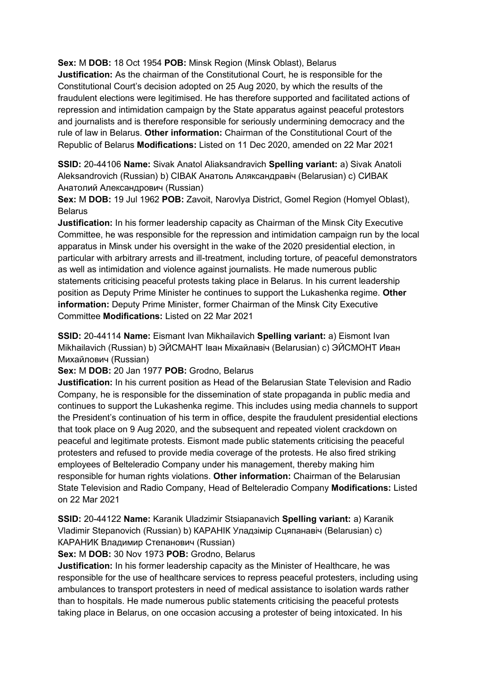**Sex:** M **DOB:** 18 Oct 1954 **POB:** Minsk Region (Minsk Oblast), Belarus

**Justification:** As the chairman of the Constitutional Court, he is responsible for the Constitutional Court's decision adopted on 25 Aug 2020, by which the results of the fraudulent elections were legitimised. He has therefore supported and facilitated actions of repression and intimidation campaign by the State apparatus against peaceful protestors and journalists and is therefore responsible for seriously undermining democracy and the rule of law in Belarus. **Other information:** Chairman of the Constitutional Court of the Republic of Belarus **Modifications:** Listed on 11 Dec 2020, amended on 22 Mar 2021

**SSID:** 20-44106 **Name:** Sivak Anatol Aliaksandravich **Spelling variant:** a) Sivak Anatoli Aleksandrovich (Russian) b) СIВАК Анатоль Аляксандравiч (Belarusian) c) СИВАК Анатолий Александрович (Russian)

**Sex:** M **DOB:** 19 Jul 1962 **POB:** Zavoit, Narovlya District, Gomel Region (Homyel Oblast), Belarus

**Justification:** In his former leadership capacity as Chairman of the Minsk City Executive Committee, he was responsible for the repression and intimidation campaign run by the local apparatus in Minsk under his oversight in the wake of the 2020 presidential election, in particular with arbitrary arrests and ill-treatment, including torture, of peaceful demonstrators as well as intimidation and violence against journalists. He made numerous public statements criticising peaceful protests taking place in Belarus. In his current leadership position as Deputy Prime Minister he continues to support the Lukashenka regime. **Other information:** Deputy Prime Minister, former Chairman of the Minsk City Executive Committee **Modifications:** Listed on 22 Mar 2021

**SSID:** 20-44114 **Name:** Eismant Ivan Mikhailavich **Spelling variant:** a) Eismont Ivan Mikhailavich (Russian) b) ЭЙСМАНТ Iван Мiхайлавiч (Belarusian) c) ЭЙСМОНТ Иван Михайлович (Russian)

**Sex:** M **DOB:** 20 Jan 1977 **POB:** Grodno, Belarus

**Justification:** In his current position as Head of the Belarusian State Television and Radio Company, he is responsible for the dissemination of state propaganda in public media and continues to support the Lukashenka regime. This includes using media channels to support the President's continuation of his term in office, despite the fraudulent presidential elections that took place on 9 Aug 2020, and the subsequent and repeated violent crackdown on peaceful and legitimate protests. Eismont made public statements criticising the peaceful protesters and refused to provide media coverage of the protests. He also fired striking employees of Belteleradio Company under his management, thereby making him responsible for human rights violations. **Other information:** Chairman of the Belarusian State Television and Radio Company, Head of Belteleradio Company **Modifications:** Listed on 22 Mar 2021

**SSID:** 20-44122 **Name:** Karanik Uladzimir Stsiapanavich **Spelling variant:** a) Karanik Vladimir Stepanovich (Russian) b) КАРАНIК Уладзiмiр Сцяпанавiч (Belarusian) c) КАРАНИК Владимир Степанович (Russian)

**Sex:** M **DOB:** 30 Nov 1973 **POB:** Grodno, Belarus

**Justification:** In his former leadership capacity as the Minister of Healthcare, he was responsible for the use of healthcare services to repress peaceful protesters, including using ambulances to transport protesters in need of medical assistance to isolation wards rather than to hospitals. He made numerous public statements criticising the peaceful protests taking place in Belarus, on one occasion accusing a protester of being intoxicated. In his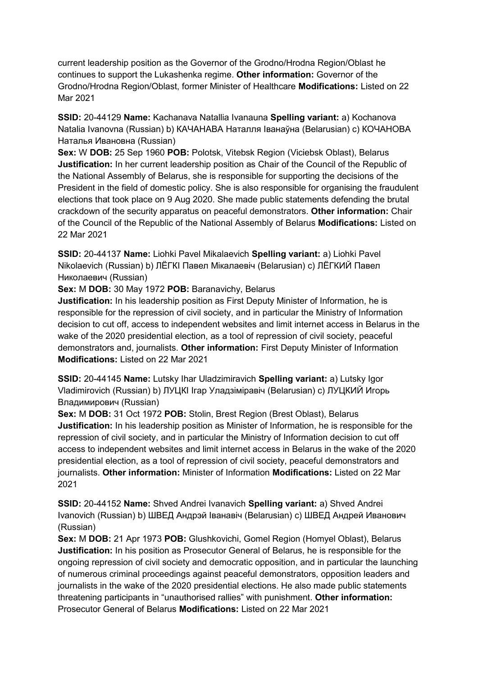current leadership position as the Governor of the Grodno/Hrodna Region/Oblast he continues to support the Lukashenka regime. **Other information:** Governor of the Grodno/Hrodna Region/Oblast, former Minister of Healthcare **Modifications:** Listed on 22 Mar 2021

**SSID:** 20-44129 **Name:** Kachanava Natallia Ivanauna **Spelling variant:** a) Kochanova Natalia Ivanovna (Russian) b) КАЧАНАВА Наталля Iванаўна (Belarusian) c) КОЧАНОВА Наталья Ивановна (Russian)

**Sex:** W **DOB:** 25 Sep 1960 **POB:** Polotsk, Vitebsk Region (Viciebsk Oblast), Belarus **Justification:** In her current leadership position as Chair of the Council of the Republic of the National Assembly of Belarus, she is responsible for supporting the decisions of the President in the field of domestic policy. She is also responsible for organising the fraudulent elections that took place on 9 Aug 2020. She made public statements defending the brutal crackdown of the security apparatus on peaceful demonstrators. **Other information:** Chair of the Council of the Republic of the National Assembly of Belarus **Modifications:** Listed on 22 Mar 2021

**SSID:** 20-44137 **Name:** Liohki Pavel Mikalaevich **Spelling variant:** a) Liohki Pavel Nikolaevich (Russian) b) ЛЁГКI Павел Мiкалаевiч (Belarusian) c) ЛЁГКИЙ Павел Николаевич (Russian)

**Sex:** M **DOB:** 30 May 1972 **POB:** Baranavichy, Belarus

**Justification:** In his leadership position as First Deputy Minister of Information, he is responsible for the repression of civil society, and in particular the Ministry of Information decision to cut off, access to independent websites and limit internet access in Belarus in the wake of the 2020 presidential election, as a tool of repression of civil society, peaceful demonstrators and, journalists. **Other information:** First Deputy Minister of Information **Modifications:** Listed on 22 Mar 2021

**SSID:** 20-44145 **Name:** Lutsky Ihar Uladzimiravich **Spelling variant:** a) Lutsky Igor Vladimirovich (Russian) b) ЛУЦКI Iгар Уладзiмiравiч (Belarusian) c) ЛУЦКИЙ Игорь Владимирович (Russian)

**Sex:** M **DOB:** 31 Oct 1972 **POB:** Stolin, Brest Region (Brest Oblast), Belarus **Justification:** In his leadership position as Minister of Information, he is responsible for the repression of civil society, and in particular the Ministry of Information decision to cut off access to independent websites and limit internet access in Belarus in the wake of the 2020 presidential election, as a tool of repression of civil society, peaceful demonstrators and journalists. **Other information:** Minister of Information **Modifications:** Listed on 22 Mar 2021

**SSID:** 20-44152 **Name:** Shved Andrei Ivanavich **Spelling variant:** a) Shved Andrei Ivanovich (Russian) b) ШВЕД Андрэй Iванавiч (Belarusian) c) ШВЕД Андрей Иванович (Russian)

**Sex:** M **DOB:** 21 Apr 1973 **POB:** Glushkovichi, Gomel Region (Homyel Oblast), Belarus **Justification:** In his position as Prosecutor General of Belarus, he is responsible for the ongoing repression of civil society and democratic opposition, and in particular the launching of numerous criminal proceedings against peaceful demonstrators, opposition leaders and journalists in the wake of the 2020 presidential elections. He also made public statements threatening participants in "unauthorised rallies" with punishment. **Other information:** Prosecutor General of Belarus **Modifications:** Listed on 22 Mar 2021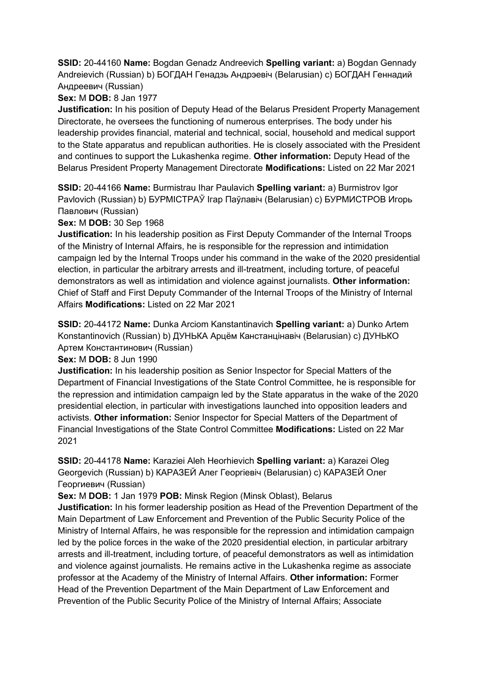**SSID:** 20-44160 **Name:** Bogdan Genadz Andreevich **Spelling variant:** a) Bogdan Gennady Andreievich (Russian) b) БОГДАН Генадзь Андрэевiч (Belarusian) c) БОГДАН Геннадий Андреевич (Russian)

# **Sex:** M **DOB:** 8 Jan 1977

**Justification:** In his position of Deputy Head of the Belarus President Property Management Directorate, he oversees the functioning of numerous enterprises. The body under his leadership provides financial, material and technical, social, household and medical support to the State apparatus and republican authorities. He is closely associated with the President and continues to support the Lukashenka regime. **Other information:** Deputy Head of the Belarus President Property Management Directorate **Modifications:** Listed on 22 Mar 2021

**SSID:** 20-44166 **Name:** Burmistrau Ihar Paulavich **Spelling variant:** a) Burmistrov Igor Pavlovich (Russian) b) БУРМIСТРАЎ Iгар Паўлавiч (Belarusian) c) БУРМИСТРОВ Игорь Павлович (Russian)

**Sex:** M **DOB:** 30 Sep 1968

**Justification:** In his leadership position as First Deputy Commander of the Internal Troops of the Ministry of Internal Affairs, he is responsible for the repression and intimidation campaign led by the Internal Troops under his command in the wake of the 2020 presidential election, in particular the arbitrary arrests and ill-treatment, including torture, of peaceful demonstrators as well as intimidation and violence against journalists. **Other information:** Chief of Staff and First Deputy Commander of the Internal Troops of the Ministry of Internal Affairs **Modifications:** Listed on 22 Mar 2021

**SSID:** 20-44172 **Name:** Dunka Arciom Kanstantinavich **Spelling variant:** a) Dunko Artem Konstantinovich (Russian) b) ДУНЬКА Арцём Канстанцiнавiч (Belarusian) c) ДУНЬКО Артем Константинович (Russian)

**Sex:** M **DOB:** 8 Jun 1990

**Justification:** In his leadership position as Senior Inspector for Special Matters of the Department of Financial Investigations of the State Control Committee, he is responsible for the repression and intimidation campaign led by the State apparatus in the wake of the 2020 presidential election, in particular with investigations launched into opposition leaders and activists. **Other information:** Senior Inspector for Special Matters of the Department of Financial Investigations of the State Control Committee **Modifications:** Listed on 22 Mar 2021

**SSID:** 20-44178 **Name:** Karaziei Aleh Heorhievich **Spelling variant:** a) Karazei Oleg Georgevich (Russian) b) КАРАЗЕЙ Алег Георгiевiч (Belarusian) c) КАРАЗЕЙ Олег Георгиевич (Russian)

**Sex:** M **DOB:** 1 Jan 1979 **POB:** Minsk Region (Minsk Oblast), Belarus

**Justification:** In his former leadership position as Head of the Prevention Department of the Main Department of Law Enforcement and Prevention of the Public Security Police of the Ministry of Internal Affairs, he was responsible for the repression and intimidation campaign led by the police forces in the wake of the 2020 presidential election, in particular arbitrary arrests and ill-treatment, including torture, of peaceful demonstrators as well as intimidation and violence against journalists. He remains active in the Lukashenka regime as associate professor at the Academy of the Ministry of Internal Affairs. **Other information:** Former Head of the Prevention Department of the Main Department of Law Enforcement and Prevention of the Public Security Police of the Ministry of Internal Affairs; Associate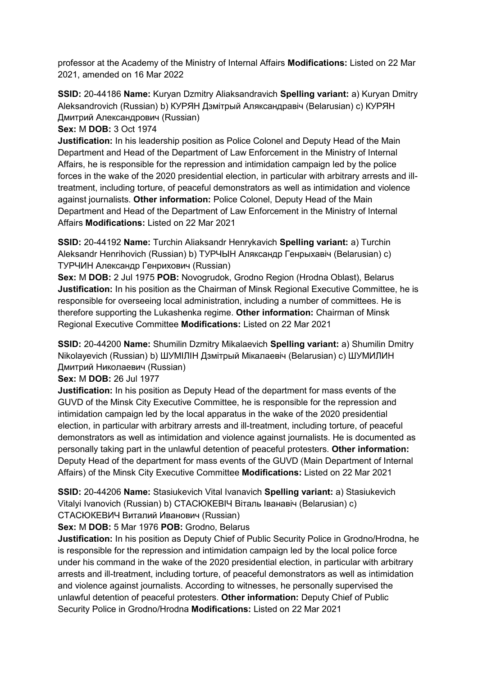professor at the Academy of the Ministry of Internal Affairs **Modifications:** Listed on 22 Mar 2021, amended on 16 Mar 2022

**SSID:** 20-44186 **Name:** Kuryan Dzmitry Aliaksandravich **Spelling variant:** a) Kuryan Dmitry Aleksandrovich (Russian) b) КУРЯН Дзмiтрый Аляксандравiч (Belarusian) c) КУРЯН Дмитрий Александрович (Russian)

**Sex:** M **DOB:** 3 Oct 1974

**Justification:** In his leadership position as Police Colonel and Deputy Head of the Main Department and Head of the Department of Law Enforcement in the Ministry of Internal Affairs, he is responsible for the repression and intimidation campaign led by the police forces in the wake of the 2020 presidential election, in particular with arbitrary arrests and illtreatment, including torture, of peaceful demonstrators as well as intimidation and violence against journalists. **Other information:** Police Colonel, Deputy Head of the Main Department and Head of the Department of Law Enforcement in the Ministry of Internal Affairs **Modifications:** Listed on 22 Mar 2021

**SSID:** 20-44192 **Name:** Turchin Aliaksandr Henrykavich **Spelling variant:** a) Turchin Aleksandr Henrihovich (Russian) b) ТУРЧЫН Аляксандр Генрыхавiч (Belarusian) c) ТУРЧИН Александр Генрихович (Russian)

**Sex:** M **DOB:** 2 Jul 1975 **POB:** Novogrudok, Grodno Region (Hrodna Oblast), Belarus **Justification:** In his position as the Chairman of Minsk Regional Executive Committee, he is responsible for overseeing local administration, including a number of committees. He is therefore supporting the Lukashenka regime. **Other information:** Chairman of Minsk Regional Executive Committee **Modifications:** Listed on 22 Mar 2021

**SSID:** 20-44200 **Name:** Shumilin Dzmitry Mikalaevich **Spelling variant:** a) Shumilin Dmitry Nikolayevich (Russian) b) ШУМIЛIН Дзмiтрый Мiкалаевiч (Belarusian) c) ШУМИЛИН Дмитрий Николаевич (Russian)

**Sex:** M **DOB:** 26 Jul 1977

**Justification:** In his position as Deputy Head of the department for mass events of the GUVD of the Minsk City Executive Committee, he is responsible for the repression and intimidation campaign led by the local apparatus in the wake of the 2020 presidential election, in particular with arbitrary arrests and ill-treatment, including torture, of peaceful demonstrators as well as intimidation and violence against journalists. He is documented as personally taking part in the unlawful detention of peaceful protesters. **Other information:** Deputy Head of the department for mass events of the GUVD (Main Department of Internal Affairs) of the Minsk City Executive Committee **Modifications:** Listed on 22 Mar 2021

**SSID:** 20-44206 **Name:** Stasiukevich Vital Ivanavich **Spelling variant:** a) Stasiukevich Vitalyi Ivanovich (Russian) b) СТАСЮКЕВIЧ Вiталь Iванавiч (Belarusian) c) СТАСЮКЕВИЧ Виталий Иванович (Russian)

**Sex:** M **DOB:** 5 Mar 1976 **POB:** Grodno, Belarus

**Justification:** In his position as Deputy Chief of Public Security Police in Grodno/Hrodna, he is responsible for the repression and intimidation campaign led by the local police force under his command in the wake of the 2020 presidential election, in particular with arbitrary arrests and ill-treatment, including torture, of peaceful demonstrators as well as intimidation and violence against journalists. According to witnesses, he personally supervised the unlawful detention of peaceful protesters. **Other information:** Deputy Chief of Public Security Police in Grodno/Hrodna **Modifications:** Listed on 22 Mar 2021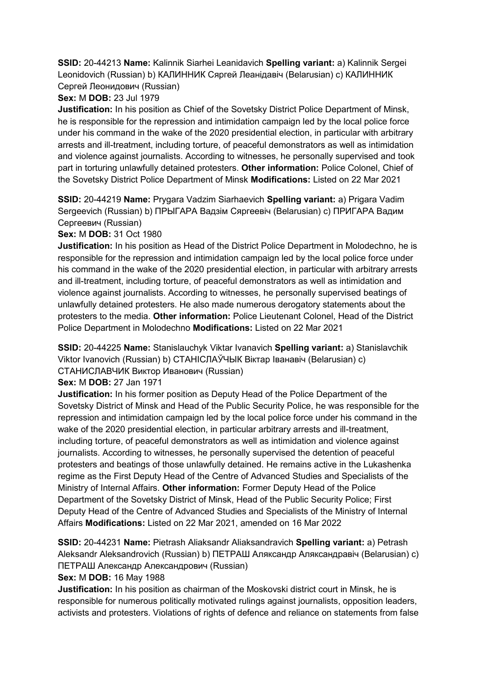**SSID:** 20-44213 **Name:** Kalinnik Siarhei Leanidavich **Spelling variant:** a) Kalinnik Sergei Leonidovich (Russian) b) КАЛИННИК Сяргей Леанiдавiч (Belarusian) c) КАЛИННИК Сергей Леонидович (Russian)

# **Sex:** M **DOB:** 23 Jul 1979

**Justification:** In his position as Chief of the Sovetsky District Police Department of Minsk, he is responsible for the repression and intimidation campaign led by the local police force under his command in the wake of the 2020 presidential election, in particular with arbitrary arrests and ill-treatment, including torture, of peaceful demonstrators as well as intimidation and violence against journalists. According to witnesses, he personally supervised and took part in torturing unlawfully detained protesters. **Other information:** Police Colonel, Chief of the Sovetsky District Police Department of Minsk **Modifications:** Listed on 22 Mar 2021

**SSID:** 20-44219 **Name:** Prygara Vadzim Siarhaevich **Spelling variant:** a) Prigara Vadim Sergeevich (Russian) b) ПРЫГАРА Вадзiм Сяргеевiч (Belarusian) c) ПРИГАРА Вадим Сергеевич (Russian)

## **Sex:** M **DOB:** 31 Oct 1980

**Justification:** In his position as Head of the District Police Department in Molodechno, he is responsible for the repression and intimidation campaign led by the local police force under his command in the wake of the 2020 presidential election, in particular with arbitrary arrests and ill-treatment, including torture, of peaceful demonstrators as well as intimidation and violence against journalists. According to witnesses, he personally supervised beatings of unlawfully detained protesters. He also made numerous derogatory statements about the protesters to the media. **Other information:** Police Lieutenant Colonel, Head of the District Police Department in Molodechno **Modifications:** Listed on 22 Mar 2021

**SSID:** 20-44225 **Name:** Stanislauchyk Viktar Ivanavich **Spelling variant:** a) Stanislavchik Viktor Ivanovich (Russian) b) СТАНIСЛАЎЧЫК Вiктар Iванавiч (Belarusian) c) СТАНИСЛАВЧИК Виктор Иванович (Russian)

## **Sex:** M **DOB:** 27 Jan 1971

**Justification:** In his former position as Deputy Head of the Police Department of the Sovetsky District of Minsk and Head of the Public Security Police, he was responsible for the repression and intimidation campaign led by the local police force under his command in the wake of the 2020 presidential election, in particular arbitrary arrests and ill-treatment, including torture, of peaceful demonstrators as well as intimidation and violence against journalists. According to witnesses, he personally supervised the detention of peaceful protesters and beatings of those unlawfully detained. He remains active in the Lukashenka regime as the First Deputy Head of the Centre of Advanced Studies and Specialists of the Ministry of Internal Affairs. **Other information:** Former Deputy Head of the Police Department of the Sovetsky District of Minsk, Head of the Public Security Police; First Deputy Head of the Centre of Advanced Studies and Specialists of the Ministry of Internal Affairs **Modifications:** Listed on 22 Mar 2021, amended on 16 Mar 2022

**SSID:** 20-44231 **Name:** Pietrash Aliaksandr Aliaksandravich **Spelling variant:** a) Petrash Aleksandr Aleksandrovich (Russian) b) ПЕТРАШ Аляксандр Аляксандравiч (Belarusian) c) ПЕТРАШ Александр Александрович (Russian)

### **Sex:** M **DOB:** 16 May 1988

**Justification:** In his position as chairman of the Moskovski district court in Minsk, he is responsible for numerous politically motivated rulings against journalists, opposition leaders, activists and protesters. Violations of rights of defence and reliance on statements from false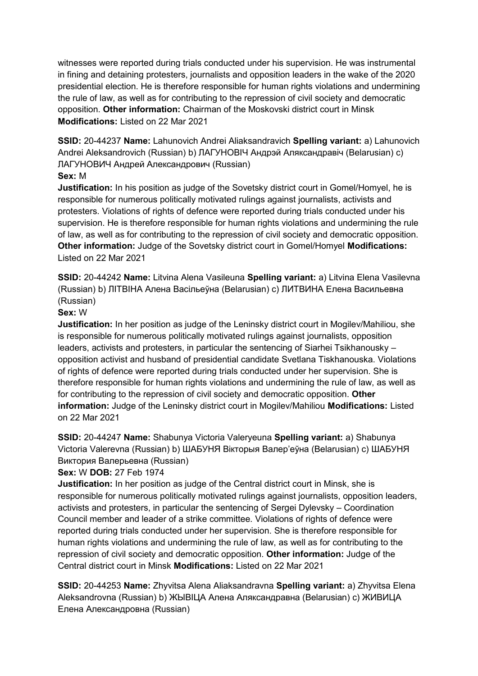witnesses were reported during trials conducted under his supervision. He was instrumental in fining and detaining protesters, journalists and opposition leaders in the wake of the 2020 presidential election. He is therefore responsible for human rights violations and undermining the rule of law, as well as for contributing to the repression of civil society and democratic opposition. **Other information:** Chairman of the Moskovski district court in Minsk **Modifications:** Listed on 22 Mar 2021

**SSID:** 20-44237 **Name:** Lahunovich Andrei Aliaksandravich **Spelling variant:** a) Lahunovich Andrei Aleksandrovich (Russian) b) ЛАГУНОВIЧ Андрэй Аляксандравiч (Belarusian) c) ЛАГУНОВИЧ Андрей Александрович (Russian)

## **Sex:** M

**Justification:** In his position as judge of the Sovetsky district court in Gomel/Homyel, he is responsible for numerous politically motivated rulings against journalists, activists and protesters. Violations of rights of defence were reported during trials conducted under his supervision. He is therefore responsible for human rights violations and undermining the rule of law, as well as for contributing to the repression of civil society and democratic opposition. **Other information:** Judge of the Sovetsky district court in Gomel/Homyel **Modifications:**  Listed on 22 Mar 2021

**SSID:** 20-44242 **Name:** Litvina Alena Vasileuna **Spelling variant:** a) Litvina Elena Vasilevna (Russian) b) ЛIТВIНА Алена Васiльеўна (Belarusian) c) ЛИТВИНА Елена Васильевна (Russian)

### **Sex:** W

**Justification:** In her position as judge of the Leninsky district court in Mogilev/Mahiliou, she is responsible for numerous politically motivated rulings against journalists, opposition leaders, activists and protesters, in particular the sentencing of Siarhei Tsikhanousky – opposition activist and husband of presidential candidate Svetlana Tiskhanouska. Violations of rights of defence were reported during trials conducted under her supervision. She is therefore responsible for human rights violations and undermining the rule of law, as well as for contributing to the repression of civil society and democratic opposition. **Other information:** Judge of the Leninsky district court in Mogilev/Mahiliou **Modifications:** Listed on 22 Mar 2021

**SSID:** 20-44247 **Name:** Shabunya Victoria Valeryeuna **Spelling variant:** a) Shabunya Victoria Valerevna (Russian) b) ШАБУНЯ Вiкторыя Валер'еўна (Belarusian) c) ШАБУНЯ Виктория Валерьевна (Russian)

**Sex:** W **DOB:** 27 Feb 1974

**Justification:** In her position as judge of the Central district court in Minsk, she is responsible for numerous politically motivated rulings against journalists, opposition leaders, activists and protesters, in particular the sentencing of Sergei Dylevsky – Coordination Council member and leader of a strike committee. Violations of rights of defence were reported during trials conducted under her supervision. She is therefore responsible for human rights violations and undermining the rule of law, as well as for contributing to the repression of civil society and democratic opposition. **Other information:** Judge of the Central district court in Minsk **Modifications:** Listed on 22 Mar 2021

**SSID:** 20-44253 **Name:** Zhyvitsa Alena Aliaksandravna **Spelling variant:** a) Zhyvitsa Elena Aleksandrovna (Russian) b) ЖЫВIЦА Алена Аляксандравна (Belarusian) c) ЖИВИЦА Елена Александровна (Russian)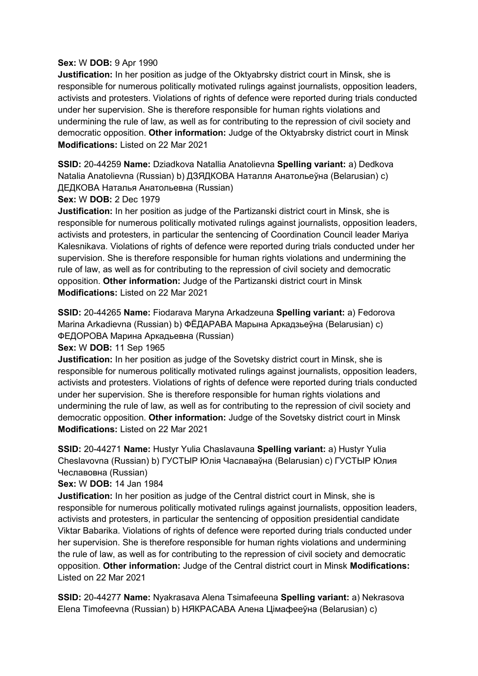### **Sex:** W **DOB:** 9 Apr 1990

**Justification:** In her position as judge of the Oktyabrsky district court in Minsk, she is responsible for numerous politically motivated rulings against journalists, opposition leaders, activists and protesters. Violations of rights of defence were reported during trials conducted under her supervision. She is therefore responsible for human rights violations and undermining the rule of law, as well as for contributing to the repression of civil society and democratic opposition. **Other information:** Judge of the Oktyabrsky district court in Minsk **Modifications:** Listed on 22 Mar 2021

**SSID:** 20-44259 **Name:** Dziadkova Natallia Anatolievna **Spelling variant:** a) Dedkova Natalia Anatolievna (Russian) b) ДЗЯДКОВА Наталля Анатольеўна (Belarusian) c) ДЕДКОВА Наталья Анатольевна (Russian)

### **Sex:** W **DOB:** 2 Dec 1979

**Justification:** In her position as judge of the Partizanski district court in Minsk, she is responsible for numerous politically motivated rulings against journalists, opposition leaders, activists and protesters, in particular the sentencing of Coordination Council leader Mariya Kalesnikava. Violations of rights of defence were reported during trials conducted under her supervision. She is therefore responsible for human rights violations and undermining the rule of law, as well as for contributing to the repression of civil society and democratic opposition. **Other information:** Judge of the Partizanski district court in Minsk **Modifications:** Listed on 22 Mar 2021

**SSID:** 20-44265 **Name:** Fiodarava Maryna Arkadzeuna **Spelling variant:** a) Fedorova Marina Arkadievna (Russian) b) ФЁДАРАВА Марына Аркадзьеўна (Belarusian) c) ФЕДОРОВА Марина Аркадьевна (Russian)

**Sex:** W **DOB:** 11 Sep 1965

**Justification:** In her position as judge of the Sovetsky district court in Minsk, she is responsible for numerous politically motivated rulings against journalists, opposition leaders, activists and protesters. Violations of rights of defence were reported during trials conducted under her supervision. She is therefore responsible for human rights violations and undermining the rule of law, as well as for contributing to the repression of civil society and democratic opposition. **Other information:** Judge of the Sovetsky district court in Minsk **Modifications:** Listed on 22 Mar 2021

**SSID:** 20-44271 **Name:** Hustyr Yulia Chaslavauna **Spelling variant:** a) Hustyr Yulia Cheslavovna (Russian) b) ГУСТЫР Юлiя Чаславаўна (Belarusian) c) ГУСТЫР Юлия Чеславовна (Russian)

**Sex:** W **DOB:** 14 Jan 1984

**Justification:** In her position as judge of the Central district court in Minsk, she is responsible for numerous politically motivated rulings against journalists, opposition leaders, activists and protesters, in particular the sentencing of opposition presidential candidate Viktar Babarika. Violations of rights of defence were reported during trials conducted under her supervision. She is therefore responsible for human rights violations and undermining the rule of law, as well as for contributing to the repression of civil society and democratic opposition. **Other information:** Judge of the Central district court in Minsk **Modifications:**  Listed on 22 Mar 2021

**SSID:** 20-44277 **Name:** Nyakrasava Alena Tsimafeeuna **Spelling variant:** a) Nekrasova Elena Timofeevna (Russian) b) НЯКРАСАВА Алена Цiмафееўна (Belarusian) c)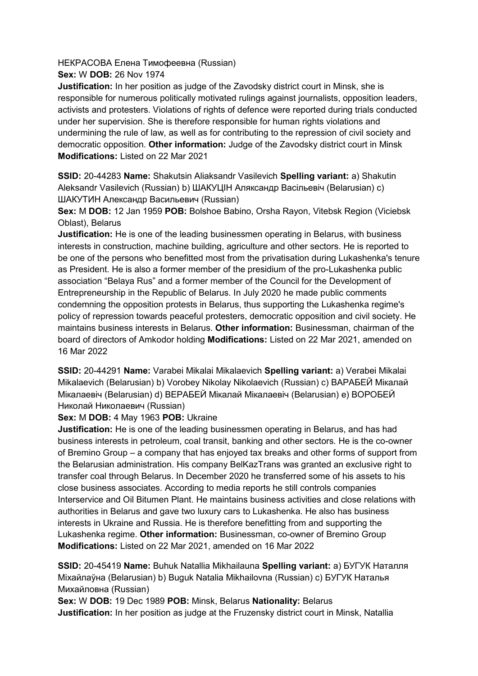НЕКРАСОВА Елена Тимофеевна (Russian)

**Sex:** W **DOB:** 26 Nov 1974

**Justification:** In her position as judge of the Zavodsky district court in Minsk, she is responsible for numerous politically motivated rulings against journalists, opposition leaders, activists and protesters. Violations of rights of defence were reported during trials conducted under her supervision. She is therefore responsible for human rights violations and undermining the rule of law, as well as for contributing to the repression of civil society and democratic opposition. **Other information:** Judge of the Zavodsky district court in Minsk **Modifications:** Listed on 22 Mar 2021

**SSID:** 20-44283 **Name:** Shakutsin Aliaksandr Vasilevich **Spelling variant:** a) Shakutin Aleksandr Vasilevich (Russian) b) ШАКУЦIН Аляксандр Васiльевiч (Belarusian) c) ШАКУТИН Александр Васильевич (Russian)

**Sex:** M **DOB:** 12 Jan 1959 **POB:** Bolshoe Babino, Orsha Rayon, Vitebsk Region (Viciebsk Oblast), Belarus

**Justification:** He is one of the leading businessmen operating in Belarus, with business interests in construction, machine building, agriculture and other sectors. He is reported to be one of the persons who benefitted most from the privatisation during Lukashenka's tenure as President. He is also a former member of the presidium of the pro-Lukashenka public association "Belaya Rus" and a former member of the Council for the Development of Entrepreneurship in the Republic of Belarus. In July 2020 he made public comments condemning the opposition protests in Belarus, thus supporting the Lukashenka regime's policy of repression towards peaceful protesters, democratic opposition and civil society. He maintains business interests in Belarus. **Other information:** Businessman, chairman of the board of directors of Amkodor holding **Modifications:** Listed on 22 Mar 2021, amended on 16 Mar 2022

**SSID:** 20-44291 **Name:** Varabei Mikalai Mikalaevich **Spelling variant:** a) Verabei Mikalai Mikalaevich (Belarusian) b) Vorobey Nikolay Nikolaevich (Russian) c) ВАРАБЕЙ Мiкалай Мiкалаевiч (Belarusian) d) ВЕРАБЕЙ Мiкалай Мiкалаевiч (Belarusian) e) ВОРОБЕЙ Николай Николаевич (Russian)

**Sex:** M **DOB:** 4 May 1963 **POB:** Ukraine

**Justification:** He is one of the leading businessmen operating in Belarus, and has had business interests in petroleum, coal transit, banking and other sectors. He is the co-owner of Bremino Group – a company that has enjoyed tax breaks and other forms of support from the Belarusian administration. His company BelKazTrans was granted an exclusive right to transfer coal through Belarus. In December 2020 he transferred some of his assets to his close business associates. According to media reports he still controls companies Interservice and Oil Bitumen Plant. He maintains business activities and close relations with authorities in Belarus and gave two luxury cars to Lukashenka. He also has business interests in Ukraine and Russia. He is therefore benefitting from and supporting the Lukashenka regime. **Other information:** Businessman, co-owner of Bremino Group **Modifications:** Listed on 22 Mar 2021, amended on 16 Mar 2022

**SSID:** 20-45419 **Name:** Buhuk Natallia Mikhailauna **Spelling variant:** a) БУГУК Наталля Мiхайлаўна (Belarusian) b) Buguk Natalia Mikhailovna (Russian) c) БУГУК Наталья Михайловна (Russian)

**Sex:** W **DOB:** 19 Dec 1989 **POB:** Minsk, Belarus **Nationality:** Belarus **Justification:** In her position as judge at the Fruzensky district court in Minsk, Natallia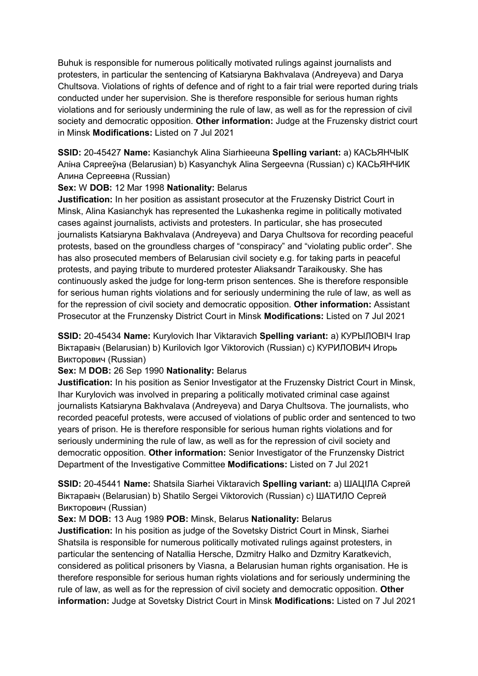Buhuk is responsible for numerous politically motivated rulings against journalists and protesters, in particular the sentencing of Katsiaryna Bakhvalava (Andreyeva) and Darya Chultsova. Violations of rights of defence and of right to a fair trial were reported during trials conducted under her supervision. She is therefore responsible for serious human rights violations and for seriously undermining the rule of law, as well as for the repression of civil society and democratic opposition. **Other information:** Judge at the Fruzensky district court in Minsk **Modifications:** Listed on 7 Jul 2021

**SSID:** 20-45427 **Name:** Kasianchyk Alina Siarhieeuna **Spelling variant:** a) КАСЬЯНЧЫК Алiна Сяргееўна (Belarusian) b) Kasyanchyk Alina Sergeevna (Russian) c) КАСЬЯНЧИК Алина Сергеевна (Russian)

### **Sex:** W **DOB:** 12 Mar 1998 **Nationality:** Belarus

**Justification:** In her position as assistant prosecutor at the Fruzensky District Court in Minsk, Alina Kasianchyk has represented the Lukashenka regime in politically motivated cases against journalists, activists and protesters. In particular, she has prosecuted journalists Katsiaryna Bakhvalava (Andreyeva) and Darya Chultsova for recording peaceful protests, based on the groundless charges of "conspiracy" and "violating public order". She has also prosecuted members of Belarusian civil society e.g. for taking parts in peaceful protests, and paying tribute to murdered protester Aliaksandr Taraikousky. She has continuously asked the judge for long-term prison sentences. She is therefore responsible for serious human rights violations and for seriously undermining the rule of law, as well as for the repression of civil society and democratic opposition. **Other information:** Assistant Prosecutor at the Frunzensky District Court in Minsk **Modifications:** Listed on 7 Jul 2021

**SSID:** 20-45434 **Name:** Kurylovich Ihar Viktaravich **Spelling variant:** a) КУРЫЛОВIЧ Iгар Віктаравіч (Belarusian) b) Kurilovich Igor Viktorovich (Russian) с) КУРИЛОВИЧ Игорь Викторович (Russian)

**Sex:** M **DOB:** 26 Sep 1990 **Nationality:** Belarus

**Justification:** In his position as Senior Investigator at the Fruzensky District Court in Minsk, Ihar Kurylovich was involved in preparing a politically motivated criminal case against journalists Katsiaryna Bakhvalava (Andreyeva) and Darya Chultsova. The journalists, who recorded peaceful protests, were accused of violations of public order and sentenced to two years of prison. He is therefore responsible for serious human rights violations and for seriously undermining the rule of law, as well as for the repression of civil society and democratic opposition. **Other information:** Senior Investigator of the Frunzensky District Department of the Investigative Committee **Modifications:** Listed on 7 Jul 2021

**SSID:** 20-45441 **Name:** Shatsila Siarhei Viktaravich **Spelling variant:** a) ШАЦIЛА Сяргей Віктаравіч (Belarusian) b) Shatilo Sergei Viktorovich (Russian) с) ШАТИЛО Сергей Викторович (Russian)

### **Sex:** M **DOB:** 13 Aug 1989 **POB:** Minsk, Belarus **Nationality:** Belarus

**Justification:** In his position as judge of the Sovetsky District Court in Minsk, Siarhei Shatsila is responsible for numerous politically motivated rulings against protesters, in particular the sentencing of Natallia Hersche, Dzmitry Halko and Dzmitry Karatkevich, considered as political prisoners by Viasna, a Belarusian human rights organisation. He is therefore responsible for serious human rights violations and for seriously undermining the rule of law, as well as for the repression of civil society and democratic opposition. **Other information:** Judge at Sovetsky District Court in Minsk **Modifications:** Listed on 7 Jul 2021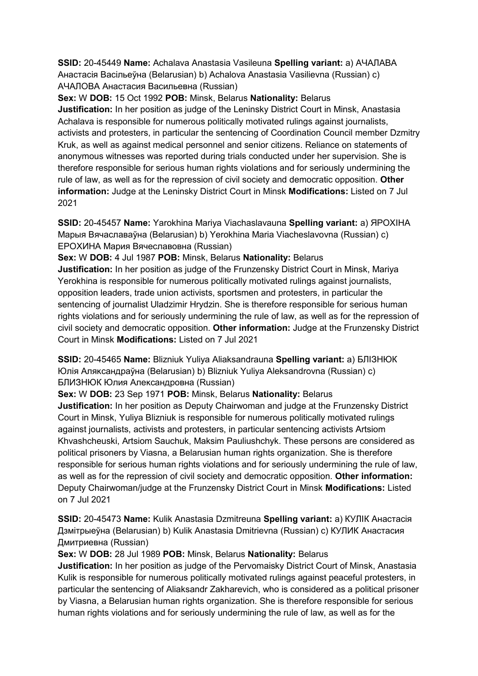**SSID:** 20-45449 **Name:** Achalava Anastasia Vasileuna **Spelling variant:** a) АЧАЛАВА Анастасiя Васiльеўна (Belarusian) b) Achalova Anastasia Vasilievna (Russian) c) АЧАЛОВА Анастасия Васильевна (Russian)

**Sex:** W **DOB:** 15 Oct 1992 **POB:** Minsk, Belarus **Nationality:** Belarus **Justification:** In her position as judge of the Leninsky District Court in Minsk, Anastasia Achalava is responsible for numerous politically motivated rulings against journalists, activists and protesters, in particular the sentencing of Coordination Council member Dzmitry Kruk, as well as against medical personnel and senior citizens. Reliance on statements of anonymous witnesses was reported during trials conducted under her supervision. She is therefore responsible for serious human rights violations and for seriously undermining the rule of law, as well as for the repression of civil society and democratic opposition. **Other information:** Judge at the Leninsky District Court in Minsk **Modifications:** Listed on 7 Jul 2021

**SSID:** 20-45457 **Name:** Yarokhina Mariya Viachaslavauna **Spelling variant:** a) ЯРОХIНА Марыя Вячаславаўна (Belarusian) b) Yerokhina Maria Viacheslavovna (Russian) c) ЕРОХИНА Мария Вячеславовна (Russian)

**Sex:** W **DOB:** 4 Jul 1987 **POB:** Minsk, Belarus **Nationality:** Belarus

**Justification:** In her position as judge of the Frunzensky District Court in Minsk, Mariya Yerokhina is responsible for numerous politically motivated rulings against journalists, opposition leaders, trade union activists, sportsmen and protesters, in particular the sentencing of journalist Uladzimir Hrydzin. She is therefore responsible for serious human rights violations and for seriously undermining the rule of law, as well as for the repression of civil society and democratic opposition. **Other information:** Judge at the Frunzensky District Court in Minsk **Modifications:** Listed on 7 Jul 2021

**SSID:** 20-45465 **Name:** Blizniuk Yuliya Aliaksandrauna **Spelling variant:** a) БЛIЗНЮК Юлiя Аляĸсандраўна (Belarusian) b) Blizniuk Yuliya Aleksandrovna (Russian) c) БЛИЗНЮК Юлия Алеĸсандровна (Russian)

**Sex:** W **DOB:** 23 Sep 1971 **POB:** Minsk, Belarus **Nationality:** Belarus

**Justification:** In her position as Deputy Chairwoman and judge at the Frunzensky District Court in Minsk, Yuliya Blizniuk is responsible for numerous politically motivated rulings against journalists, activists and protesters, in particular sentencing activists Artsiom Khvashcheuski, Artsiom Sauchuk, Maksim Pauliushchyk. These persons are considered as political prisoners by Viasna, a Belarusian human rights organization. She is therefore responsible for serious human rights violations and for seriously undermining the rule of law, as well as for the repression of civil society and democratic opposition. **Other information:** Deputy Chairwoman/judge at the Frunzensky District Court in Minsk **Modifications:** Listed on 7 Jul 2021

**SSID:** 20-45473 **Name:** Kulik Anastasia Dzmitreuna **Spelling variant:** a) КУЛIК Анастасiя Дзмiтрыеўна (Belarusian) b) Kulik Anastasia Dmitrievna (Russian) c) КУЛИК Анастасия Дмитриевна (Russian)

**Sex:** W **DOB:** 28 Jul 1989 **POB:** Minsk, Belarus **Nationality:** Belarus

**Justification:** In her position as judge of the Pervomaisky District Court of Minsk, Anastasia Kulik is responsible for numerous politically motivated rulings against peaceful protesters, in particular the sentencing of Aliaksandr Zakharevich, who is considered as a political prisoner by Viasna, a Belarusian human rights organization. She is therefore responsible for serious human rights violations and for seriously undermining the rule of law, as well as for the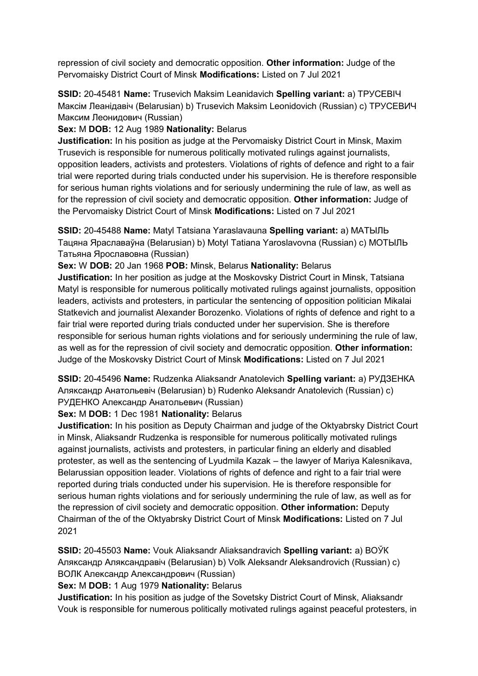repression of civil society and democratic opposition. **Other information:** Judge of the Pervomaisky District Court of Minsk **Modifications:** Listed on 7 Jul 2021

**SSID:** 20-45481 **Name:** Trusevich Maksim Leanidavich **Spelling variant:** a) ТРУСЕВIЧ Маĸсiм Леанiдавiч (Belarusian) b) Trusevich Maksim Leonidovich (Russian) c) ТРУСЕВИЧ Максим Леонидович (Russian)

**Sex:** M **DOB:** 12 Aug 1989 **Nationality:** Belarus

**Justification:** In his position as judge at the Pervomaisky District Court in Minsk, Maxim Trusevich is responsible for numerous politically motivated rulings against journalists, opposition leaders, activists and protesters. Violations of rights of defence and right to a fair trial were reported during trials conducted under his supervision. He is therefore responsible for serious human rights violations and for seriously undermining the rule of law, as well as for the repression of civil society and democratic opposition. **Other information:** Judge of the Pervomaisky District Court of Minsk **Modifications:** Listed on 7 Jul 2021

**SSID:** 20-45488 **Name:** Matyl Tatsiana Yaraslavauna **Spelling variant:** a) МАТЫЛЬ Тацяна Яраславаўна (Belarusian) b) Motyl Tatiana Yaroslavovna (Russian) c) МОТЫЛЬ Татьяна Ярославовна (Russian)

**Sex:** W **DOB:** 20 Jan 1968 **POB:** Minsk, Belarus **Nationality:** Belarus

**Justification:** In her position as judge at the Moskovsky District Court in Minsk, Tatsiana Matyl is responsible for numerous politically motivated rulings against journalists, opposition leaders, activists and protesters, in particular the sentencing of opposition politician Mikalai Statkevich and journalist Alexander Borozenko. Violations of rights of defence and right to a fair trial were reported during trials conducted under her supervision. She is therefore responsible for serious human rights violations and for seriously undermining the rule of law, as well as for the repression of civil society and democratic opposition. **Other information:** Judge of the Moskovsky District Court of Minsk **Modifications:** Listed on 7 Jul 2021

**SSID:** 20-45496 **Name:** Rudzenka Aliaksandr Anatolevich **Spelling variant:** a) РУДЗЕНКА Аляĸсандр Анатольевiч (Belarusian) b) Rudenko Aleksandr Anatolevich (Russian) c) РУДЕНКО Александр Анатольевич (Russian)

**Sex:** M **DOB:** 1 Dec 1981 **Nationality:** Belarus

**Justification:** In his position as Deputy Chairman and judge of the Oktyabrsky District Court in Minsk, Aliaksandr Rudzenka is responsible for numerous politically motivated rulings against journalists, activists and protesters, in particular fining an elderly and disabled protester, as well as the sentencing of Lyudmila Kazak – the lawyer of Mariya Kalesnikava, Belarussian opposition leader. Violations of rights of defence and right to a fair trial were reported during trials conducted under his supervision. He is therefore responsible for serious human rights violations and for seriously undermining the rule of law, as well as for the repression of civil society and democratic opposition. **Other information:** Deputy Chairman of the of the Oktyabrsky District Court of Minsk **Modifications:** Listed on 7 Jul 2021

**SSID:** 20-45503 **Name:** Vouk Aliaksandr Aliaksandravich **Spelling variant:** a) ВОЎК Аляĸсандр Аляĸсандравiч (Belarusian) b) Volk Aleksandr Aleksandrovich (Russian) c) ВОЛК Александр Александрович (Russian)

## **Sex:** M **DOB:** 1 Aug 1979 **Nationality:** Belarus

**Justification:** In his position as judge of the Sovetsky District Court of Minsk, Aliaksandr Vouk is responsible for numerous politically motivated rulings against peaceful protesters, in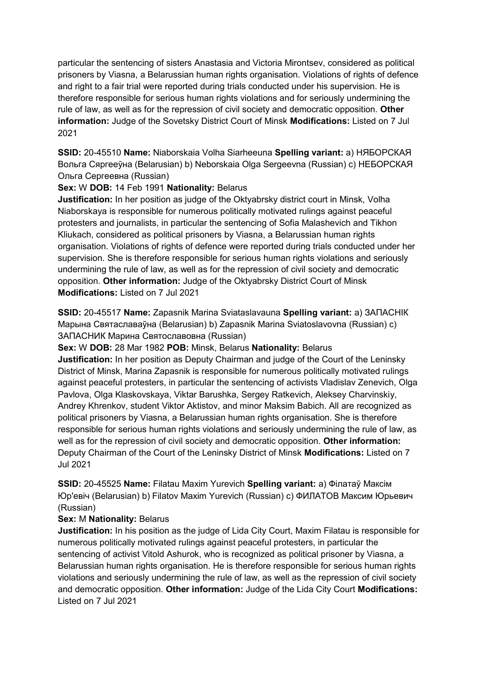particular the sentencing of sisters Anastasia and Victoria Mirontsev, considered as political prisoners by Viasna, a Belarussian human rights organisation. Violations of rights of defence and right to a fair trial were reported during trials conducted under his supervision. He is therefore responsible for serious human rights violations and for seriously undermining the rule of law, as well as for the repression of civil society and democratic opposition. **Other information:** Judge of the Sovetsky District Court of Minsk **Modifications:** Listed on 7 Jul 2021

**SSID:** 20-45510 **Name:** Niaborskaia Volha Siarheeuna **Spelling variant:** a) НЯБОРСКАЯ Вольга Сяргееўна (Belarusian) b) Neborskaia Olga Sergeevna (Russian) c) НЕБОРСКАЯ Ольга Сергеевна (Russian)

## **Sex:** W **DOB:** 14 Feb 1991 **Nationality:** Belarus

**Justification:** In her position as judge of the Oktyabrsky district court in Minsk, Volha Niaborskaya is responsible for numerous politically motivated rulings against peaceful protesters and journalists, in particular the sentencing of Sofia Malashevich and Tikhon Kliukach, considered as political prisoners by Viasna, a Belarussian human rights organisation. Violations of rights of defence were reported during trials conducted under her supervision. She is therefore responsible for serious human rights violations and seriously undermining the rule of law, as well as for the repression of civil society and democratic opposition. **Other information:** Judge of the Oktyabrsky District Court of Minsk **Modifications:** Listed on 7 Jul 2021

**SSID:** 20-45517 **Name:** Zapasnik Marina Sviataslavauna **Spelling variant:** a) ЗАПАСНIК Марына Святаславаўна (Belarusian) b) Zapasnik Marina Sviatoslavovna (Russian) c) ЗАПАСНИК Марина Святославовна (Russian)

**Sex:** W **DOB:** 28 Mar 1982 **POB:** Minsk, Belarus **Nationality:** Belarus

**Justification:** In her position as Deputy Chairman and judge of the Court of the Leninsky District of Minsk, Marina Zapasnik is responsible for numerous politically motivated rulings against peaceful protesters, in particular the sentencing of activists Vladislav Zenevich, Olga Pavlova, Olga Klaskovskaya, Viktar Barushka, Sergey Ratkevich, Aleksey Charvinskiy, Andrey Khrenkov, student Viktor Aktistov, and minor Maksim Babich. All are recognized as political prisoners by Viasna, a Belarussian human rights organisation. She is therefore responsible for serious human rights violations and seriously undermining the rule of law, as well as for the repression of civil society and democratic opposition. **Other information:** Deputy Chairman of the Court of the Leninsky District of Minsk **Modifications:** Listed on 7 Jul 2021

**SSID:** 20-45525 **Name:** Filatau Maxim Yurevich **Spelling variant:** a) Фiлатаў Максiм Юр'евiч (Belarusian) b) Filatov Maxim Yurevich (Russian) c) ФИЛАТОВ Максим Юрьевич (Russian)

### **Sex:** M **Nationality:** Belarus

**Justification:** In his position as the judge of Lida City Court, Maxim Filatau is responsible for numerous politically motivated rulings against peaceful protesters, in particular the sentencing of activist Vitold Ashurok, who is recognized as political prisoner by Viasna, a Belarussian human rights organisation. He is therefore responsible for serious human rights violations and seriously undermining the rule of law, as well as the repression of civil society and democratic opposition. **Other information:** Judge of the Lida City Court **Modifications:**  Listed on 7 Jul 2021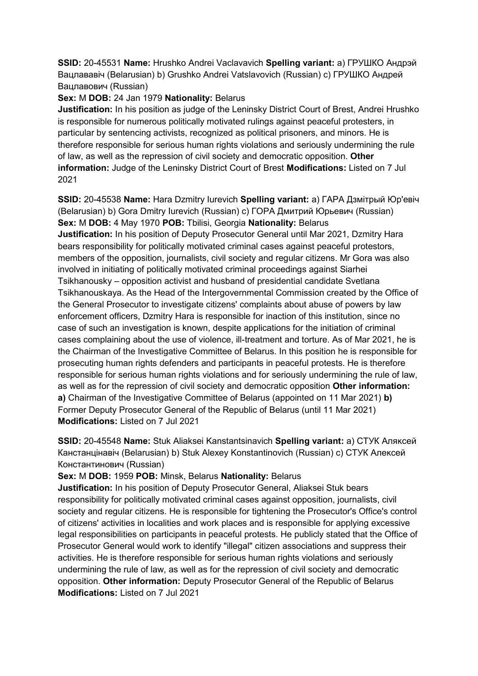**SSID:** 20-45531 **Name:** Hrushko Andrei Vaclavavich **Spelling variant:** a) ГРУШКО Андрэй Вацлававiч (Belarusian) b) Grushko Andrei Vatslavovich (Russian) c) ГРУШКО Андрей Вацлавович (Russian)

### **Sex:** M **DOB:** 24 Jan 1979 **Nationality:** Belarus

**Justification:** In his position as judge of the Leninsky District Court of Brest, Andrei Hrushko is responsible for numerous politically motivated rulings against peaceful protesters, in particular by sentencing activists, recognized as political prisoners, and minors. He is therefore responsible for serious human rights violations and seriously undermining the rule of law, as well as the repression of civil society and democratic opposition. **Other information:** Judge of the Leninsky District Court of Brest **Modifications:** Listed on 7 Jul 2021

**SSID:** 20-45538 **Name:** Hara Dzmitry Iurevich **Spelling variant:** a) ГАРА Дзмiтрый Юр'евiч (Belarusian) b) Gora Dmitry Iurevich (Russian) c) ГОРА Дмитрий Юрьевич (Russian) **Sex:** M **DOB:** 4 May 1970 **POB:** Tbilisi, Georgia **Nationality:** Belarus **Justification:** In his position of Deputy Prosecutor General until Mar 2021, Dzmitry Hara bears responsibility for politically motivated criminal cases against peaceful protestors, members of the opposition, journalists, civil society and regular citizens. Mr Gora was also involved in initiating of politically motivated criminal proceedings against Siarhei Tsikhanousky – opposition activist and husband of presidential candidate Svetlana Tsikhanouskaya. As the Head of the Intergovernmental Commission created by the Office of the General Prosecutor to investigate citizens' complaints about abuse of powers by law enforcement officers, Dzmitry Hara is responsible for inaction of this institution, since no case of such an investigation is known, despite applications for the initiation of criminal cases complaining about the use of violence, ill-treatment and torture. As of Mar 2021, he is the Chairman of the Investigative Committee of Belarus. In this position he is responsible for prosecuting human rights defenders and participants in peaceful protests. He is therefore responsible for serious human rights violations and for seriously undermining the rule of law, as well as for the repression of civil society and democratic opposition **Other information: a)** Chairman of the Investigative Committee of Belarus (appointed on 11 Mar 2021) **b)**  Former Deputy Prosecutor General of the Republic of Belarus (until 11 Mar 2021) **Modifications:** Listed on 7 Jul 2021

**SSID:** 20-45548 **Name:** Stuk Aliaksei Kanstantsinavich **Spelling variant:** a) СТУК Аляĸсей Канстанцiнавiч (Belarusian) b) Stuk Alexey Konstantinovich (Russian) c) СТУК Алеĸсей Константинович (Russian)

## **Sex:** M **DOB:** 1959 **POB:** Minsk, Belarus **Nationality:** Belarus

**Justification:** In his position of Deputy Prosecutor General, Aliaksei Stuk bears responsibility for politically motivated criminal cases against opposition, journalists, civil society and regular citizens. He is responsible for tightening the Prosecutor's Office's control of citizens' activities in localities and work places and is responsible for applying excessive legal responsibilities on participants in peaceful protests. He publicly stated that the Office of Prosecutor General would work to identify "illegal" citizen associations and suppress their activities. He is therefore responsible for serious human rights violations and seriously undermining the rule of law, as well as for the repression of civil society and democratic opposition. **Other information:** Deputy Prosecutor General of the Republic of Belarus **Modifications:** Listed on 7 Jul 2021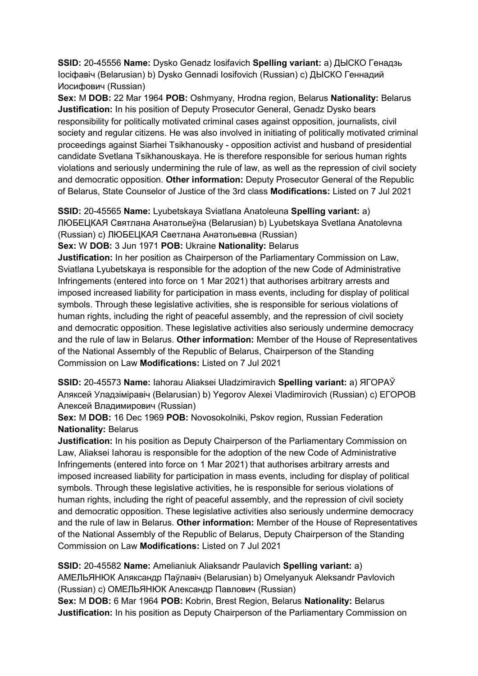**SSID:** 20-45556 **Name:** Dysko Genadz Iosifavich **Spelling variant:** a) ДЫСКО Генадзь Iосiфавiч (Belarusian) b) Dysko Gennadi Iosifovich (Russian) c) ДЫСКО Геннадий Иосифович (Russian)

**Sex:** M **DOB:** 22 Mar 1964 **POB:** Oshmyany, Hrodna region, Belarus **Nationality:** Belarus **Justification:** In his position of Deputy Prosecutor General, Genadz Dysko bears responsibility for politically motivated criminal cases against opposition, journalists, civil society and regular citizens. He was also involved in initiating of politically motivated criminal proceedings against Siarhei Tsikhanousky - opposition activist and husband of presidential candidate Svetlana Tsikhanouskaya. He is therefore responsible for serious human rights violations and seriously undermining the rule of law, as well as the repression of civil society and democratic opposition. **Other information:** Deputy Prosecutor General of the Republic of Belarus, State Counselor of Justice of the 3rd class **Modifications:** Listed on 7 Jul 2021

**SSID:** 20-45565 **Name:** Lyubetskaya Sviatlana Anatoleuna **Spelling variant:** a) ЛЮБЕЦКАЯ Святлана Анатольеўна (Belarusian) b) Lyubetskaya Svetlana Anatolevna (Russian) c) ЛЮБЕЦКАЯ Светлана Анатольевна (Russian)

**Sex:** W **DOB:** 3 Jun 1971 **POB:** Ukraine **Nationality:** Belarus

**Justification:** In her position as Chairperson of the Parliamentary Commission on Law, Sviatlana Lyubetskaya is responsible for the adoption of the new Code of Administrative Infringements (entered into force on 1 Mar 2021) that authorises arbitrary arrests and imposed increased liability for participation in mass events, including for display of political symbols. Through these legislative activities, she is responsible for serious violations of human rights, including the right of peaceful assembly, and the repression of civil society and democratic opposition. These legislative activities also seriously undermine democracy and the rule of law in Belarus. **Other information:** Member of the House of Representatives of the National Assembly of the Republic of Belarus, Chairperson of the Standing Commission on Law **Modifications:** Listed on 7 Jul 2021

**SSID:** 20-45573 **Name:** Iahorau Aliaksei Uladzimiravich **Spelling variant:** a) ЯГОРАЎ Аляксей Уладзiмiравiч (Belarusian) b) Yegorov Alexei Vladimirovich (Russian) c) ЕГОРОВ Алексей Владимирович (Russian)

**Sex:** M **DOB:** 16 Dec 1969 **POB:** Novosokolniki, Pskov region, Russian Federation **Nationality:** Belarus

**Justification:** In his position as Deputy Chairperson of the Parliamentary Commission on Law, Aliaksei Iahorau is responsible for the adoption of the new Code of Administrative Infringements (entered into force on 1 Mar 2021) that authorises arbitrary arrests and imposed increased liability for participation in mass events, including for display of political symbols. Through these legislative activities, he is responsible for serious violations of human rights, including the right of peaceful assembly, and the repression of civil society and democratic opposition. These legislative activities also seriously undermine democracy and the rule of law in Belarus. **Other information:** Member of the House of Representatives of the National Assembly of the Republic of Belarus, Deputy Chairperson of the Standing Commission on Law **Modifications:** Listed on 7 Jul 2021

**SSID:** 20-45582 **Name:** Amelianiuk Aliaksandr Paulavich **Spelling variant:** a) АМЕЛЬЯНЮК Аляксандр Паўлавiч (Belarusian) b) Omelyanyuk Aleksandr Pavlovich (Russian) c) ОМЕЛЬЯНЮК Александр Павлович (Russian) **Sex:** M **DOB:** 6 Mar 1964 **POB:** Kobrin, Brest Region, Belarus **Nationality:** Belarus

**Justification:** In his position as Deputy Chairperson of the Parliamentary Commission on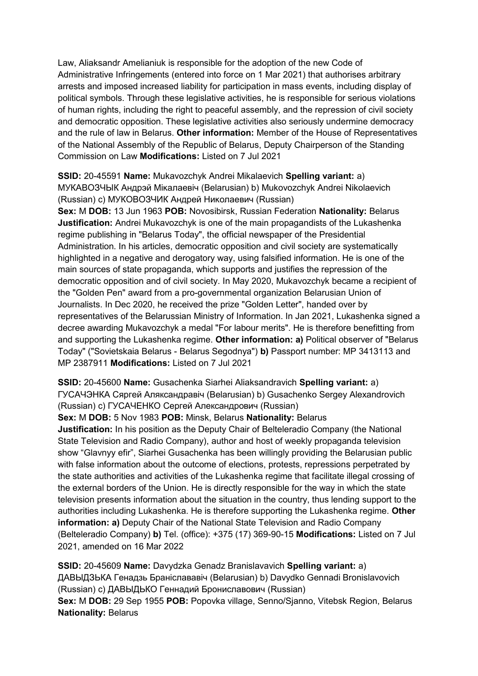Law, Aliaksandr Amelianiuk is responsible for the adoption of the new Code of Administrative Infringements (entered into force on 1 Mar 2021) that authorises arbitrary arrests and imposed increased liability for participation in mass events, including display of political symbols. Through these legislative activities, he is responsible for serious violations of human rights, including the right to peaceful assembly, and the repression of civil society and democratic opposition. These legislative activities also seriously undermine democracy and the rule of law in Belarus. **Other information:** Member of the House of Representatives of the National Assembly of the Republic of Belarus, Deputy Chairperson of the Standing Commission on Law **Modifications:** Listed on 7 Jul 2021

**SSID:** 20-45591 **Name:** Mukavozchyk Andrei Mikalaevich **Spelling variant:** a) МУКАВОЗЧЫК Андрэй Мiĸалаевiч (Belarusian) b) Mukovozchyk Andrei Nikolaevich (Russian) c) МУКОВОЗЧИК Андрей Ниĸолаевич (Russian)

**Sex:** M **DOB:** 13 Jun 1963 **POB:** Novosibirsk, Russian Federation **Nationality:** Belarus **Justification:** Andrei Mukavozchyk is one of the main propagandists of the Lukashenka regime publishing in "Belarus Today", the official newspaper of the Presidential Administration. In his articles, democratic opposition and civil society are systematically highlighted in a negative and derogatory way, using falsified information. He is one of the main sources of state propaganda, which supports and justifies the repression of the democratic opposition and of civil society. In May 2020, Mukavozchyk became a recipient of the "Golden Pen" award from a pro-governmental organization Belarusian Union of Journalists. In Dec 2020, he received the prize "Golden Letter", handed over by representatives of the Belarussian Ministry of Information. In Jan 2021, Lukashenka signed a decree awarding Mukavozchyk a medal "For labour merits". He is therefore benefitting from and supporting the Lukashenka regime. **Other information: a)** Political observer of "Belarus Today" ("Sovietskaia Belarus - Belarus Segodnya") **b)** Passport number: MP 3413113 and MP 2387911 **Modifications:** Listed on 7 Jul 2021

**SSID:** 20-45600 **Name:** Gusachenka Siarhei Aliaksandravich **Spelling variant:** a) ГУСАЧЭНКА Сяргей Аляксандравiч (Belarusian) b) Gusachenko Sergey Alexandrovich (Russian) c) ГУСАЧЕНКО Сергей Александрович (Russian)

**Sex:** M **DOB:** 5 Nov 1983 **POB:** Minsk, Belarus **Nationality:** Belarus

**Justification:** In his position as the Deputy Chair of Belteleradio Company (the National State Television and Radio Company), author and host of weekly propaganda television show "Glavnyy efir", Siarhei Gusachenka has been willingly providing the Belarusian public with false information about the outcome of elections, protests, repressions perpetrated by the state authorities and activities of the Lukashenka regime that facilitate illegal crossing of the external borders of the Union. He is directly responsible for the way in which the state television presents information about the situation in the country, thus lending support to the authorities including Lukashenka. He is therefore supporting the Lukashenka regime. **Other information: a)** Deputy Chair of the National State Television and Radio Company (Belteleradio Company) **b)** Tel. (office): +375 (17) 369-90-15 **Modifications:** Listed on 7 Jul 2021, amended on 16 Mar 2022

**SSID:** 20-45609 **Name:** Davydzka Genadz Branislavavich **Spelling variant:** a) ДАВЫДЗЬКА Генадзь Бранiслававiч (Belarusian) b) Davydko Gennadi Bronislavovich (Russian) c) ДАВЫДЬКO Геннадий Брониславович (Russian) **Sex:** M **DOB:** 29 Sep 1955 **POB:** Popovka village, Senno/Sjanno, Vitebsk Region, Belarus **Nationality:** Belarus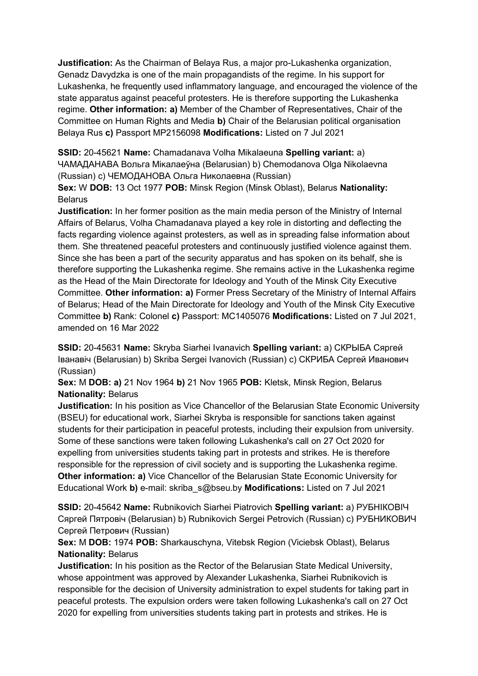**Justification:** As the Chairman of Belaya Rus, a major pro-Lukashenka organization, Genadz Davydzka is one of the main propagandists of the regime. In his support for Lukashenka, he frequently used inflammatory language, and encouraged the violence of the state apparatus against peaceful protesters. He is therefore supporting the Lukashenka regime. **Other information: a)** Member of the Chamber of Representatives, Chair of the Committee on Human Rights and Media **b)** Chair of the Belarusian political organisation Belaya Rus **c)** Passport MP2156098 **Modifications:** Listed on 7 Jul 2021

**SSID:** 20-45621 **Name:** Chamadanava Volha Mikalaeuna **Spelling variant:** a) ЧАМАДАНАВА Вольга Мiĸалаеўна (Belarusian) b) Chemodanova Olga Nikolaevna (Russian) c) ЧЕМОДАНОВА Ольга Ниĸолаевна (Russian)

**Sex:** W **DOB:** 13 Oct 1977 **POB:** Minsk Region (Minsk Oblast), Belarus **Nationality: Belarus** 

**Justification:** In her former position as the main media person of the Ministry of Internal Affairs of Belarus, Volha Chamadanava played a key role in distorting and deflecting the facts regarding violence against protesters, as well as in spreading false information about them. She threatened peaceful protesters and continuously justified violence against them. Since she has been a part of the security apparatus and has spoken on its behalf, she is therefore supporting the Lukashenka regime. She remains active in the Lukashenka regime as the Head of the Main Directorate for Ideology and Youth of the Minsk City Executive Committee. **Other information: a)** Former Press Secretary of the Ministry of Internal Affairs of Belarus; Head of the Main Directorate for Ideology and Youth of the Minsk City Executive Committee **b)** Rank: Colonel **c)** Passport: MC1405076 **Modifications:** Listed on 7 Jul 2021, amended on 16 Mar 2022

**SSID:** 20-45631 **Name:** Skryba Siarhei Ivanavich **Spelling variant:** a) СКРЫБА Сяргей Iванавiч (Belarusian) b) Skriba Sergei Ivanovich (Russian) c) СКРИБА Сергей Иванович (Russian)

**Sex:** M **DOB: a)** 21 Nov 1964 **b)** 21 Nov 1965 **POB:** Kletsk, Minsk Region, Belarus **Nationality:** Belarus

**Justification:** In his position as Vice Chancellor of the Belarusian State Economic University (BSEU) for educational work, Siarhei Skryba is responsible for sanctions taken against students for their participation in peaceful protests, including their expulsion from university. Some of these sanctions were taken following Lukashenka's call on 27 Oct 2020 for expelling from universities students taking part in protests and strikes. He is therefore responsible for the repression of civil society and is supporting the Lukashenka regime. **Other information: a)** Vice Chancellor of the Belarusian State Economic University for Educational Work **b)** e-mail: skriba\_s@bseu.by **Modifications:** Listed on 7 Jul 2021

**SSID:** 20-45642 **Name:** Rubnikovich Siarhei Piatrovich **Spelling variant:** a) РУБНIКОВIЧ Сяргей Пятровiч (Belarusian) b) Rubnikovich Sergei Petrovich (Russian) c) РУБНИКОВИЧ Сергей Петрович (Russian)

**Sex:** M **DOB:** 1974 **POB:** Sharkauschyna, Vitebsk Region (Viciebsk Oblast), Belarus **Nationality:** Belarus

**Justification:** In his position as the Rector of the Belarusian State Medical University, whose appointment was approved by Alexander Lukashenka, Siarhei Rubnikovich is responsible for the decision of University administration to expel students for taking part in peaceful protests. The expulsion orders were taken following Lukashenka's call on 27 Oct 2020 for expelling from universities students taking part in protests and strikes. He is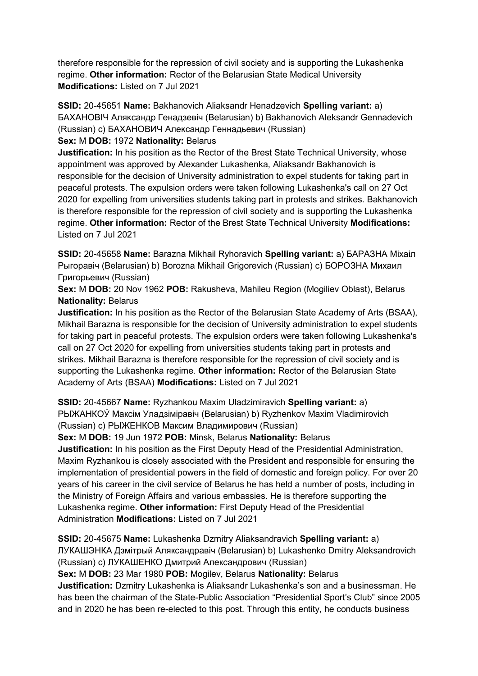therefore responsible for the repression of civil society and is supporting the Lukashenka regime. **Other information:** Rector of the Belarusian State Medical University **Modifications:** Listed on 7 Jul 2021

**SSID:** 20-45651 **Name:** Bakhanovich Aliaksandr Henadzevich **Spelling variant:** a) БАХАНОВIЧ Аляĸсандр Генадзевiч (Belarusian) b) Bakhanovich Aleksandr Gennadevich (Russian) с) БАХАНОВИЧ Александр Геннадьевич (Russian) **Sex:** M **DOB:** 1972 **Nationality:** Belarus

**Justification:** In his position as the Rector of the Brest State Technical University, whose appointment was approved by Alexander Lukashenka, Aliaksandr Bakhanovich is responsible for the decision of University administration to expel students for taking part in peaceful protests. The expulsion orders were taken following Lukashenka's call on 27 Oct 2020 for expelling from universities students taking part in protests and strikes. Bakhanovich

is therefore responsible for the repression of civil society and is supporting the Lukashenka regime. **Other information:** Rector of the Brest State Technical University **Modifications:**  Listed on 7 Jul 2021

**SSID:** 20-45658 **Name:** Barazna Mikhail Ryhoravich **Spelling variant:** a) БАРАЗНА Мiхаiл Рыгоравiч (Belarusian) b) Borozna Mikhail Grigorevich (Russian) c) БОРОЗНА Михаил Григорьевич (Russian)

**Sex:** M **DOB:** 20 Nov 1962 **POB:** Rakusheva, Mahileu Region (Mogiliev Oblast), Belarus **Nationality:** Belarus

**Justification:** In his position as the Rector of the Belarusian State Academy of Arts (BSAA), Mikhail Barazna is responsible for the decision of University administration to expel students for taking part in peaceful protests. The expulsion orders were taken following Lukashenka's call on 27 Oct 2020 for expelling from universities students taking part in protests and strikes. Mikhail Barazna is therefore responsible for the repression of civil society and is supporting the Lukashenka regime. **Other information:** Rector of the Belarusian State Academy of Arts (BSAA) **Modifications:** Listed on 7 Jul 2021

**SSID:** 20-45667 **Name:** Ryzhankou Maxim Uladzimiravich **Spelling variant:** a) РЫЖАНКОЎ Максiм Уладзiмiравiч (Belarusian) b) Ryzhenkov Maxim Vladimirovich (Russian) c) РЫЖЕНКОВ Максим Владимирович (Russian)

**Sex:** M **DOB:** 19 Jun 1972 **POB:** Minsk, Belarus **Nationality:** Belarus

**Justification:** In his position as the First Deputy Head of the Presidential Administration, Maxim Ryzhankou is closely associated with the President and responsible for ensuring the implementation of presidential powers in the field of domestic and foreign policy. For over 20 years of his career in the civil service of Belarus he has held a number of posts, including in the Ministry of Foreign Affairs and various embassies. He is therefore supporting the Lukashenka regime. **Other information:** First Deputy Head of the Presidential Administration **Modifications:** Listed on 7 Jul 2021

**SSID:** 20-45675 **Name:** Lukashenka Dzmitry Aliaksandravich **Spelling variant:** a) ЛУКАШЭНКА Дзмiтрый Аляксандравiч (Belarusian) b) Lukashenko Dmitry Aleksandrovich (Russian) c) ЛУКАШЕНКО Дмитрий Александрович (Russian)

**Sex:** M **DOB:** 23 Mar 1980 **POB:** Mogilev, Belarus **Nationality:** Belarus

**Justification:** Dzmitry Lukashenka is Aliaksandr Lukashenka's son and a businessman. He has been the chairman of the State-Public Association "Presidential Sport's Club" since 2005 and in 2020 he has been re-elected to this post. Through this entity, he conducts business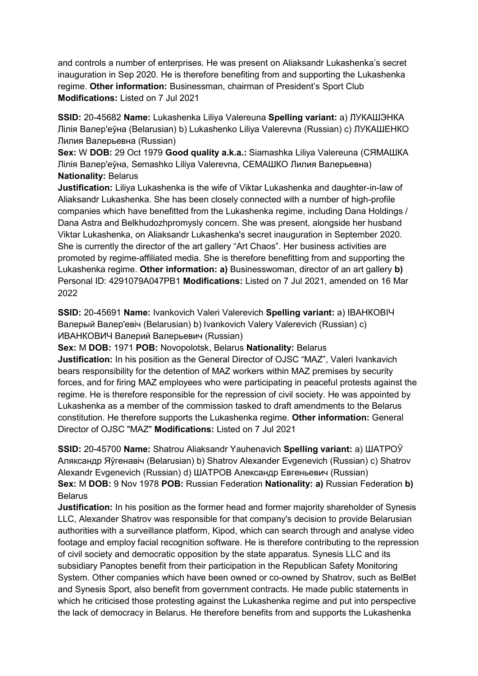and controls a number of enterprises. He was present on Aliaksandr Lukashenka's secret inauguration in Sep 2020. He is therefore benefiting from and supporting the Lukashenka regime. **Other information:** Businessman, chairman of President's Sport Club **Modifications:** Listed on 7 Jul 2021

**SSID:** 20-45682 **Name:** Lukashenka Liliya Valereuna **Spelling variant:** a) ЛУКАШЭНКА Лiлiя Валер'еўна (Belarusian) b) Lukashenko Liliya Valerevna (Russian) c) ЛУКАШЕНКО Лилия Валерьевна (Russian)

**Sex:** W **DOB:** 29 Oct 1979 **Good quality a.k.a.:** Siamashka Liliya Valereuna (СЯМАШКА Лiлiя Валер'еўна, Semashko Liliya Valerevna, СЕМАШКО Лилия Валерьевна) **Nationality:** Belarus

**Justification:** Liliya Lukashenka is the wife of Viktar Lukashenka and daughter-in-law of Aliaksandr Lukashenka. She has been closely connected with a number of high-profile companies which have benefitted from the Lukashenka regime, including Dana Holdings / Dana Astra and Belkhudozhpromysly concern. She was present, alongside her husband Viktar Lukashenka, on Aliaksandr Lukashenka's secret inauguration in September 2020. She is currently the director of the art gallery "Art Chaos". Her business activities are promoted by regime-affiliated media. She is therefore benefitting from and supporting the Lukashenka regime. **Other information: a)** Businesswoman, director of an art gallery **b)**  Personal ID: 4291079A047PB1 **Modifications:** Listed on 7 Jul 2021, amended on 16 Mar 2022

**SSID:** 20-45691 **Name:** Ivankovich Valeri Valerevich **Spelling variant:** a) IВАНКОВIЧ Валерый Валер'евiч (Belarusian) b) Ivankovich Valery Valerevich (Russian) c) ИВАНКОВИЧ Валерий Валерьевич (Russian)

**Sex:** M **DOB:** 1971 **POB:** Novopolotsk, Belarus **Nationality:** Belarus **Justification:** In his position as the General Director of OJSC "MAZ", Valeri Ivankavich bears responsibility for the detention of MAZ workers within MAZ premises by security forces, and for firing MAZ employees who were participating in peaceful protests against the regime. He is therefore responsible for the repression of civil society. He was appointed by Lukashenka as a member of the commission tasked to draft amendments to the Belarus constitution. He therefore supports the Lukashenka regime. **Other information:** General Director of OJSC "MAZ" **Modifications:** Listed on 7 Jul 2021

**SSID:** 20-45700 **Name:** Shatrou Aliaksandr Yauhenavich **Spelling variant:** a) ШАТРОЎ Аляксандр Яўгенавiч (Belarusian) b) Shatrov Alexander Evgenevich (Russian) c) Shatrov Alexandr Evgenevich (Russian) d) ШАТРОВ Александр Евгеньевич (Russian) **Sex:** M **DOB:** 9 Nov 1978 **POB:** Russian Federation **Nationality: a)** Russian Federation **b)**  Belarus

**Justification:** In his position as the former head and former majority shareholder of Synesis LLC, Alexander Shatrov was responsible for that company's decision to provide Belarusian authorities with a surveillance platform, Kipod, which can search through and analyse video footage and employ facial recognition software. He is therefore contributing to the repression of civil society and democratic opposition by the state apparatus. Synesis LLC and its subsidiary Panoptes benefit from their participation in the Republican Safety Monitoring System. Other companies which have been owned or co-owned by Shatrov, such as BelBet and Synesis Sport, also benefit from government contracts. He made public statements in which he criticised those protesting against the Lukashenka regime and put into perspective the lack of democracy in Belarus. He therefore benefits from and supports the Lukashenka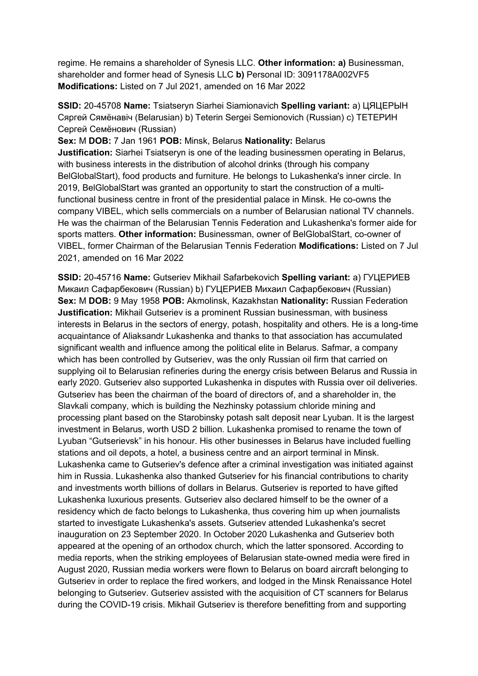regime. He remains a shareholder of Synesis LLC. **Other information: a)** Businessman, shareholder and former head of Synesis LLC **b)** Personal ID: 3091178A002VF5 **Modifications:** Listed on 7 Jul 2021, amended on 16 Mar 2022

**SSID:** 20-45708 **Name:** Tsiatseryn Siarhei Siamionavich **Spelling variant:** a) ЦЯЦЕРЫН Сяргей Сямёнавiч (Belarusian) b) Teterin Sergei Semionovich (Russian) c) ТЕТЕРИН Сергей Семёнович (Russian)

**Sex:** M **DOB:** 7 Jan 1961 **POB:** Minsk, Belarus **Nationality:** Belarus **Justification:** Siarhei Tsiatseryn is one of the leading businessmen operating in Belarus, with business interests in the distribution of alcohol drinks (through his company BelGlobalStart), food products and furniture. He belongs to Lukashenka's inner circle. In 2019, BelGlobalStart was granted an opportunity to start the construction of a multifunctional business centre in front of the presidential palace in Minsk. He co-owns the company VIBEL, which sells commercials on a number of Belarusian national TV channels. He was the chairman of the Belarusian Tennis Federation and Lukashenka's former aide for sports matters. **Other information:** Businessman, owner of BelGlobalStart, co-owner of VIBEL, former Chairman of the Belarusian Tennis Federation **Modifications:** Listed on 7 Jul 2021, amended on 16 Mar 2022

**SSID:** 20-45716 **Name:** Gutseriev Mikhail Safarbekovich **Spelling variant:** a) ГУЦЕРИЕВ Микаил Сафарбекович (Russian) b) ГУЦЕРИЕВ Михаил Сафарбекович (Russian) **Sex:** M **DOB:** 9 May 1958 **POB:** Akmolinsk, Kazakhstan **Nationality:** Russian Federation **Justification:** Mikhail Gutseriev is a prominent Russian businessman, with business interests in Belarus in the sectors of energy, potash, hospitality and others. He is a long-time acquaintance of Aliaksandr Lukashenka and thanks to that association has accumulated significant wealth and influence among the political elite in Belarus. Safmar, a company which has been controlled by Gutseriev, was the only Russian oil firm that carried on supplying oil to Belarusian refineries during the energy crisis between Belarus and Russia in early 2020. Gutseriev also supported Lukashenka in disputes with Russia over oil deliveries. Gutseriev has been the chairman of the board of directors of, and a shareholder in, the Slavkali company, which is building the Nezhinsky potassium chloride mining and processing plant based on the Starobinsky potash salt deposit near Lyuban. It is the largest investment in Belarus, worth USD 2 billion. Lukashenka promised to rename the town of Lyuban "Gutserievsk" in his honour. His other businesses in Belarus have included fuelling stations and oil depots, a hotel, a business centre and an airport terminal in Minsk. Lukashenka came to Gutseriev's defence after a criminal investigation was initiated against him in Russia. Lukashenka also thanked Gutseriev for his financial contributions to charity and investments worth billions of dollars in Belarus. Gutseriev is reported to have gifted Lukashenka luxurious presents. Gutseriev also declared himself to be the owner of a residency which de facto belongs to Lukashenka, thus covering him up when journalists started to investigate Lukashenka's assets. Gutseriev attended Lukashenka's secret inauguration on 23 September 2020. In October 2020 Lukashenka and Gutseriev both appeared at the opening of an orthodox church, which the latter sponsored. According to media reports, when the striking employees of Belarusian state-owned media were fired in August 2020, Russian media workers were flown to Belarus on board aircraft belonging to Gutseriev in order to replace the fired workers, and lodged in the Minsk Renaissance Hotel belonging to Gutseriev. Gutseriev assisted with the acquisition of CT scanners for Belarus during the COVID-19 crisis. Mikhail Gutseriev is therefore benefitting from and supporting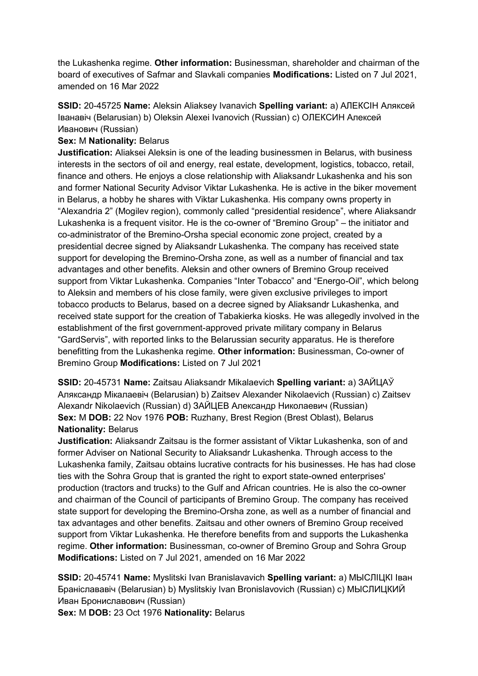the Lukashenka regime. **Other information:** Businessman, shareholder and chairman of the board of executives of Safmar and Slavkali companies **Modifications:** Listed on 7 Jul 2021, amended on 16 Mar 2022

**SSID:** 20-45725 **Name:** Aleksin Aliaksey Ivanavich **Spelling variant:** a) АЛЕКСIН Аляксей Iванавiч (Belarusian) b) Oleksin Alexei Ivanovich (Russian) c) ОЛЕКСИН Алексей Иванович (Russian)

### **Sex:** M **Nationality:** Belarus

**Justification:** Aliaksei Aleksin is one of the leading businessmen in Belarus, with business interests in the sectors of oil and energy, real estate, development, logistics, tobacco, retail, finance and others. He enjoys a close relationship with Aliaksandr Lukashenka and his son and former National Security Advisor Viktar Lukashenka. He is active in the biker movement in Belarus, a hobby he shares with Viktar Lukashenka. His company owns property in "Alexandria 2" (Mogilev region), commonly called "presidential residence", where Aliaksandr Lukashenka is a frequent visitor. He is the co-owner of "Bremino Group" – the initiator and co-administrator of the Bremino-Orsha special economic zone project, created by a presidential decree signed by Aliaksandr Lukashenka. The company has received state support for developing the Bremino-Orsha zone, as well as a number of financial and tax advantages and other benefits. Aleksin and other owners of Bremino Group received support from Viktar Lukashenka. Companies "Inter Tobacco" and "Energo-Oil", which belong to Aleksin and members of his close family, were given exclusive privileges to import tobacco products to Belarus, based on a decree signed by Aliaksandr Lukashenka, and received state support for the creation of Tabakierka kiosks. He was allegedly involved in the establishment of the first government-approved private military company in Belarus "GardServis", with reported links to the Belarussian security apparatus. He is therefore benefitting from the Lukashenka regime. **Other information:** Businessman, Co-owner of Bremino Group **Modifications:** Listed on 7 Jul 2021

**SSID:** 20-45731 **Name:** Zaitsau Aliaksandr Mikalaevich **Spelling variant:** a) ЗАЙЦАЎ Аляксандр Мiкалаевiч (Belarusian) b) Zaitsev Alexander Nikolaevich (Russian) c) Zaitsev Alexandr Nikolaevich (Russian) d) ЗАЙЦЕВ Александр Николаевич (Russian) **Sex:** M **DOB:** 22 Nov 1976 **POB:** Ruzhany, Brest Region (Brest Oblast), Belarus **Nationality:** Belarus

**Justification:** Aliaksandr Zaitsau is the former assistant of Viktar Lukashenka, son of and former Adviser on National Security to Aliaksandr Lukashenka. Through access to the Lukashenka family, Zaitsau obtains lucrative contracts for his businesses. He has had close ties with the Sohra Group that is granted the right to export state-owned enterprises' production (tractors and trucks) to the Gulf and African countries. He is also the co-owner and chairman of the Council of participants of Bremino Group. The company has received state support for developing the Bremino-Orsha zone, as well as a number of financial and tax advantages and other benefits. Zaitsau and other owners of Bremino Group received support from Viktar Lukashenka. He therefore benefits from and supports the Lukashenka regime. **Other information:** Businessman, co-owner of Bremino Group and Sohra Group **Modifications:** Listed on 7 Jul 2021, amended on 16 Mar 2022

**SSID:** 20-45741 **Name:** Myslitski Ivan Branislavavich **Spelling variant:** a) МЫСЛIЦКI Iван Бранiслававiч (Belarusian) b) Myslitskiy Ivan Bronislavovich (Russian) c) МЫСЛИЦКИЙ Иван Брониславович (Russian)

**Sex:** M **DOB:** 23 Oct 1976 **Nationality:** Belarus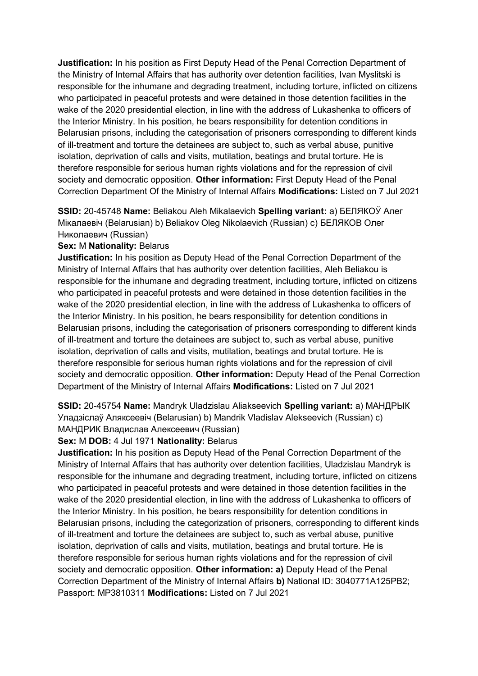**Justification:** In his position as First Deputy Head of the Penal Correction Department of the Ministry of Internal Affairs that has authority over detention facilities, Ivan Myslitski is responsible for the inhumane and degrading treatment, including torture, inflicted on citizens who participated in peaceful protests and were detained in those detention facilities in the wake of the 2020 presidential election, in line with the address of Lukashenka to officers of the Interior Ministry. In his position, he bears responsibility for detention conditions in Belarusian prisons, including the categorisation of prisoners corresponding to different kinds of ill-treatment and torture the detainees are subject to, such as verbal abuse, punitive isolation, deprivation of calls and visits, mutilation, beatings and brutal torture. He is therefore responsible for serious human rights violations and for the repression of civil society and democratic opposition. **Other information:** First Deputy Head of the Penal Correction Department Of the Ministry of Internal Affairs **Modifications:** Listed on 7 Jul 2021

**SSID:** 20-45748 **Name:** Beliakou Aleh Mikalaevich **Spelling variant:** a) БЕЛЯКОЎ Алег Мiĸалаевiч (Belarusian) b) Beliakov Oleg Nikolaevich (Russian) c) БЕЛЯКОВ Олег Николаевич (Russian)

#### **Sex:** M **Nationality:** Belarus

**Justification:** In his position as Deputy Head of the Penal Correction Department of the Ministry of Internal Affairs that has authority over detention facilities, Aleh Beliakou is responsible for the inhumane and degrading treatment, including torture, inflicted on citizens who participated in peaceful protests and were detained in those detention facilities in the wake of the 2020 presidential election, in line with the address of Lukashenka to officers of the Interior Ministry. In his position, he bears responsibility for detention conditions in Belarusian prisons, including the categorisation of prisoners corresponding to different kinds of ill-treatment and torture the detainees are subject to, such as verbal abuse, punitive isolation, deprivation of calls and visits, mutilation, beatings and brutal torture. He is therefore responsible for serious human rights violations and for the repression of civil society and democratic opposition. **Other information:** Deputy Head of the Penal Correction Department of the Ministry of Internal Affairs **Modifications:** Listed on 7 Jul 2021

**SSID:** 20-45754 **Name:** Mandryk Uladzislau Aliakseevich **Spelling variant:** a) МАНДРЫК Уладзiслаў Аляксеевiч (Belarusian) b) Mandrik Vladislav Alekseevich (Russian) c) МАНДРИК Владислав Алексеевич (Russian)

#### **Sex:** M **DOB:** 4 Jul 1971 **Nationality:** Belarus

**Justification:** In his position as Deputy Head of the Penal Correction Department of the Ministry of Internal Affairs that has authority over detention facilities, Uladzislau Mandryk is responsible for the inhumane and degrading treatment, including torture, inflicted on citizens who participated in peaceful protests and were detained in those detention facilities in the wake of the 2020 presidential election, in line with the address of Lukashenka to officers of the Interior Ministry. In his position, he bears responsibility for detention conditions in Belarusian prisons, including the categorization of prisoners, corresponding to different kinds of ill-treatment and torture the detainees are subject to, such as verbal abuse, punitive isolation, deprivation of calls and visits, mutilation, beatings and brutal torture. He is therefore responsible for serious human rights violations and for the repression of civil society and democratic opposition. **Other information: a)** Deputy Head of the Penal Correction Department of the Ministry of Internal Affairs **b)** National ID: 3040771A125PB2; Passport: MP3810311 **Modifications:** Listed on 7 Jul 2021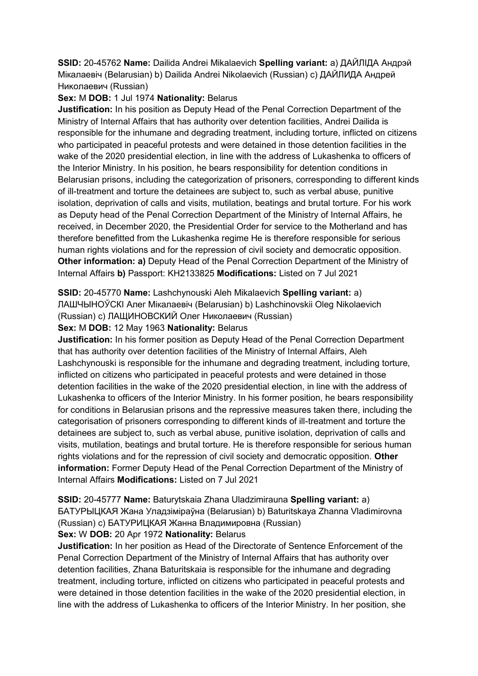**SSID:** 20-45762 **Name:** Dailida Andrei Mikalaevich **Spelling variant:** a) ДАЙЛIДА Андрэй Мiкалаевiч (Belarusian) b) Dailida Andrei Nikolaevich (Russian) c) ДАЙЛИДА Андрей Николаевич (Russian)

### **Sex:** M **DOB:** 1 Jul 1974 **Nationality:** Belarus

**Justification:** In his position as Deputy Head of the Penal Correction Department of the Ministry of Internal Affairs that has authority over detention facilities, Andrei Dailida is responsible for the inhumane and degrading treatment, including torture, inflicted on citizens who participated in peaceful protests and were detained in those detention facilities in the wake of the 2020 presidential election, in line with the address of Lukashenka to officers of the Interior Ministry. In his position, he bears responsibility for detention conditions in Belarusian prisons, including the categorization of prisoners, corresponding to different kinds of ill-treatment and torture the detainees are subject to, such as verbal abuse, punitive isolation, deprivation of calls and visits, mutilation, beatings and brutal torture. For his work as Deputy head of the Penal Correction Department of the Ministry of Internal Affairs, he received, in December 2020, the Presidential Order for service to the Motherland and has therefore benefitted from the Lukashenka regime He is therefore responsible for serious human rights violations and for the repression of civil society and democratic opposition. **Other information: a)** Deputy Head of the Penal Correction Department of the Ministry of Internal Affairs **b)** Passport: KH2133825 **Modifications:** Listed on 7 Jul 2021

## **SSID:** 20-45770 **Name:** Lashchynouski Aleh Mikalaevich **Spelling variant:** a)

ЛАШЧЫНОЎСКI Алег Мiкалаевiч (Belarusian) b) Lashchinovskii Oleg Nikolaevich

(Russian) c) ЛАЩИНОВСКИЙ Олег Николаевич (Russian)

### **Sex:** M **DOB:** 12 May 1963 **Nationality:** Belarus

**Justification:** In his former position as Deputy Head of the Penal Correction Department that has authority over detention facilities of the Ministry of Internal Affairs, Aleh Lashchynouski is responsible for the inhumane and degrading treatment, including torture, inflicted on citizens who participated in peaceful protests and were detained in those detention facilities in the wake of the 2020 presidential election, in line with the address of Lukashenka to officers of the Interior Ministry. In his former position, he bears responsibility for conditions in Belarusian prisons and the repressive measures taken there, including the categorisation of prisoners corresponding to different kinds of ill-treatment and torture the detainees are subject to, such as verbal abuse, punitive isolation, deprivation of calls and visits, mutilation, beatings and brutal torture. He is therefore responsible for serious human rights violations and for the repression of civil society and democratic opposition. **Other information:** Former Deputy Head of the Penal Correction Department of the Ministry of Internal Affairs **Modifications:** Listed on 7 Jul 2021

**SSID:** 20-45777 **Name:** Baturytskaia Zhana Uladzimirauna **Spelling variant:** a) БАТУРЫЦКАЯ Жана Уладзiмiраўна (Belarusian) b) Baturitskaya Zhanna Vladimirovna (Russian) c) БАТУРИЦКАЯ Жанна Владимировна (Russian)

### **Sex:** W **DOB:** 20 Apr 1972 **Nationality:** Belarus

**Justification:** In her position as Head of the Directorate of Sentence Enforcement of the Penal Correction Department of the Ministry of Internal Affairs that has authority over detention facilities, Zhana Baturitskaia is responsible for the inhumane and degrading treatment, including torture, inflicted on citizens who participated in peaceful protests and were detained in those detention facilities in the wake of the 2020 presidential election, in line with the address of Lukashenka to officers of the Interior Ministry. In her position, she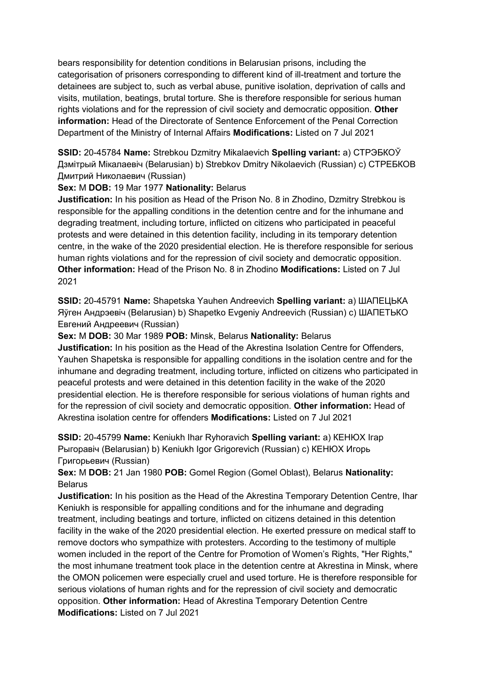bears responsibility for detention conditions in Belarusian prisons, including the categorisation of prisoners corresponding to different kind of ill-treatment and torture the detainees are subject to, such as verbal abuse, punitive isolation, deprivation of calls and visits, mutilation, beatings, brutal torture. She is therefore responsible for serious human rights violations and for the repression of civil society and democratic opposition. **Other information:** Head of the Directorate of Sentence Enforcement of the Penal Correction Department of the Ministry of Internal Affairs **Modifications:** Listed on 7 Jul 2021

**SSID:** 20-45784 **Name:** Strebkou Dzmitry Mikalaevich **Spelling variant:** a) СТРЭБКОЎ Дзмiтрый Мiкалаевiч (Belarusian) b) Strebkov Dmitry Nikolaevich (Russian) c) СТРЕБКОВ Дмитрий Николаевич (Russian)

### **Sex:** M **DOB:** 19 Mar 1977 **Nationality:** Belarus

**Justification:** In his position as Head of the Prison No. 8 in Zhodino, Dzmitry Strebkou is responsible for the appalling conditions in the detention centre and for the inhumane and degrading treatment, including torture, inflicted on citizens who participated in peaceful protests and were detained in this detention facility, including in its temporary detention centre, in the wake of the 2020 presidential election. He is therefore responsible for serious human rights violations and for the repression of civil society and democratic opposition. **Other information:** Head of the Prison No. 8 in Zhodino **Modifications:** Listed on 7 Jul 2021

**SSID:** 20-45791 **Name:** Shapetska Yauhen Andreevich **Spelling variant:** a) ШАПЕЦЬКА Яўген Андрэевiч (Belarusian) b) Shapetko Evgeniy Andreevich (Russian) c) ШАПЕТЬКО Евгений Андреевич (Russian)

**Sex:** M **DOB:** 30 Mar 1989 **POB:** Minsk, Belarus **Nationality:** Belarus

**Justification:** In his position as the Head of the Akrestina Isolation Centre for Offenders, Yauhen Shapetska is responsible for appalling conditions in the isolation centre and for the inhumane and degrading treatment, including torture, inflicted on citizens who participated in peaceful protests and were detained in this detention facility in the wake of the 2020 presidential election. He is therefore responsible for serious violations of human rights and for the repression of civil society and democratic opposition. **Other information:** Head of Akrestina isolation centre for offenders **Modifications:** Listed on 7 Jul 2021

**SSID:** 20-45799 **Name:** Keniukh Ihar Ryhoravich **Spelling variant:** a) КЕНЮХ Iгар Рыгоравiч (Belarusian) b) Keniukh Igor Grigorevich (Russian) c) КЕНЮХ Игорь Григорьевич (Russian)

**Sex:** M **DOB:** 21 Jan 1980 **POB:** Gomel Region (Gomel Oblast), Belarus **Nationality:** Belarus

**Justification:** In his position as the Head of the Akrestina Temporary Detention Centre, Ihar Keniukh is responsible for appalling conditions and for the inhumane and degrading treatment, including beatings and torture, inflicted on citizens detained in this detention facility in the wake of the 2020 presidential election. He exerted pressure on medical staff to remove doctors who sympathize with protesters. According to the testimony of multiple women included in the report of the Centre for Promotion of Women's Rights, "Her Rights," the most inhumane treatment took place in the detention centre at Akrestina in Minsk, where the OMON policemen were especially cruel and used torture. He is therefore responsible for serious violations of human rights and for the repression of civil society and democratic opposition. **Other information:** Head of Akrestina Temporary Detention Centre **Modifications:** Listed on 7 Jul 2021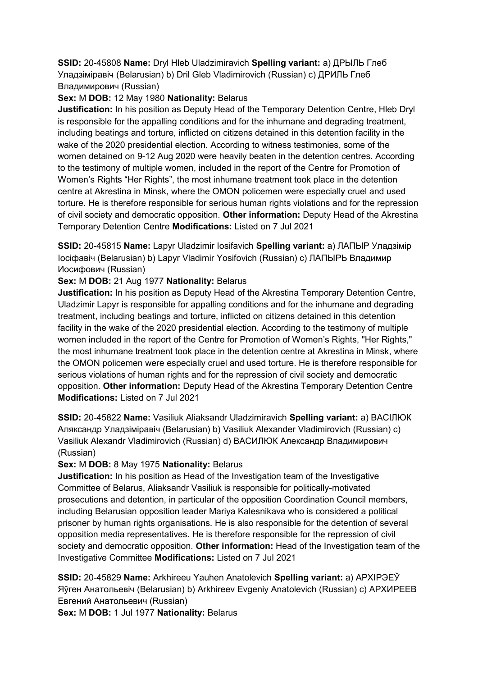**SSID:** 20-45808 **Name:** Dryl Hleb Uladzimiravich **Spelling variant:** a) ДРЫЛЬ Глеб Уладзiмiравiч (Belarusian) b) Dril Gleb Vladimirovich (Russian) c) ДРИЛЬ Глеб Владимирович (Russian)

## **Sex:** M **DOB:** 12 May 1980 **Nationality:** Belarus

**Justification:** In his position as Deputy Head of the Temporary Detention Centre, Hleb Dryl is responsible for the appalling conditions and for the inhumane and degrading treatment, including beatings and torture, inflicted on citizens detained in this detention facility in the wake of the 2020 presidential election. According to witness testimonies, some of the women detained on 9-12 Aug 2020 were heavily beaten in the detention centres. According to the testimony of multiple women, included in the report of the Centre for Promotion of Women's Rights "Her Rights", the most inhumane treatment took place in the detention centre at Akrestina in Minsk, where the OMON policemen were especially cruel and used torture. He is therefore responsible for serious human rights violations and for the repression of civil society and democratic opposition. **Other information:** Deputy Head of the Akrestina Temporary Detention Centre **Modifications:** Listed on 7 Jul 2021

**SSID:** 20-45815 **Name:** Lapyr Uladzimir Iosifavich **Spelling variant:** a) ЛАПЫР Уладзiмiр Iосiфавiч (Belarusian) b) Lapyr Vladimir Yosifovich (Russian) c) ЛАПЫРЬ Владимир Иосифович (Russian)

## **Sex:** M **DOB:** 21 Aug 1977 **Nationality:** Belarus

**Justification:** In his position as Deputy Head of the Akrestina Temporary Detention Centre, Uladzimir Lapyr is responsible for appalling conditions and for the inhumane and degrading treatment, including beatings and torture, inflicted on citizens detained in this detention facility in the wake of the 2020 presidential election. According to the testimony of multiple women included in the report of the Centre for Promotion of Women's Rights, "Her Rights," the most inhumane treatment took place in the detention centre at Akrestina in Minsk, where the OMON policemen were especially cruel and used torture. He is therefore responsible for serious violations of human rights and for the repression of civil society and democratic opposition. **Other information:** Deputy Head of the Akrestina Temporary Detention Centre **Modifications:** Listed on 7 Jul 2021

**SSID:** 20-45822 **Name:** Vasiliuk Aliaksandr Uladzimiravich **Spelling variant:** a) ВАСIЛЮК Аляксандр Уладзiмiравiч (Belarusian) b) Vasiliuk Alexander Vladimirovich (Russian) c) Vasiliuk Alexandr Vladimirovich (Russian) d) ВАСИЛЮК Александр Владимирович (Russian)

### **Sex:** M **DOB:** 8 May 1975 **Nationality:** Belarus

**Justification:** In his position as Head of the Investigation team of the Investigative Committee of Belarus, Aliaksandr Vasiliuk is responsible for politically-motivated prosecutions and detention, in particular of the opposition Coordination Council members, including Belarusian opposition leader Mariya Kalesnikava who is considered a political prisoner by human rights organisations. He is also responsible for the detention of several opposition media representatives. He is therefore responsible for the repression of civil society and democratic opposition. **Other information:** Head of the Investigation team of the Investigative Committee **Modifications:** Listed on 7 Jul 2021

**SSID:** 20-45829 **Name:** Arkhireeu Yauhen Anatolevich **Spelling variant:** a) АРХIРЭЕЎ Яўген Анатольевiч (Belarusian) b) Arkhireev Evgeniy Anatolevich (Russian) c) АРХИРЕЕВ Евгений Анатольевич (Russian)

**Sex:** M **DOB:** 1 Jul 1977 **Nationality:** Belarus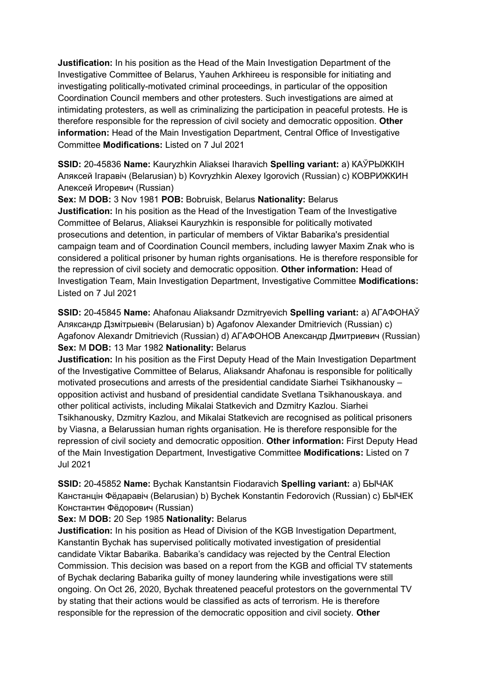**Justification:** In his position as the Head of the Main Investigation Department of the Investigative Committee of Belarus, Yauhen Arkhireeu is responsible for initiating and investigating politically-motivated criminal proceedings, in particular of the opposition Coordination Council members and other protesters. Such investigations are aimed at intimidating protesters, as well as criminalizing the participation in peaceful protests. He is therefore responsible for the repression of civil society and democratic opposition. **Other information:** Head of the Main Investigation Department, Central Office of Investigative Committee **Modifications:** Listed on 7 Jul 2021

**SSID:** 20-45836 **Name:** Kauryzhkin Aliaksei Iharavich **Spelling variant:** a) КАЎРЫЖКIН Аляĸсей Iгаравiч (Belarusian) b) Kovryzhkin Alexey Igorovich (Russian) c) КОВРИЖКИН Алеĸсей Игоревич (Russian)

**Sex:** M **DOB:** 3 Nov 1981 **POB:** Bobruisk, Belarus **Nationality:** Belarus **Justification:** In his position as the Head of the Investigation Team of the Investigative Committee of Belarus, Aliaksei Kauryzhkin is responsible for politically motivated prosecutions and detention, in particular of members of Viktar Babarika's presidential campaign team and of Coordination Council members, including lawyer Maxim Znak who is considered a political prisoner by human rights organisations. He is therefore responsible for the repression of civil society and democratic opposition. **Other information:** Head of Investigation Team, Main Investigation Department, Investigative Committee **Modifications:**  Listed on 7 Jul 2021

**SSID:** 20-45845 **Name:** Ahafonau Aliaksandr Dzmitryevich **Spelling variant:** a) АГАФОНАЎ Аляксандр Дзмiтрыевiч (Belarusian) b) Agafonov Alexander Dmitrievich (Russian) c) Agafonov Alexandr Dmitrievich (Russian) d) АГАФОНОВ Александр Дмитриевич (Russian) **Sex:** M **DOB:** 13 Mar 1982 **Nationality:** Belarus

**Justification:** In his position as the First Deputy Head of the Main Investigation Department of the Investigative Committee of Belarus, Aliaksandr Ahafonau is responsible for politically motivated prosecutions and arrests of the presidential candidate Siarhei Tsikhanousky – opposition activist and husband of presidential candidate Svetlana Tsikhanouskaya. and other political activists, including Mikalai Statkevich and Dzmitry Kazlou. Siarhei Tsikhanousky, Dzmitry Kazlou, and Mikalai Statkevich are recognised as political prisoners by Viasna, a Belarussian human rights organisation. He is therefore responsible for the repression of civil society and democratic opposition. **Other information:** First Deputy Head of the Main Investigation Department, Investigative Committee **Modifications:** Listed on 7 Jul 2021

**SSID:** 20-45852 **Name:** Bychak Kanstantsin Fiodaravich **Spelling variant:** a) БЫЧАК Канстанцiн Фёдаравiч (Belarusian) b) Bychek Konstantin Fedorovich (Russian) c) БЫЧЕК Константин Фёдорович (Russian)

### **Sex:** M **DOB:** 20 Sep 1985 **Nationality:** Belarus

**Justification:** In his position as Head of Division of the KGB Investigation Department, Kanstantin Bychak has supervised politically motivated investigation of presidential candidate Viktar Babarika. Babarika's candidacy was rejected by the Central Election Commission. This decision was based on a report from the KGB and official TV statements of Bychak declaring Babarika guilty of money laundering while investigations were still ongoing. On Oct 26, 2020, Bychak threatened peaceful protestors on the governmental TV by stating that their actions would be classified as acts of terrorism. He is therefore responsible for the repression of the democratic opposition and civil society. **Other**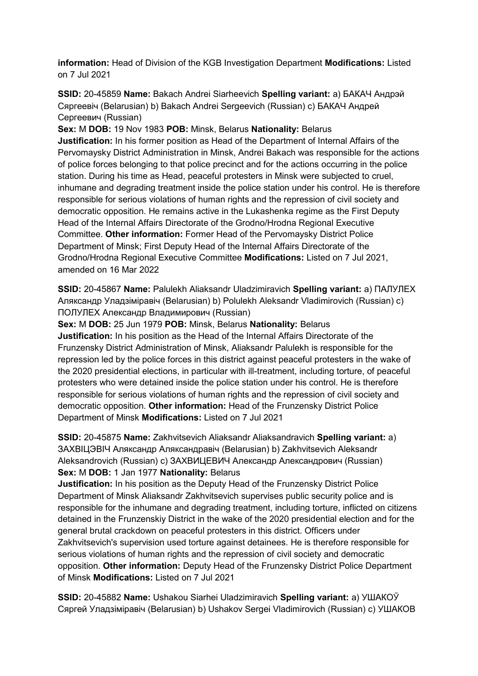**information:** Head of Division of the KGB Investigation Department **Modifications:** Listed on 7 Jul 2021

**SSID:** 20-45859 **Name:** Bakach Andrei Siarheevich **Spelling variant:** a) БАКАЧ Андрэй Сяргеевiч (Belarusian) b) Bakach Andrei Sergeevich (Russian) c) БАКАЧ Андрей Сергеевич (Russian)

**Sex:** M **DOB:** 19 Nov 1983 **POB:** Minsk, Belarus **Nationality:** Belarus

**Justification:** In his former position as Head of the Department of Internal Affairs of the Pervomaysky District Administration in Minsk, Andrei Bakach was responsible for the actions of police forces belonging to that police precinct and for the actions occurring in the police station. During his time as Head, peaceful protesters in Minsk were subjected to cruel, inhumane and degrading treatment inside the police station under his control. He is therefore responsible for serious violations of human rights and the repression of civil society and democratic opposition. He remains active in the Lukashenka regime as the First Deputy Head of the Internal Affairs Directorate of the Grodno/Hrodna Regional Executive Committee. **Other information:** Former Head of the Pervomaysky District Police Department of Minsk; First Deputy Head of the Internal Affairs Directorate of the Grodno/Hrodna Regional Executive Committee **Modifications:** Listed on 7 Jul 2021, amended on 16 Mar 2022

**SSID:** 20-45867 **Name:** Palulekh Aliaksandr Uladzimiravich **Spelling variant:** a) ПАЛУЛЕХ Аляксандр Уладзiмiравiч (Belarusian) b) Polulekh Aleksandr Vladimirovich (Russian) c) ПОЛУЛЕХ Александр Владимирович (Russian)

**Sex:** M **DOB:** 25 Jun 1979 **POB:** Minsk, Belarus **Nationality:** Belarus **Justification:** In his position as the Head of the Internal Affairs Directorate of the Frunzensky District Administration of Minsk, Aliaksandr Palulekh is responsible for the repression led by the police forces in this district against peaceful protesters in the wake of the 2020 presidential elections, in particular with ill-treatment, including torture, of peaceful protesters who were detained inside the police station under his control. He is therefore responsible for serious violations of human rights and the repression of civil society and democratic opposition. **Other information:** Head of the Frunzensky District Police Department of Minsk **Modifications:** Listed on 7 Jul 2021

**SSID:** 20-45875 **Name:** Zakhvitsevich Aliaksandr Aliaksandravich **Spelling variant:** a) ЗАХВIЦЭВIЧ Аляксандр Аляксандравiч (Belarusian) b) Zakhvitsevich Aleksandr Aleksandrovich (Russian) c) ЗАХВИЦЕВИЧ Александр Александрович (Russian) **Sex:** M **DOB:** 1 Jan 1977 **Nationality:** Belarus

**Justification:** In his position as the Deputy Head of the Frunzensky District Police Department of Minsk Aliaksandr Zakhvitsevich supervises public security police and is responsible for the inhumane and degrading treatment, including torture, inflicted on citizens detained in the Frunzenskiy District in the wake of the 2020 presidential election and for the general brutal crackdown on peaceful protesters in this district. Officers under Zakhvitsevich's supervision used torture against detainees. He is therefore responsible for serious violations of human rights and the repression of civil society and democratic opposition. **Other information:** Deputy Head of the Frunzensky District Police Department of Minsk **Modifications:** Listed on 7 Jul 2021

**SSID:** 20-45882 **Name:** Ushakou Siarhei Uladzimiravich **Spelling variant:** a) УШАКОЎ Сяргей Уладзiмiравiч (Belarusian) b) Ushakov Sergei Vladimirovich (Russian) c) УШАКОВ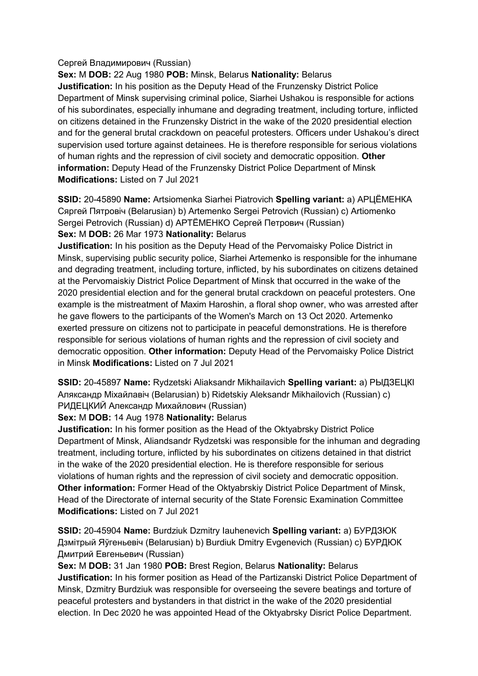#### Сергей Владимирович (Russian)

**Sex:** M **DOB:** 22 Aug 1980 **POB:** Minsk, Belarus **Nationality:** Belarus **Justification:** In his position as the Deputy Head of the Frunzensky District Police Department of Minsk supervising criminal police, Siarhei Ushakou is responsible for actions of his subordinates, especially inhumane and degrading treatment, including torture, inflicted on citizens detained in the Frunzensky District in the wake of the 2020 presidential election and for the general brutal crackdown on peaceful protesters. Officers under Ushakou's direct supervision used torture against detainees. He is therefore responsible for serious violations of human rights and the repression of civil society and democratic opposition. **Other information:** Deputy Head of the Frunzensky District Police Department of Minsk **Modifications:** Listed on 7 Jul 2021

**SSID:** 20-45890 **Name:** Artsiomenka Siarhei Piatrovich **Spelling variant:** a) АРЦЁМЕНКА Сяргей Пятровiч (Belarusian) b) Artemenko Sergei Petrovich (Russian) c) Artiomenko Sergei Petrovich (Russian) d) АРТЁМЕНКО Сергей Петрович (Russian) **Sex:** M **DOB:** 26 Mar 1973 **Nationality:** Belarus

**Justification:** In his position as the Deputy Head of the Pervomaisky Police District in Minsk, supervising public security police, Siarhei Artemenko is responsible for the inhumane and degrading treatment, including torture, inflicted, by his subordinates on citizens detained at the Pervomaiskiy District Police Department of Minsk that occurred in the wake of the 2020 presidential election and for the general brutal crackdown on peaceful protesters. One example is the mistreatment of Maxim Haroshin, a floral shop owner, who was arrested after he gave flowers to the participants of the Women's March on 13 Oct 2020. Artemenko exerted pressure on citizens not to participate in peaceful demonstrations. He is therefore responsible for serious violations of human rights and the repression of civil society and democratic opposition. **Other information:** Deputy Head of the Pervomaisky Police District in Minsk **Modifications:** Listed on 7 Jul 2021

**SSID:** 20-45897 **Name:** Rydzetski Aliaksandr Mikhailavich **Spelling variant:** a) РЫДЗЕЦКI Аляксандр Мiхайлавiч (Belarusian) b) Ridetskiy Aleksandr Mikhailovich (Russian) c) РИДЕЦКИЙ Александр Михайлович (Russian)

### **Sex:** M **DOB:** 14 Aug 1978 **Nationality:** Belarus

**Justification:** In his former position as the Head of the Oktyabrsky District Police Department of Minsk, Aliandsandr Rydzetski was responsible for the inhuman and degrading treatment, including torture, inflicted by his subordinates on citizens detained in that district in the wake of the 2020 presidential election. He is therefore responsible for serious violations of human rights and the repression of civil society and democratic opposition. **Other information:** Former Head of the Oktyabrskiy District Police Department of Minsk, Head of the Directorate of internal security of the State Forensic Examination Committee **Modifications:** Listed on 7 Jul 2021

**SSID:** 20-45904 **Name:** Burdziuk Dzmitry Iauhenevich **Spelling variant:** a) БУРДЗЮК Дзмiтрый Яўгеньевiч (Belarusian) b) Burdiuk Dmitry Evgenevich (Russian) c) БУРДЮК Дмитрий Евгеньевич (Russian)

**Sex:** M **DOB:** 31 Jan 1980 **POB:** Brest Region, Belarus **Nationality:** Belarus **Justification:** In his former position as Head of the Partizanski District Police Department of Minsk, Dzmitry Burdziuk was responsible for overseeing the severe beatings and torture of peaceful protesters and bystanders in that district in the wake of the 2020 presidential election. In Dec 2020 he was appointed Head of the Oktyabrsky Disrict Police Department.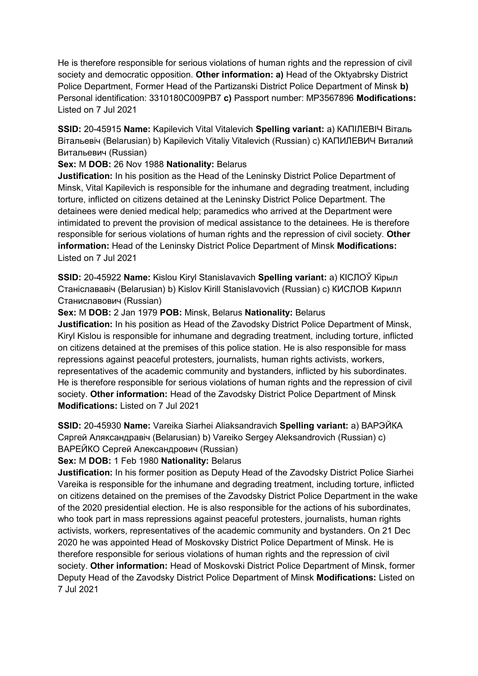He is therefore responsible for serious violations of human rights and the repression of civil society and democratic opposition. **Other information: a)** Head of the Oktyabrsky District Police Department, Former Head of the Partizanski District Police Department of Minsk **b)**  Personal identification: 3310180C009PB7 **c)** Passport number: MP3567896 **Modifications:**  Listed on 7 Jul 2021

**SSID:** 20-45915 **Name:** Kapilevich Vital Vitalevich **Spelling variant:** a) КАПIЛЕВIЧ Вiталь Вiтальевiч (Belarusian) b) Kapilevich Vitaliy Vitalevich (Russian) c) КАПИЛЕВИЧ Виталий Витальевич (Russian)

### **Sex:** M **DOB:** 26 Nov 1988 **Nationality:** Belarus

**Justification:** In his position as the Head of the Leninsky District Police Department of Minsk, Vital Kapilevich is responsible for the inhumane and degrading treatment, including torture, inflicted on citizens detained at the Leninsky District Police Department. The detainees were denied medical help; paramedics who arrived at the Department were intimidated to prevent the provision of medical assistance to the detainees. He is therefore responsible for serious violations of human rights and the repression of civil society. **Other information:** Head of the Leninsky District Police Department of Minsk **Modifications:**  Listed on 7 Jul 2021

**SSID:** 20-45922 **Name:** Kislou Kiryl Stanislavavich **Spelling variant:** a) КIСЛОЎ Кiрыл Станiслававiч (Belarusian) b) Kislov Kirill Stanislavovich (Russian) c) КИСЛОВ Кирилл Станиславович (Russian)

### **Sex:** M **DOB:** 2 Jan 1979 **POB:** Minsk, Belarus **Nationality:** Belarus

**Justification:** In his position as Head of the Zavodsky District Police Department of Minsk, Kiryl Kislou is responsible for inhumane and degrading treatment, including torture, inflicted on citizens detained at the premises of this police station. He is also responsible for mass repressions against peaceful protesters, journalists, human rights activists, workers, representatives of the academic community and bystanders, inflicted by his subordinates. He is therefore responsible for serious violations of human rights and the repression of civil society. **Other information:** Head of the Zavodsky District Police Department of Minsk **Modifications:** Listed on 7 Jul 2021

**SSID:** 20-45930 **Name:** Vareika Siarhei Aliaksandravich **Spelling variant:** a) ВАРЭЙКА Сяргей Аляĸсандравiч (Belarusian) b) Vareiko Sergey Aleksandrovich (Russian) c) ВАРЕЙКО Сергей Александрович (Russian)

### **Sex:** M **DOB:** 1 Feb 1980 **Nationality:** Belarus

**Justification:** In his former position as Deputy Head of the Zavodsky District Police Siarhei Vareika is responsible for the inhumane and degrading treatment, including torture, inflicted on citizens detained on the premises of the Zavodsky District Police Department in the wake of the 2020 presidential election. He is also responsible for the actions of his subordinates, who took part in mass repressions against peaceful protesters, journalists, human rights activists, workers, representatives of the academic community and bystanders. On 21 Dec 2020 he was appointed Head of Moskovsky District Police Department of Minsk. He is therefore responsible for serious violations of human rights and the repression of civil society. **Other information:** Head of Moskovski District Police Department of Minsk, former Deputy Head of the Zavodsky District Police Department of Minsk **Modifications:** Listed on 7 Jul 2021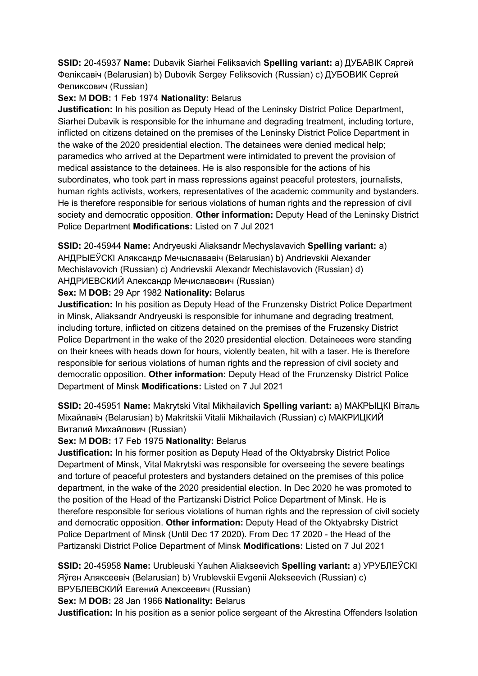**SSID:** 20-45937 **Name:** Dubavik Siarhei Feliksavich **Spelling variant:** a) ДУБАВIК Сяргей Феліксавіч (Belarusian) b) Dubovik Sergey Feliksovich (Russian) с) ДУБОВИК Сергей Феликсович (Russian)

### **Sex:** M **DOB:** 1 Feb 1974 **Nationality:** Belarus

**Justification:** In his position as Deputy Head of the Leninsky District Police Department, Siarhei Dubavik is responsible for the inhumane and degrading treatment, including torture, inflicted on citizens detained on the premises of the Leninsky District Police Department in the wake of the 2020 presidential election. The detainees were denied medical help; paramedics who arrived at the Department were intimidated to prevent the provision of medical assistance to the detainees. He is also responsible for the actions of his subordinates, who took part in mass repressions against peaceful protesters, journalists, human rights activists, workers, representatives of the academic community and bystanders. He is therefore responsible for serious violations of human rights and the repression of civil society and democratic opposition. **Other information:** Deputy Head of the Leninsky District Police Department **Modifications:** Listed on 7 Jul 2021

**SSID:** 20-45944 **Name:** Andryeuski Aliaksandr Mechyslavavich **Spelling variant:** a) АНДРЫЕЎСКI Аляĸсандр Мечыслававiч (Belarusian) b) Andrievskii Alexander Mechislavovich (Russian) c) Andrievskii Alexandr Mechislavovich (Russian) d) АНДРИЕВСКИЙ Александр Мечиславович (Russian)

## **Sex:** M **DOB:** 29 Apr 1982 **Nationality:** Belarus

**Justification:** In his position as Deputy Head of the Frunzensky District Police Department in Minsk, Aliaksandr Andryeuski is responsible for inhumane and degrading treatment, including torture, inflicted on citizens detained on the premises of the Fruzensky District Police Department in the wake of the 2020 presidential election. Detaineees were standing on their knees with heads down for hours, violently beaten, hit with a taser. He is therefore responsible for serious violations of human rights and the repression of civil society and democratic opposition. **Other information:** Deputy Head of the Frunzensky District Police Department of Minsk **Modifications:** Listed on 7 Jul 2021

**SSID:** 20-45951 **Name:** Makrytski Vital Mikhailavich **Spelling variant:** a) МАКРЫЦКI Вiталь Мiхайлавiч (Belarusian) b) Makritskii Vitalii Mikhailavich (Russian) c) МАКРИЦКИЙ Виталий Михайлович (Russian)

## **Sex:** M **DOB:** 17 Feb 1975 **Nationality:** Belarus

**Justification:** In his former position as Deputy Head of the Oktyabrsky District Police Department of Minsk, Vital Makrytski was responsible for overseeing the severe beatings and torture of peaceful protesters and bystanders detained on the premises of this police department, in the wake of the 2020 presidential election. In Dec 2020 he was promoted to the position of the Head of the Partizanski District Police Department of Minsk. He is therefore responsible for serious violations of human rights and the repression of civil society and democratic opposition. **Other information:** Deputy Head of the Oktyabrsky District Police Department of Minsk (Until Dec 17 2020). From Dec 17 2020 - the Head of the Partizanski District Police Department of Minsk **Modifications:** Listed on 7 Jul 2021

**SSID:** 20-45958 **Name:** Urubleuski Yauhen Aliakseevich **Spelling variant:** a) УРУБЛЕЎСКI Яўген Аляĸсеевiч (Belarusian) b) Vrublevskii Evgenii Alekseevich (Russian) c) ВРУБЛЕВСКИЙ Евгений Алексеевич (Russian)

**Sex:** M **DOB:** 28 Jan 1966 **Nationality:** Belarus

**Justification:** In his position as a senior police sergeant of the Akrestina Offenders Isolation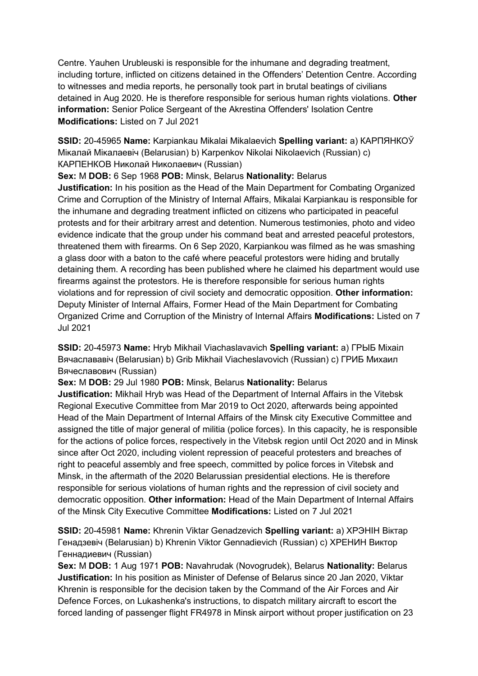Centre. Yauhen Urubleuski is responsible for the inhumane and degrading treatment, including torture, inflicted on citizens detained in the Offenders' Detention Centre. According to witnesses and media reports, he personally took part in brutal beatings of civilians detained in Aug 2020. He is therefore responsible for serious human rights violations. **Other information:** Senior Police Sergeant of the Akrestina Offenders' Isolation Centre **Modifications:** Listed on 7 Jul 2021

**SSID:** 20-45965 **Name:** Karpiankau Mikalai Mikalaevich **Spelling variant:** a) КАРПЯНКОЎ Мікалай Мікалаевіч (Belarusian) b) Karpenkov Nikolai Nikolaevich (Russian) c) КАРПЕНКОВ Ниĸолай Ниĸолаевич (Russian)

**Sex:** M **DOB:** 6 Sep 1968 **POB:** Minsk, Belarus **Nationality:** Belarus **Justification:** In his position as the Head of the Main Department for Combating Organized Crime and Corruption of the Ministry of Internal Affairs, Mikalai Karpiankau is responsible for the inhumane and degrading treatment inflicted on citizens who participated in peaceful protests and for their arbitrary arrest and detention. Numerous testimonies, photo and video evidence indicate that the group under his command beat and arrested peaceful protestors, threatened them with firearms. On 6 Sep 2020, Karpiankou was filmed as he was smashing a glass door with a baton to the café where peaceful protestors were hiding and brutally detaining them. A recording has been published where he claimed his department would use firearms against the protestors. He is therefore responsible for serious human rights violations and for repression of civil society and democratic opposition. **Other information:** Deputy Minister of Internal Affairs, Former Head of the Main Department for Combating Organized Crime and Corruption of the Ministry of Internal Affairs **Modifications:** Listed on 7 Jul 2021

**SSID:** 20-45973 **Name:** Hryb Mikhail Viachaslavavich **Spelling variant:** a) ГРЫБ Мiхаiл Вячаслававiч (Belarusian) b) Grib Mikhail Viacheslavovich (Russian) c) ГРИБ Михаил Вячеславович (Russian)

**Sex:** M **DOB:** 29 Jul 1980 **POB:** Minsk, Belarus **Nationality:** Belarus

**Justification:** Mikhail Hryb was Head of the Department of Internal Affairs in the Vitebsk Regional Executive Committee from Mar 2019 to Oct 2020, afterwards being appointed Head of the Main Department of Internal Affairs of the Minsk city Executive Committee and assigned the title of major general of militia (police forces). In this capacity, he is responsible for the actions of police forces, respectively in the Vitebsk region until Oct 2020 and in Minsk since after Oct 2020, including violent repression of peaceful protesters and breaches of right to peaceful assembly and free speech, committed by police forces in Vitebsk and Minsk, in the aftermath of the 2020 Belarussian presidential elections. He is therefore responsible for serious violations of human rights and the repression of civil society and democratic opposition. **Other information:** Head of the Main Department of Internal Affairs of the Minsk City Executive Committee **Modifications:** Listed on 7 Jul 2021

**SSID:** 20-45981 **Name:** Khrenin Viktar Genadzevich **Spelling variant:** a) ХРЭНIН Вiктар Генадзевiч (Belarusian) b) Khrenin Viktor Gennadievich (Russian) c) ХРЕНИН Виктор Геннадиевич (Russian)

**Sex:** M **DOB:** 1 Aug 1971 **POB:** Navahrudak (Novogrudek), Belarus **Nationality:** Belarus **Justification:** In his position as Minister of Defense of Belarus since 20 Jan 2020, Viktar Khrenin is responsible for the decision taken by the Command of the Air Forces and Air Defence Forces, on Lukashenka's instructions, to dispatch military aircraft to escort the forced landing of passenger flight FR4978 in Minsk airport without proper justification on 23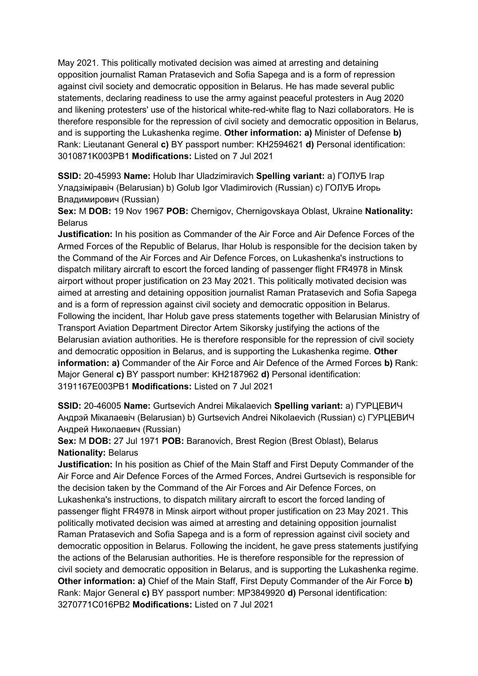May 2021. This politically motivated decision was aimed at arresting and detaining opposition journalist Raman Pratasevich and Sofia Sapega and is a form of repression against civil society and democratic opposition in Belarus. He has made several public statements, declaring readiness to use the army against peaceful protesters in Aug 2020 and likening protesters' use of the historical white-red-white flag to Nazi collaborators. He is therefore responsible for the repression of civil society and democratic opposition in Belarus, and is supporting the Lukashenka regime. **Other information: a)** Minister of Defense **b)**  Rank: Lieutanant General **c)** BY passport number: KH2594621 **d)** Personal identification: 3010871K003PB1 **Modifications:** Listed on 7 Jul 2021

**SSID:** 20-45993 **Name:** Holub Ihar Uladzimiravich **Spelling variant:** a) ГОЛУБ Iгар Уладзiмiравiч (Belarusian) b) Golub Igor Vladimirovich (Russian) c) ГОЛУБ Игорь Владимирович (Russian)

**Sex:** M **DOB:** 19 Nov 1967 **POB:** Chernigov, Chernigovskaya Oblast, Ukraine **Nationality:** Belarus

**Justification:** In his position as Commander of the Air Force and Air Defence Forces of the Armed Forces of the Republic of Belarus, Ihar Holub is responsible for the decision taken by the Command of the Air Forces and Air Defence Forces, on Lukashenka's instructions to dispatch military aircraft to escort the forced landing of passenger flight FR4978 in Minsk airport without proper justification on 23 May 2021. This politically motivated decision was aimed at arresting and detaining opposition journalist Raman Pratasevich and Sofia Sapega and is a form of repression against civil society and democratic opposition in Belarus. Following the incident, Ihar Holub gave press statements together with Belarusian Ministry of Transport Aviation Department Director Artem Sikorsky justifying the actions of the Belarusian aviation authorities. He is therefore responsible for the repression of civil society and democratic opposition in Belarus, and is supporting the Lukashenka regime. **Other information: a)** Commander of the Air Force and Air Defence of the Armed Forces **b)** Rank: Major General **c)** BY passport number: KH2187962 **d)** Personal identification: 3191167E003PB1 **Modifications:** Listed on 7 Jul 2021

**SSID:** 20-46005 **Name:** Gurtsevich Andrei Mikalaevich **Spelling variant:** a) ГУРЦЕВИЧ Андрэй Мiкалаевiч (Belarusian) b) Gurtsevich Andrei Nikolaevich (Russian) c) ГУРЦЕВИЧ Андрей Николаевич (Russian)

**Sex:** M **DOB:** 27 Jul 1971 **POB:** Baranovich, Brest Region (Brest Oblast), Belarus **Nationality:** Belarus

**Justification:** In his position as Chief of the Main Staff and First Deputy Commander of the Air Force and Air Defence Forces of the Armed Forces, Andrei Gurtsevich is responsible for the decision taken by the Command of the Air Forces and Air Defence Forces, on Lukashenka's instructions, to dispatch military aircraft to escort the forced landing of passenger flight FR4978 in Minsk airport without proper justification on 23 May 2021. This politically motivated decision was aimed at arresting and detaining opposition journalist Raman Pratasevich and Sofia Sapega and is a form of repression against civil society and democratic opposition in Belarus. Following the incident, he gave press statements justifying the actions of the Belarusian authorities. He is therefore responsible for the repression of civil society and democratic opposition in Belarus, and is supporting the Lukashenka regime. **Other information: a)** Chief of the Main Staff, First Deputy Commander of the Air Force **b)**  Rank: Major General **c)** BY passport number: MP3849920 **d)** Personal identification: 3270771C016PB2 **Modifications:** Listed on 7 Jul 2021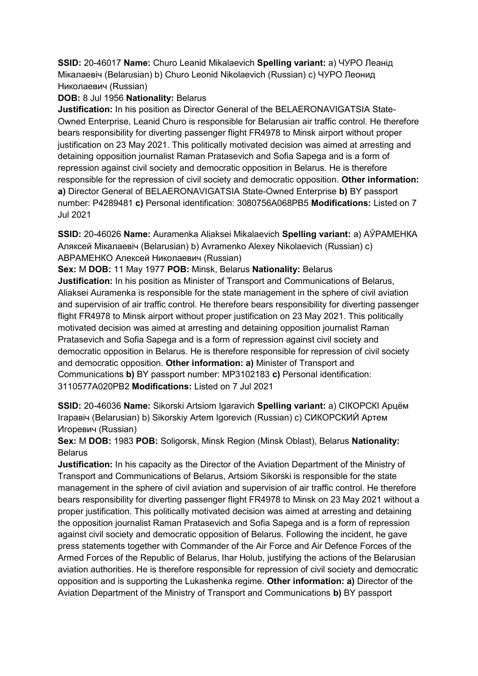**SSID:** 20-46017 **Name:** Churo Leanid Mikalaevich **Spelling variant:** a) ЧУРО Леанiд Мiкалаевiч (Belarusian) b) Churo Leonid Nikolaevich (Russian) c) ЧУРО Леонид Николаевич (Russian)

## **DOB:** 8 Jul 1956 **Nationality:** Belarus

**Justification:** In his position as Director General of the BELAERONAVIGATSIA State-Owned Enterprise, Leanid Churo is responsible for Belarusian air traffic control. He therefore bears responsibility for diverting passenger flight FR4978 to Minsk airport without proper justification on 23 May 2021. This politically motivated decision was aimed at arresting and detaining opposition journalist Raman Pratasevich and Sofia Sapega and is a form of repression against civil society and democratic opposition in Belarus. He is therefore responsible for the repression of civil society and democratic opposition. **Other information: a)** Director General of BELAERONAVIGATSIA State-Owned Enterprise **b)** BY passport number: P4289481 **c)** Personal identification: 3080756A068PB5 **Modifications:** Listed on 7 Jul 2021

**SSID:** 20-46026 **Name:** Auramenka Aliaksei Mikalaevich **Spelling variant:** a) АЎРАМЕНКА Аляксей Мiкалаевiч (Belarusian) b) Avramenko Alexey Nikolaevich (Russian) c) АВРАМЕНКО Алексей Николаевич (Russian)

**Sex:** M **DOB:** 11 May 1977 **POB:** Minsk, Belarus **Nationality:** Belarus

**Justification:** In his position as Minister of Transport and Communications of Belarus, Aliaksei Auramenka is responsible for the state management in the sphere of civil aviation and supervision of air traffic control. He therefore bears responsibility for diverting passenger flight FR4978 to Minsk airport without proper justification on 23 May 2021. This politically motivated decision was aimed at arresting and detaining opposition journalist Raman Pratasevich and Sofia Sapega and is a form of repression against civil society and democratic opposition in Belarus. He is therefore responsible for repression of civil society and democratic opposition. **Other information: a)** Minister of Transport and Communications **b)** BY passport number: MP3102183 **c)** Personal identification: 3110577A020PB2 **Modifications:** Listed on 7 Jul 2021

**SSID:** 20-46036 **Name:** Sikorski Artsiom Igaravich **Spelling variant:** a) СIКОРСКI Арцём Iгаравiч (Belarusian) b) Sikorskiy Artem Igorevich (Russian) c) СИКОРСКИЙ Артем Игоревич (Russian)

**Sex:** M **DOB:** 1983 **POB:** Soligorsk, Minsk Region (Minsk Oblast), Belarus **Nationality: Belarus** 

**Justification:** In his capacity as the Director of the Aviation Department of the Ministry of Transport and Communications of Belarus, Artsiom Sikorski is responsible for the state management in the sphere of civil aviation and supervision of air traffic control. He therefore bears responsibility for diverting passenger flight FR4978 to Minsk on 23 May 2021 without a proper justification. This politically motivated decision was aimed at arresting and detaining the opposition journalist Raman Pratasevich and Sofia Sapega and is a form of repression against civil society and democratic opposition of Belarus. Following the incident, he gave press statements together with Commander of the Air Force and Air Defence Forces of the Armed Forces of the Republic of Belarus, Ihar Holub, justifying the actions of the Belarusian aviation authorities. He is therefore responsible for repression of civil society and democratic opposition and is supporting the Lukashenka regime. **Other information: a)** Director of the Aviation Department of the Ministry of Transport and Communications **b)** BY passport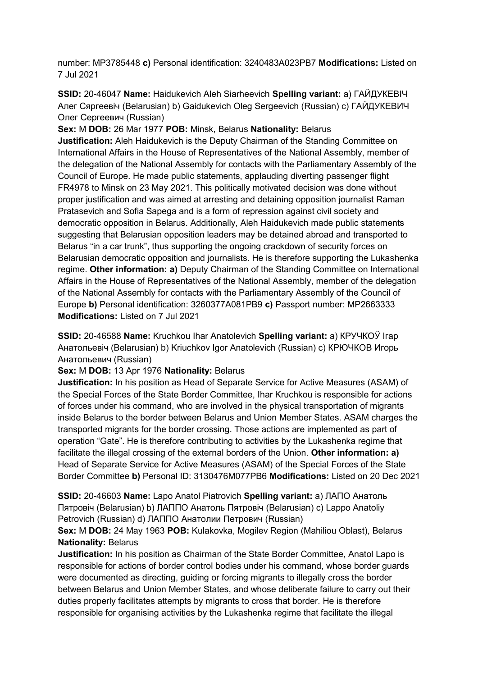number: MP3785448 **c)** Personal identification: 3240483A023PB7 **Modifications:** Listed on 7 Jul 2021

**SSID:** 20-46047 **Name:** Haidukevich Aleh Siarheevich **Spelling variant:** a) ГАЙДУКЕВIЧ Алег Сяргеевiч (Belarusian) b) Gaidukevich Oleg Sergeevich (Russian) c) ГАЙДУКЕВИЧ Олег Сергеевич (Russian)

**Sex:** M **DOB:** 26 Mar 1977 **POB:** Minsk, Belarus **Nationality:** Belarus **Justification:** Aleh Haidukevich is the Deputy Chairman of the Standing Committee on International Affairs in the House of Representatives of the National Assembly, member of the delegation of the National Assembly for contacts with the Parliamentary Assembly of the Council of Europe. He made public statements, applauding diverting passenger flight FR4978 to Minsk on 23 May 2021. This politically motivated decision was done without proper justification and was aimed at arresting and detaining opposition journalist Raman Pratasevich and Sofia Sapega and is a form of repression against civil society and democratic opposition in Belarus. Additionally, Aleh Haidukevich made public statements suggesting that Belarusian opposition leaders may be detained abroad and transported to Belarus "in a car trunk", thus supporting the ongoing crackdown of security forces on Belarusian democratic opposition and journalists. He is therefore supporting the Lukashenka regime. **Other information: a)** Deputy Chairman of the Standing Committee on International Affairs in the House of Representatives of the National Assembly, member of the delegation of the National Assembly for contacts with the Parliamentary Assembly of the Council of Europe **b)** Personal identification: 3260377A081PB9 **c)** Passport number: MP2663333 **Modifications:** Listed on 7 Jul 2021

**SSID:** 20-46588 **Name:** Kruchkou Ihar Anatolevich **Spelling variant:** a) КРУЧКОЎ Iгар Анатольевiч (Belarusian) b) Kriuchkov Igor Anatolevich (Russian) c) КРЮЧКОВ Игорь Анатольевич (Russian)

**Sex:** M **DOB:** 13 Apr 1976 **Nationality:** Belarus

**Justification:** In his position as Head of Separate Service for Active Measures (ASAM) of the Special Forces of the State Border Committee, Ihar Kruchkou is responsible for actions of forces under his command, who are involved in the physical transportation of migrants inside Belarus to the border between Belarus and Union Member States. ASAM charges the transported migrants for the border crossing. Those actions are implemented as part of operation "Gate". He is therefore contributing to activities by the Lukashenka regime that facilitate the illegal crossing of the external borders of the Union. **Other information: a)**  Head of Separate Service for Active Measures (ASAM) of the Special Forces of the State Border Committee **b)** Personal ID: 3130476M077PB6 **Modifications:** Listed on 20 Dec 2021

**SSID:** 20-46603 **Name:** Lapo Anatol Piatrovich **Spelling variant:** a) ЛАПО Анатоль Пятровiч (Belarusian) b) ЛАППО Анатоль Пятровiч (Belarusian) c) Lappo Anatoliy Petrovich (Russian) d) ЛАППО Анатолии Петрович (Russian)

## **Sex:** M **DOB:** 24 May 1963 **POB:** Kulakovka, Mogilev Region (Mahiliou Oblast), Belarus **Nationality:** Belarus

**Justification:** In his position as Chairman of the State Border Committee, Anatol Lapo is responsible for actions of border control bodies under his command, whose border guards were documented as directing, guiding or forcing migrants to illegally cross the border between Belarus and Union Member States, and whose deliberate failure to carry out their duties properly facilitates attempts by migrants to cross that border. He is therefore responsible for organising activities by the Lukashenka regime that facilitate the illegal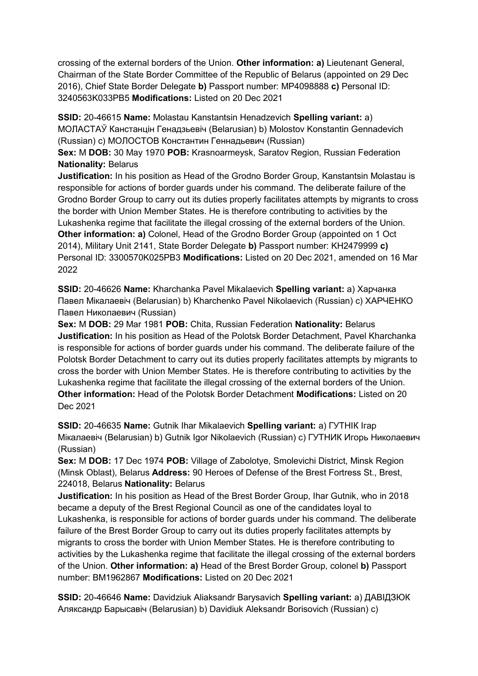crossing of the external borders of the Union. **Other information: a)** Lieutenant General, Chairman of the State Border Committee of the Republic of Belarus (appointed on 29 Dec 2016), Chief State Border Delegate **b)** Passport number: MP4098888 **c)** Personal ID: 3240563K033PB5 **Modifications:** Listed on 20 Dec 2021

**SSID:** 20-46615 **Name:** Molastau Kanstantsin Henadzevich **Spelling variant:** a) МОЛАСТАЎ Канстанцiн Генадзьевiч (Belarusian) b) Molostov Konstantin Gennadevich (Russian) c) МОЛОСТОВ Константин Геннадьевич (Russian)

**Sex:** M **DOB:** 30 May 1970 **POB:** Krasnoarmeysk, Saratov Region, Russian Federation **Nationality:** Belarus

**Justification:** In his position as Head of the Grodno Border Group, Kanstantsin Molastau is responsible for actions of border guards under his command. The deliberate failure of the Grodno Border Group to carry out its duties properly facilitates attempts by migrants to cross the border with Union Member States. He is therefore contributing to activities by the Lukashenka regime that facilitate the illegal crossing of the external borders of the Union. **Other information: a)** Colonel, Head of the Grodno Border Group (appointed on 1 Oct 2014), Military Unit 2141, State Border Delegate **b)** Passport number: KH2479999 **c)**  Personal ID: 3300570K025PB3 **Modifications:** Listed on 20 Dec 2021, amended on 16 Mar 2022

**SSID:** 20-46626 **Name:** Kharchanka Pavel Mikalaevich **Spelling variant:** a) Харчанка Павел Мiкалаевiч (Belarusian) b) Kharchenko Pavel Nikolaevich (Russian) c) ХАРЧЕНКО Павел Николаевич (Russian)

**Sex:** M **DOB:** 29 Mar 1981 **POB:** Chita, Russian Federation **Nationality:** Belarus **Justification:** In his position as Head of the Polotsk Border Detachment, Pavel Kharchanka is responsible for actions of border guards under his command. The deliberate failure of the Polotsk Border Detachment to carry out its duties properly facilitates attempts by migrants to cross the border with Union Member States. He is therefore contributing to activities by the Lukashenka regime that facilitate the illegal crossing of the external borders of the Union. **Other information:** Head of the Polotsk Border Detachment **Modifications:** Listed on 20 Dec 2021

**SSID:** 20-46635 **Name:** Gutnik Ihar Mikalaevich **Spelling variant:** a) ГУТНIК Iгар Мiкалаевiч (Belarusian) b) Gutnik Igor Nikolaevich (Russian) c) ГУТНИК Игорь Николаевич (Russian)

**Sex:** M **DOB:** 17 Dec 1974 **POB:** Village of Zabolotye, Smolevichi District, Minsk Region (Minsk Oblast), Belarus **Address:** 90 Heroes of Defense of the Brest Fortress St., Brest, 224018, Belarus **Nationality:** Belarus

**Justification:** In his position as Head of the Brest Border Group, Ihar Gutnik, who in 2018 became a deputy of the Brest Regional Council as one of the candidates loyal to Lukashenka, is responsible for actions of border guards under his command. The deliberate failure of the Brest Border Group to carry out its duties properly facilitates attempts by migrants to cross the border with Union Member States. He is therefore contributing to activities by the Lukashenka regime that facilitate the illegal crossing of the external borders of the Union. **Other information: a)** Head of the Brest Border Group, colonel **b)** Passport number: BM1962867 **Modifications:** Listed on 20 Dec 2021

**SSID:** 20-46646 **Name:** Davidziuk Aliaksandr Barysavich **Spelling variant:** a) ДАВIДЗЮК Аляксандр Барысавiч (Belarusian) b) Davidiuk Aleksandr Borisovich (Russian) c)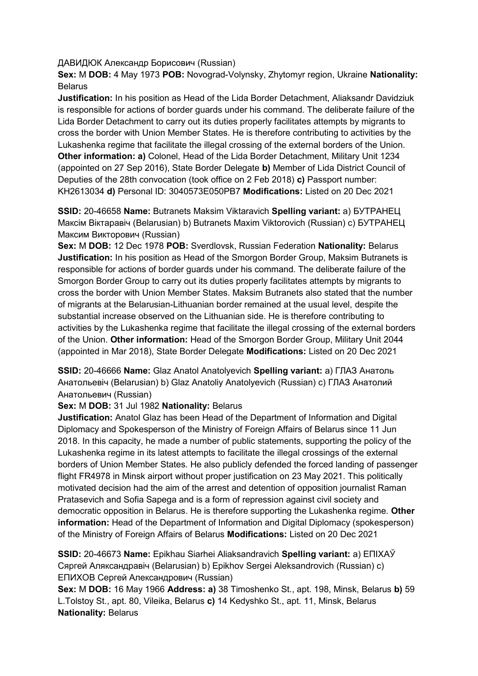ДАВИДЮК Александр Борисович (Russian)

**Sex:** M **DOB:** 4 May 1973 **POB:** Novograd-Volynsky, Zhytomyr region, Ukraine **Nationality:** Belarus

**Justification:** In his position as Head of the Lida Border Detachment, Aliaksandr Davidziuk is responsible for actions of border guards under his command. The deliberate failure of the Lida Border Detachment to carry out its duties properly facilitates attempts by migrants to cross the border with Union Member States. He is therefore contributing to activities by the Lukashenka regime that facilitate the illegal crossing of the external borders of the Union. **Other information: a)** Colonel, Head of the Lida Border Detachment, Military Unit 1234 (appointed on 27 Sep 2016), State Border Delegate **b)** Member of Lida District Council of Deputies of the 28th convocation (took office on 2 Feb 2018) **c)** Passport number: KH2613034 **d)** Personal ID: 3040573E050PB7 **Modifications:** Listed on 20 Dec 2021

**SSID:** 20-46658 **Name:** Butranets Maksim Viktaravich **Spelling variant:** a) БУТРАНЕЦ Максiм Вiктаравiч (Belarusian) b) Butranets Maxim Viktorovich (Russian) c) БУТРАНЕЦ Максим Викторович (Russian)

**Sex:** M **DOB:** 12 Dec 1978 **POB:** Sverdlovsk, Russian Federation **Nationality:** Belarus **Justification:** In his position as Head of the Smorgon Border Group, Maksim Butranets is responsible for actions of border guards under his command. The deliberate failure of the Smorgon Border Group to carry out its duties properly facilitates attempts by migrants to cross the border with Union Member States. Maksim Butranets also stated that the number of migrants at the Belarusian-Lithuanian border remained at the usual level, despite the substantial increase observed on the Lithuanian side. He is therefore contributing to activities by the Lukashenka regime that facilitate the illegal crossing of the external borders of the Union. **Other information:** Head of the Smorgon Border Group, Military Unit 2044 (appointed in Mar 2018), State Border Delegate **Modifications:** Listed on 20 Dec 2021

**SSID:** 20-46666 **Name:** Glaz Anatol Anatolyevich **Spelling variant:** a) ГЛАЗ Анатоль Анатольевiч (Belarusian) b) Glaz Anatoliy Anatolyevich (Russian) c) ГЛАЗ Анатолий Анатольевич (Russian)

### **Sex:** M **DOB:** 31 Jul 1982 **Nationality:** Belarus

**Justification:** Anatol Glaz has been Head of the Department of Information and Digital Diplomacy and Spokesperson of the Ministry of Foreign Affairs of Belarus since 11 Jun 2018. In this capacity, he made a number of public statements, supporting the policy of the Lukashenka regime in its latest attempts to facilitate the illegal crossings of the external borders of Union Member States. He also publicly defended the forced landing of passenger flight FR4978 in Minsk airport without proper justification on 23 May 2021. This politically motivated decision had the aim of the arrest and detention of opposition journalist Raman Pratasevich and Sofia Sapega and is a form of repression against civil society and democratic opposition in Belarus. He is therefore supporting the Lukashenka regime. **Other information:** Head of the Department of Information and Digital Diplomacy (spokesperson) of the Ministry of Foreign Affairs of Belarus **Modifications:** Listed on 20 Dec 2021

**SSID:** 20-46673 **Name:** Epikhau Siarhei Aliaksandravich **Spelling variant:** a) ЕПIХАЎ Сяргей Аляксандравiч (Belarusian) b) Epikhov Sergei Aleksandrovich (Russian) c) ЕПИХОВ Сергей Александрович (Russian)

**Sex:** M **DOB:** 16 May 1966 **Address: a)** 38 Timoshenko St., apt. 198, Minsk, Belarus **b)** 59 L.Tolstoy St., apt. 80, Vileika, Belarus **c)** 14 Kedyshko St., apt. 11, Minsk, Belarus **Nationality:** Belarus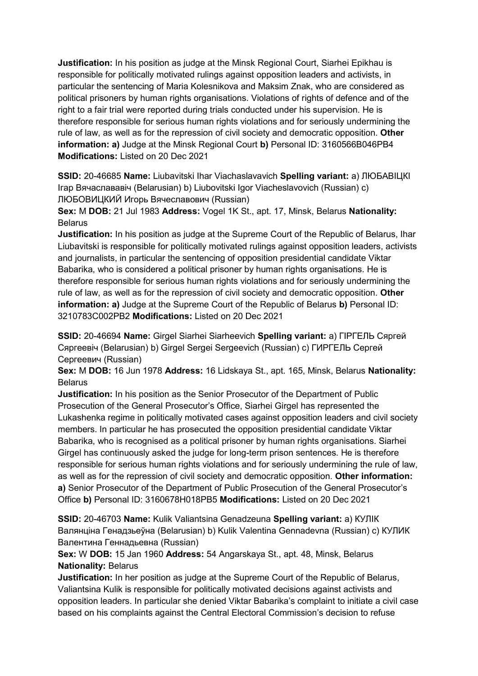**Justification:** In his position as judge at the Minsk Regional Court, Siarhei Epikhau is responsible for politically motivated rulings against opposition leaders and activists, in particular the sentencing of Maria Kolesnikova and Maksim Znak, who are considered as political prisoners by human rights organisations. Violations of rights of defence and of the right to a fair trial were reported during trials conducted under his supervision. He is therefore responsible for serious human rights violations and for seriously undermining the rule of law, as well as for the repression of civil society and democratic opposition. **Other information: a)** Judge at the Minsk Regional Court **b)** Personal ID: 3160566B046PB4 **Modifications:** Listed on 20 Dec 2021

**SSID:** 20-46685 **Name:** Liubavitski Ihar Viachaslavavich **Spelling variant:** a) ЛЮБАВIЦКI Iгар Вячаслававiч (Belarusian) b) Liubovitski Igor Viacheslavovich (Russian) c) ЛЮБОВИЦКИЙ Игорь Вячеславович (Russian)

**Sex:** M **DOB:** 21 Jul 1983 **Address:** Vogel 1K St., apt. 17, Minsk, Belarus **Nationality:** Belarus

**Justification:** In his position as judge at the Supreme Court of the Republic of Belarus, Ihar Liubavitski is responsible for politically motivated rulings against opposition leaders, activists and journalists, in particular the sentencing of opposition presidential candidate Viktar Babarika, who is considered a political prisoner by human rights organisations. He is therefore responsible for serious human rights violations and for seriously undermining the rule of law, as well as for the repression of civil society and democratic opposition. **Other information: a)** Judge at the Supreme Court of the Republic of Belarus **b)** Personal ID: 3210783C002PB2 **Modifications:** Listed on 20 Dec 2021

**SSID:** 20-46694 **Name:** Girgel Siarhei Siarheevich **Spelling variant:** a) ГIРГЕЛЬ Сяргей Сяргеевiч (Belarusian) b) Girgel Sergei Sergeevich (Russian) c) ГИРГЕЛЬ Сергей Сергеевич (Russian)

**Sex:** M **DOB:** 16 Jun 1978 **Address:** 16 Lidskaya St., apt. 165, Minsk, Belarus **Nationality:** Belarus

**Justification:** In his position as the Senior Prosecutor of the Department of Public Prosecution of the General Prosecutor's Office, Siarhei Girgel has represented the Lukashenka regime in politically motivated cases against opposition leaders and civil society members. In particular he has prosecuted the opposition presidential candidate Viktar Babarika, who is recognised as a political prisoner by human rights organisations. Siarhei Girgel has continuously asked the judge for long-term prison sentences. He is therefore responsible for serious human rights violations and for seriously undermining the rule of law, as well as for the repression of civil society and democratic opposition. **Other information: a)** Senior Prosecutor of the Department of Public Prosecution of the General Prosecutor's Office **b)** Personal ID: 3160678H018PB5 **Modifications:** Listed on 20 Dec 2021

**SSID:** 20-46703 **Name:** Kulik Valiantsina Genadzeuna **Spelling variant:** a) КУЛIК Валянцiна Генадзьеўна (Belarusian) b) Kulik Valentina Gennadevna (Russian) c) КУЛИК Валентина Геннадьевна (Russian)

**Sex:** W **DOB:** 15 Jan 1960 **Address:** 54 Angarskaya St., apt. 48, Minsk, Belarus **Nationality:** Belarus

**Justification:** In her position as judge at the Supreme Court of the Republic of Belarus, Valiantsina Kulik is responsible for politically motivated decisions against activists and opposition leaders. In particular she denied Viktar Babarika's complaint to initiate a civil case based on his complaints against the Central Electoral Commission's decision to refuse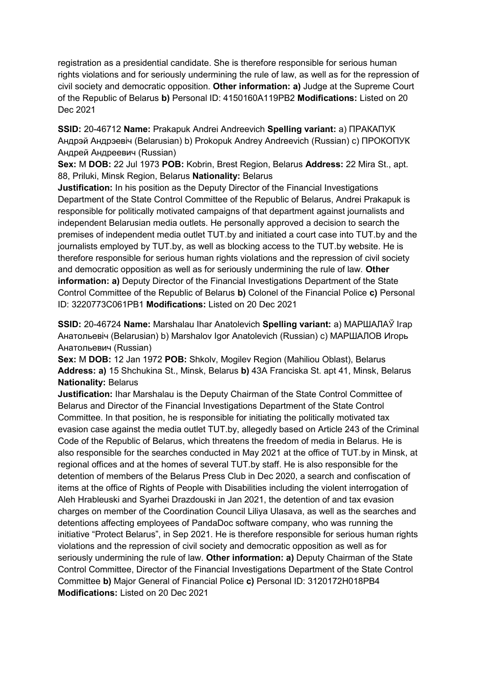registration as a presidential candidate. She is therefore responsible for serious human rights violations and for seriously undermining the rule of law, as well as for the repression of civil society and democratic opposition. **Other information: a)** Judge at the Supreme Court of the Republic of Belarus **b)** Personal ID: 4150160A119PB2 **Modifications:** Listed on 20 Dec 2021

**SSID:** 20-46712 **Name:** Prakapuk Andrei Andreevich **Spelling variant:** a) ПРАКАПУК Андрэй Андрэевiч (Belarusian) b) Prokopuk Andrey Andreevich (Russian) c) ПРОКОПУК Андрей Андреевич (Russian)

**Sex:** M **DOB:** 22 Jul 1973 **POB:** Kobrin, Brest Region, Belarus **Address:** 22 Mira St., apt. 88, Priluki, Minsk Region, Belarus **Nationality:** Belarus

**Justification:** In his position as the Deputy Director of the Financial Investigations Department of the State Control Committee of the Republic of Belarus, Andrei Prakapuk is responsible for politically motivated campaigns of that department against journalists and independent Belarusian media outlets. He personally approved a decision to search the premises of independent media outlet TUT.by and initiated a court case into TUT.by and the journalists employed by TUT.by, as well as blocking access to the TUT.by website. He is therefore responsible for serious human rights violations and the repression of civil society and democratic opposition as well as for seriously undermining the rule of law. **Other information: a)** Deputy Director of the Financial Investigations Department of the State Control Committee of the Republic of Belarus **b)** Colonel of the Financial Police **c)** Personal ID: 3220773C061PB1 **Modifications:** Listed on 20 Dec 2021

**SSID:** 20-46724 **Name:** Marshalau Ihar Anatolevich **Spelling variant:** a) МАРШАЛАЎ Iгар Анатольевiч (Belarusian) b) Marshalov Igor Anatolevich (Russian) c) МАРШАЛОВ Игорь Анатольевич (Russian)

**Sex:** M **DOB:** 12 Jan 1972 **POB:** Shkolv, Mogilev Region (Mahiliou Oblast), Belarus **Address: a)** 15 Shchukina St., Minsk, Belarus **b)** 43A Franciska St. apt 41, Minsk, Belarus **Nationality:** Belarus

**Justification:** Ihar Marshalau is the Deputy Chairman of the State Control Committee of Belarus and Director of the Financial Investigations Department of the State Control Committee. In that position, he is responsible for initiating the politically motivated tax evasion case against the media outlet TUT.by, allegedly based on Article 243 of the Criminal Code of the Republic of Belarus, which threatens the freedom of media in Belarus. He is also responsible for the searches conducted in May 2021 at the office of TUT.by in Minsk, at regional offices and at the homes of several TUT.by staff. He is also responsible for the detention of members of the Belarus Press Club in Dec 2020, a search and confiscation of items at the office of Rights of People with Disabilities including the violent interrogation of Aleh Hrableuski and Syarhei Drazdouski in Jan 2021, the detention of and tax evasion charges on member of the Coordination Council Liliya Ulasava, as well as the searches and detentions affecting employees of PandaDoc software company, who was running the initiative "Protect Belarus", in Sep 2021. He is therefore responsible for serious human rights violations and the repression of civil society and democratic opposition as well as for seriously undermining the rule of law. **Other information: a)** Deputy Chairman of the State Control Committee, Director of the Financial Investigations Department of the State Control Committee **b)** Major General of Financial Police **c)** Personal ID: 3120172H018PB4 **Modifications:** Listed on 20 Dec 2021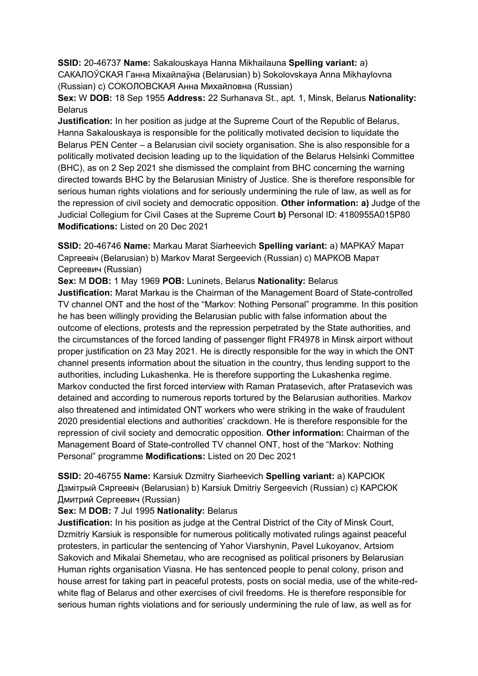**SSID:** 20-46737 **Name:** Sakalouskaya Hanna Mikhailauna **Spelling variant:** a)

САКАЛОЎСКАЯ Ганна Мiхайлаўна (Belarusian) b) Sokolovskaya Anna Mikhaylovna (Russian) c) СОКОЛОВСКАЯ Анна Михайловна (Russian)

**Sex:** W **DOB:** 18 Sep 1955 **Address:** 22 Surhanava St., apt. 1, Minsk, Belarus **Nationality: Belarus** 

**Justification:** In her position as judge at the Supreme Court of the Republic of Belarus, Hanna Sakalouskaya is responsible for the politically motivated decision to liquidate the Belarus PEN Center – a Belarusian civil society organisation. She is also responsible for a politically motivated decision leading up to the liquidation of the Belarus Helsinki Committee (BHC), as on 2 Sep 2021 she dismissed the complaint from BHC concerning the warning directed towards BHC by the Belarusian Ministry of Justice. She is therefore responsible for serious human rights violations and for seriously undermining the rule of law, as well as for the repression of civil society and democratic opposition. **Other information: a)** Judge of the Judicial Collegium for Civil Cases at the Supreme Court **b)** Personal ID: 4180955A015P80 **Modifications:** Listed on 20 Dec 2021

**SSID:** 20-46746 **Name:** Markau Marat Siarheevich **Spelling variant:** a) МАРКАЎ Марат Сяргеевiч (Belarusian) b) Markov Marat Sergeevich (Russian) c) МАРКОВ Марат Сергеевич (Russian)

**Sex:** M **DOB:** 1 May 1969 **POB:** Luninets, Belarus **Nationality:** Belarus

**Justification:** Marat Markau is the Chairman of the Management Board of State-controlled TV channel ONT and the host of the "Markov: Nothing Personal" programme. In this position he has been willingly providing the Belarusian public with false information about the outcome of elections, protests and the repression perpetrated by the State authorities, and the circumstances of the forced landing of passenger flight FR4978 in Minsk airport without proper justification on 23 May 2021. He is directly responsible for the way in which the ONT channel presents information about the situation in the country, thus lending support to the authorities, including Lukashenka. He is therefore supporting the Lukashenka regime. Markov conducted the first forced interview with Raman Pratasevich, after Pratasevich was detained and according to numerous reports tortured by the Belarusian authorities. Markov also threatened and intimidated ONT workers who were striking in the wake of fraudulent 2020 presidential elections and authorities' crackdown. He is therefore responsible for the repression of civil society and democratic opposition. **Other information:** Chairman of the Management Board of State-controlled TV channel ONT, host of the "Markov: Nothing Personal" programme **Modifications:** Listed on 20 Dec 2021

**SSID:** 20-46755 **Name:** Karsiuk Dzmitry Siarheevich **Spelling variant:** a) КАРСЮК Дзмiтрый Сяргеевiч (Belarusian) b) Karsiuk Dmitriy Sergeevich (Russian) c) КАРСЮК Дмитрий Сергеевич (Russian)

## **Sex:** M **DOB:** 7 Jul 1995 **Nationality:** Belarus

**Justification:** In his position as judge at the Central District of the City of Minsk Court, Dzmitriy Karsiuk is responsible for numerous politically motivated rulings against peaceful protesters, in particular the sentencing of Yahor Viarshynin, Pavel Lukoyanov, Artsiom Sakovich and Mikalai Shemetau, who are recognised as political prisoners by Belarusian Human rights organisation Viasna. He has sentenced people to penal colony, prison and house arrest for taking part in peaceful protests, posts on social media, use of the white-redwhite flag of Belarus and other exercises of civil freedoms. He is therefore responsible for serious human rights violations and for seriously undermining the rule of law, as well as for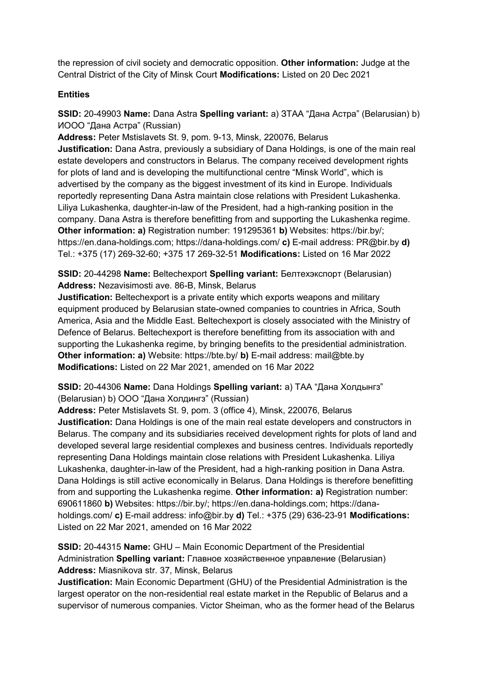the repression of civil society and democratic opposition. **Other information:** Judge at the Central District of the City of Minsk Court **Modifications:** Listed on 20 Dec 2021

### **Entities**

**SSID:** 20-49903 **Name:** Dana Astra **Spelling variant:** a) ЗТАА "Дана Астра" (Belarusian) b) ИООО "Дана Астра" (Russian)

**Address:** Peter Mstislavets St. 9, pom. 9-13, Minsk, 220076, Belarus **Justification:** Dana Astra, previously a subsidiary of Dana Holdings, is one of the main real estate developers and constructors in Belarus. The company received development rights for plots of land and is developing the multifunctional centre "Minsk World", which is advertised by the company as the biggest investment of its kind in Europe. Individuals reportedly representing Dana Astra maintain close relations with President Lukashenka. Liliya Lukashenka, daughter-in-law of the President, had a high-ranking position in the company. Dana Astra is therefore benefitting from and supporting the Lukashenka regime. **Other information: a)** Registration number: 191295361 **b)** Websites: https://bir.by/;

https://en.dana-holdings.com; https://dana-holdings.com/ **c)** E-mail address: PR@bir.by **d)**  Tel.: +375 (17) 269-32-60; +375 17 269-32-51 **Modifications:** Listed on 16 Mar 2022

**SSID:** 20-44298 **Name:** Beltechexport **Spelling variant:** Белтехэкспорт (Belarusian) **Address:** Nezavisimosti ave. 86-B, Minsk, Belarus

**Justification:** Beltechexport is a private entity which exports weapons and military equipment produced by Belarusian state-owned companies to countries in Africa, South America, Asia and the Middle East. Beltechexport is closely associated with the Ministry of Defence of Belarus. Beltechexport is therefore benefitting from its association with and supporting the Lukashenka regime, by bringing benefits to the presidential administration. **Other information: a)** Website: https://bte.by/ **b)** E-mail address: mail@bte.by **Modifications:** Listed on 22 Mar 2021, amended on 16 Mar 2022

**SSID:** 20-44306 **Name:** Dana Holdings **Spelling variant:** a) ТАА "Дана Холдынгз" (Belarusian) b) ООО "Дана Холдингз" (Russian)

**Address:** Peter Mstislavets St. 9, pom. 3 (office 4), Minsk, 220076, Belarus **Justification:** Dana Holdings is one of the main real estate developers and constructors in Belarus. The company and its subsidiaries received development rights for plots of land and developed several large residential complexes and business centres. Individuals reportedly representing Dana Holdings maintain close relations with President Lukashenka. Liliya Lukashenka, daughter-in-law of the President, had a high-ranking position in Dana Astra. Dana Holdings is still active economically in Belarus. Dana Holdings is therefore benefitting from and supporting the Lukashenka regime. **Other information: a)** Registration number: 690611860 **b)** Websites: https://bir.by/; https://en.dana-holdings.com; https://danaholdings.com/ **c)** E-mail address: info@bir.by **d)** Tel.: +375 (29) 636-23-91 **Modifications:**  Listed on 22 Mar 2021, amended on 16 Mar 2022

**SSID:** 20-44315 **Name:** GHU – Main Economic Department of the Presidential Administration **Spelling variant:** Главное хозяйственное управление (Belarusian) **Address:** Miasnikova str. 37, Minsk, Belarus

**Justification:** Main Economic Department (GHU) of the Presidential Administration is the largest operator on the non-residential real estate market in the Republic of Belarus and a supervisor of numerous companies. Victor Sheiman, who as the former head of the Belarus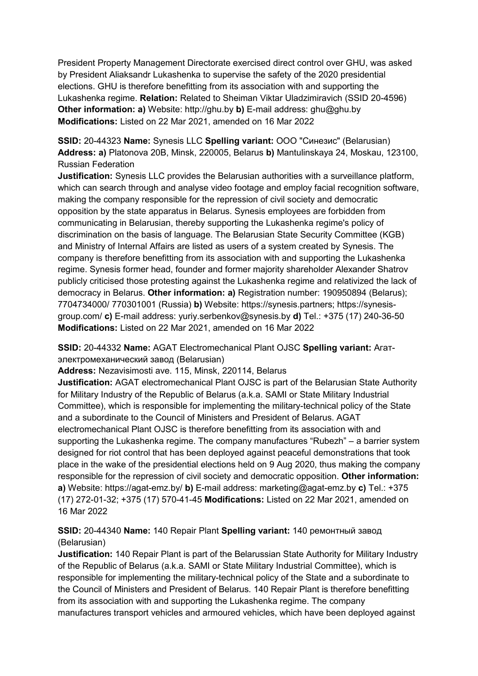President Property Management Directorate exercised direct control over GHU, was asked by President Aliaksandr Lukashenka to supervise the safety of the 2020 presidential elections. GHU is therefore benefitting from its association with and supporting the Lukashenka regime. **Relation:** Related to Sheiman Viktar Uladzimiravich (SSID 20-4596) **Other information: a)** Website: http://ghu.by **b)** E-mail address: ghu@ghu.by **Modifications:** Listed on 22 Mar 2021, amended on 16 Mar 2022

**SSID:** 20-44323 **Name:** Synesis LLC **Spelling variant:** ООО "Синезис" (Belarusian) **Address: a)** Platonova 20B, Minsk, 220005, Belarus **b)** Mantulinskaya 24, Moskau, 123100, Russian Federation

**Justification:** Synesis LLC provides the Belarusian authorities with a surveillance platform, which can search through and analyse video footage and employ facial recognition software, making the company responsible for the repression of civil society and democratic opposition by the state apparatus in Belarus. Synesis employees are forbidden from communicating in Belarusian, thereby supporting the Lukashenka regime's policy of discrimination on the basis of language. The Belarusian State Security Committee (KGB) and Ministry of Internal Affairs are listed as users of a system created by Synesis. The company is therefore benefitting from its association with and supporting the Lukashenka regime. Synesis former head, founder and former majority shareholder Alexander Shatrov publicly criticised those protesting against the Lukashenka regime and relativized the lack of democracy in Belarus. **Other information: a)** Registration number: 190950894 (Belarus); 7704734000/ 770301001 (Russia) **b)** Website: https://synesis.partners; https://synesisgroup.com/ **c)** E-mail address: yuriy.serbenkov@synesis.by **d)** Tel.: +375 (17) 240-36-50 **Modifications:** Listed on 22 Mar 2021, amended on 16 Mar 2022

**SSID:** 20-44332 **Name:** AGAT Electromechanical Plant OJSC **Spelling variant:** Агатэлектромеханический завод (Belarusian)

**Address:** Nezavisimosti ave. 115, Minsk, 220114, Belarus

**Justification:** AGAT electromechanical Plant OJSC is part of the Belarusian State Authority for Military Industry of the Republic of Belarus (a.k.a. SAMI or State Military Industrial Committee), which is responsible for implementing the military-technical policy of the State and a subordinate to the Council of Ministers and President of Belarus. AGAT electromechanical Plant OJSC is therefore benefitting from its association with and supporting the Lukashenka regime. The company manufactures "Rubezh" – a barrier system designed for riot control that has been deployed against peaceful demonstrations that took place in the wake of the presidential elections held on 9 Aug 2020, thus making the company responsible for the repression of civil society and democratic opposition. **Other information: a)** Website: https://agat-emz.by/ **b)** E-mail address: marketing@agat-emz.by **c)** Tel.: +375 (17) 272-01-32; +375 (17) 570-41-45 **Modifications:** Listed on 22 Mar 2021, amended on 16 Mar 2022

# **SSID:** 20-44340 **Name:** 140 Repair Plant **Spelling variant:** 140 ремонтный завод (Belarusian)

**Justification:** 140 Repair Plant is part of the Belarussian State Authority for Military Industry of the Republic of Belarus (a.k.a. SAMI or State Military Industrial Committee), which is responsible for implementing the military-technical policy of the State and a subordinate to the Council of Ministers and President of Belarus. 140 Repair Plant is therefore benefitting from its association with and supporting the Lukashenka regime. The company manufactures transport vehicles and armoured vehicles, which have been deployed against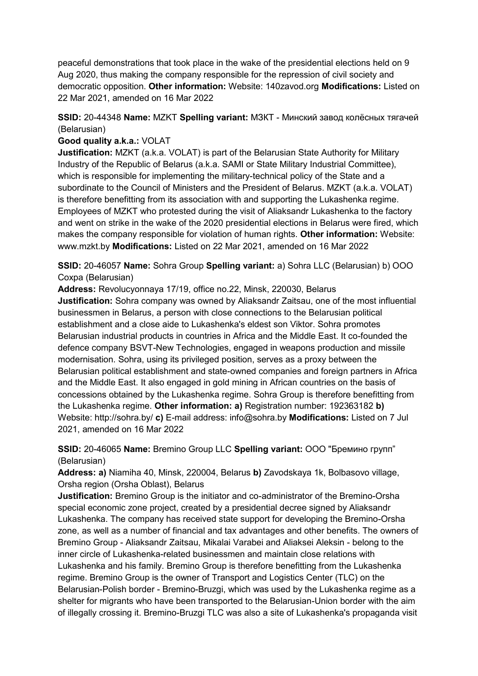peaceful demonstrations that took place in the wake of the presidential elections held on 9 Aug 2020, thus making the company responsible for the repression of civil society and democratic opposition. **Other information:** Website: 140zavod.org **Modifications:** Listed on 22 Mar 2021, amended on 16 Mar 2022

## **SSID:** 20-44348 **Name:** MZKT **Spelling variant:** МЗКТ - Минский завод колёсных тягачей (Belarusian)

### **Good quality a.k.a.:** VOLAT

**Justification:** MZKT (a.k.a. VOLAT) is part of the Belarusian State Authority for Military Industry of the Republic of Belarus (a.k.a. SAMI or State Military Industrial Committee), which is responsible for implementing the military-technical policy of the State and a subordinate to the Council of Ministers and the President of Belarus. MZKT (a.k.a. VOLAT) is therefore benefitting from its association with and supporting the Lukashenka regime. Employees of MZKT who protested during the visit of Aliaksandr Lukashenka to the factory and went on strike in the wake of the 2020 presidential elections in Belarus were fired, which makes the company responsible for violation of human rights. **Other information:** Website: www.mzkt.by **Modifications:** Listed on 22 Mar 2021, amended on 16 Mar 2022

**SSID:** 20-46057 **Name:** Sohra Group **Spelling variant:** a) Sohra LLC (Belarusian) b) ООО Сохра (Belarusian)

**Address:** Revolucyonnaya 17/19, office no.22, Minsk, 220030, Belarus **Justification:** Sohra company was owned by Aliaksandr Zaitsau, one of the most influential businessmen in Belarus, a person with close connections to the Belarusian political establishment and a close aide to Lukashenka's eldest son Viktor. Sohra promotes Belarusian industrial products in countries in Africa and the Middle East. It co-founded the defence company BSVT-New Technologies, engaged in weapons production and missile modernisation. Sohra, using its privileged position, serves as a proxy between the Belarusian political establishment and state-owned companies and foreign partners in Africa and the Middle East. It also engaged in gold mining in African countries on the basis of concessions obtained by the Lukashenka regime. Sohra Group is therefore benefitting from the Lukashenka regime. **Other information: a)** Registration number: 192363182 **b)**  Website: http://sohra.by/ **c)** E-mail address: info@sohra.by **Modifications:** Listed on 7 Jul 2021, amended on 16 Mar 2022

**SSID:** 20-46065 **Name:** Bremino Group LLC **Spelling variant:** ООО "Бремино групп" (Belarusian)

**Address: a)** Niamiha 40, Minsk, 220004, Belarus **b)** Zavodskaya 1k, Bolbasovo village, Orsha region (Orsha Oblast), Belarus

**Justification:** Bremino Group is the initiator and co-administrator of the Bremino-Orsha special economic zone project, created by a presidential decree signed by Aliaksandr Lukashenka. The company has received state support for developing the Bremino-Orsha zone, as well as a number of financial and tax advantages and other benefits. The owners of Bremino Group - Aliaksandr Zaitsau, Mikalai Varabei and Aliaksei Aleksin - belong to the inner circle of Lukashenka-related businessmen and maintain close relations with Lukashenka and his family. Bremino Group is therefore benefitting from the Lukashenka regime. Bremino Group is the owner of Transport and Logistics Center (TLC) on the Belarusian-Polish border - Bremino-Bruzgi, which was used by the Lukashenka regime as a shelter for migrants who have been transported to the Belarusian-Union border with the aim of illegally crossing it. Bremino-Bruzgi TLC was also a site of Lukashenka's propaganda visit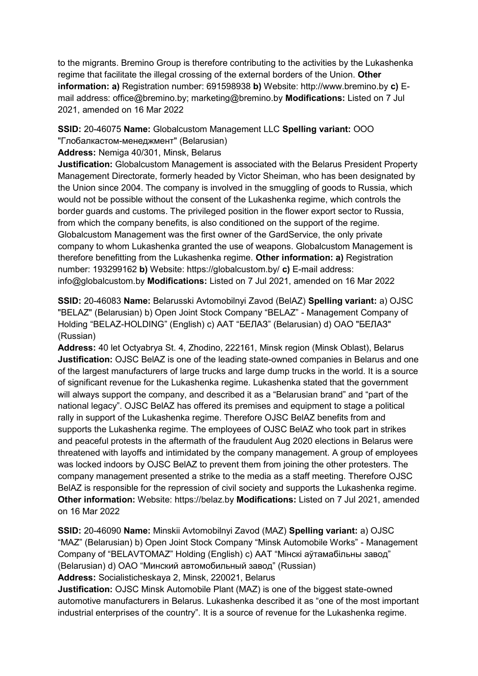to the migrants. Bremino Group is therefore contributing to the activities by the Lukashenka regime that facilitate the illegal crossing of the external borders of the Union. **Other information: a)** Registration number: 691598938 **b)** Website: http://www.bremino.by **c)** Email address: office@bremino.by; marketing@bremino.by **Modifications:** Listed on 7 Jul 2021, amended on 16 Mar 2022

**SSID:** 20-46075 **Name:** Globalcustom Management LLC **Spelling variant:** ООО "Глобалкастом-менеджмент" (Belarusian)

**Address:** Nemiga 40/301, Minsk, Belarus

**Justification:** Globalcustom Management is associated with the Belarus President Property Management Directorate, formerly headed by Victor Sheiman, who has been designated by the Union since 2004. The company is involved in the smuggling of goods to Russia, which would not be possible without the consent of the Lukashenka regime, which controls the border guards and customs. The privileged position in the flower export sector to Russia, from which the company benefits, is also conditioned on the support of the regime. Globalcustom Management was the first owner of the GardService, the only private company to whom Lukashenka granted the use of weapons. Globalcustom Management is therefore benefitting from the Lukashenka regime. **Other information: a)** Registration number: 193299162 **b)** Website: https://globalcustom.by/ **c)** E-mail address: info@globalcustom.by **Modifications:** Listed on 7 Jul 2021, amended on 16 Mar 2022

**SSID:** 20-46083 **Name:** Belarusski Avtomobilnyi Zavod (BelAZ) **Spelling variant:** a) OJSC "BELAZ" (Belarusian) b) Open Joint Stock Company "BELAZ" - Management Company of Holding "BELAZ-HOLDING" (English) c) ААТ "БЕЛАЗ" (Belarusian) d) ОАО "БЕЛАЗ" (Russian)

**Address:** 40 let Octyabrya St. 4, Zhodino, 222161, Minsk region (Minsk Oblast), Belarus **Justification:** OJSC BelAZ is one of the leading state-owned companies in Belarus and one of the largest manufacturers of large trucks and large dump trucks in the world. It is a source of significant revenue for the Lukashenka regime. Lukashenka stated that the government will always support the company, and described it as a "Belarusian brand" and "part of the national legacy". OJSC BelAZ has offered its premises and equipment to stage a political rally in support of the Lukashenka regime. Therefore OJSC BelAZ benefits from and supports the Lukashenka regime. The employees of OJSC BelAZ who took part in strikes and peaceful protests in the aftermath of the fraudulent Aug 2020 elections in Belarus were threatened with layoffs and intimidated by the company management. A group of employees was locked indoors by OJSC BelAZ to prevent them from joining the other protesters. The company management presented a strike to the media as a staff meeting. Therefore OJSC BelAZ is responsible for the repression of civil society and supports the Lukashenka regime. **Other information:** Website: https://belaz.by **Modifications:** Listed on 7 Jul 2021, amended on 16 Mar 2022

**SSID:** 20-46090 **Name:** Minskii Avtomobilnyi Zavod (MAZ) **Spelling variant:** a) OJSC "MAZ" (Belarusian) b) Open Joint Stock Company "Minsk Automobile Works" - Management Company of "BELAVTOMAZ" Holding (English) c) ААТ "Мiнскi аўтамабiльны завод" (Belarusian) d) ОАО "Минский автомобильный завод" (Russian)

**Address:** Socialisticheskaya 2, Minsk, 220021, Belarus

**Justification:** OJSC Minsk Automobile Plant (MAZ) is one of the biggest state-owned automotive manufacturers in Belarus. Lukashenka described it as "one of the most important industrial enterprises of the country". It is a source of revenue for the Lukashenka regime.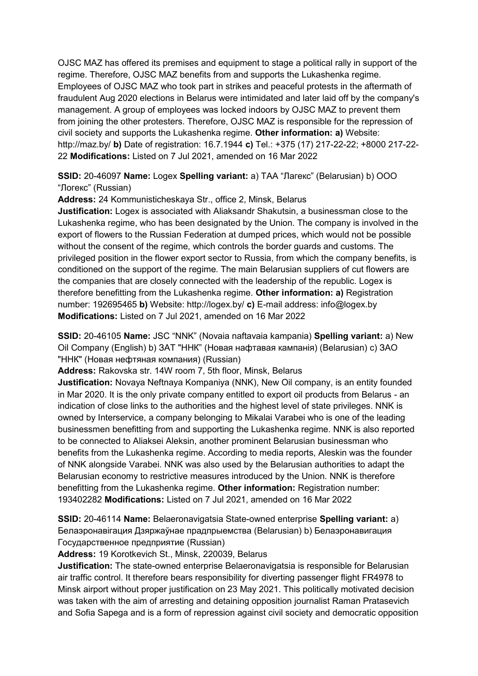OJSC MAZ has offered its premises and equipment to stage a political rally in support of the regime. Therefore, OJSC MAZ benefits from and supports the Lukashenka regime. Employees of OJSC MAZ who took part in strikes and peaceful protests in the aftermath of fraudulent Aug 2020 elections in Belarus were intimidated and later laid off by the company's management. A group of employees was locked indoors by OJSC MAZ to prevent them from joining the other protesters. Therefore, OJSC MAZ is responsible for the repression of civil society and supports the Lukashenka regime. **Other information: a)** Website: http://maz.by/ **b)** Date of registration: 16.7.1944 **c)** Tel.: +375 (17) 217-22-22; +8000 217-22- 22 **Modifications:** Listed on 7 Jul 2021, amended on 16 Mar 2022

**SSID:** 20-46097 **Name:** Logex **Spelling variant:** a) ТАА "Лагекс" (Belarusian) b) ООО "Логекс" (Russian)

**Address:** 24 Kommunisticheskaya Str., office 2, Minsk, Belarus

**Justification:** Logex is associated with Aliaksandr Shakutsin, a businessman close to the Lukashenka regime, who has been designated by the Union. The company is involved in the export of flowers to the Russian Federation at dumped prices, which would not be possible without the consent of the regime, which controls the border guards and customs. The privileged position in the flower export sector to Russia, from which the company benefits, is conditioned on the support of the regime. The main Belarusian suppliers of cut flowers are the companies that are closely connected with the leadership of the republic. Logex is therefore benefitting from the Lukashenka regime. **Other information: a)** Registration number: 192695465 **b)** Website: http://logex.by/ **c)** E-mail address: info@logex.by **Modifications:** Listed on 7 Jul 2021, amended on 16 Mar 2022

**SSID:** 20-46105 **Name:** JSC "NNK" (Novaia naftavaia kampania) **Spelling variant:** a) New Oil Company (English) b) ЗАТ "ННК" (Новая нафтавая кампанiя) (Belarusian) c) ЗАО "ННК" (Новая нефтяная компания) (Russian)

**Address:** Rakovska str. 14W room 7, 5th floor, Minsk, Belarus

**Justification:** Novaya Neftnaya Kompaniya (NNK), New Oil company, is an entity founded in Mar 2020. It is the only private company entitled to export oil products from Belarus - an indication of close links to the authorities and the highest level of state privileges. NNK is owned by Interservice, a company belonging to Mikalai Varabei who is one of the leading businessmen benefitting from and supporting the Lukashenka regime. NNK is also reported to be connected to Aliaksei Aleksin, another prominent Belarusian businessman who benefits from the Lukashenka regime. According to media reports, Aleskin was the founder of NNK alongside Varabei. NNK was also used by the Belarusian authorities to adapt the Belarusian economy to restrictive measures introduced by the Union. NNK is therefore benefitting from the Lukashenka regime. **Other information:** Registration number: 193402282 **Modifications:** Listed on 7 Jul 2021, amended on 16 Mar 2022

**SSID:** 20-46114 **Name:** Belaeronavigatsia State-owned enterprise **Spelling variant:** a) Белаэронавiгация Дзяржаўнае прадпрыемства (Belarusian) b) Белаэронавигация Государственное предприятие (Russian)

**Address:** 19 Korotkevich St., Minsk, 220039, Belarus

**Justification:** The state-owned enterprise Belaeronavigatsia is responsible for Belarusian air traffic control. It therefore bears responsibility for diverting passenger flight FR4978 to Minsk airport without proper justification on 23 May 2021. This politically motivated decision was taken with the aim of arresting and detaining opposition journalist Raman Pratasevich and Sofia Sapega and is a form of repression against civil society and democratic opposition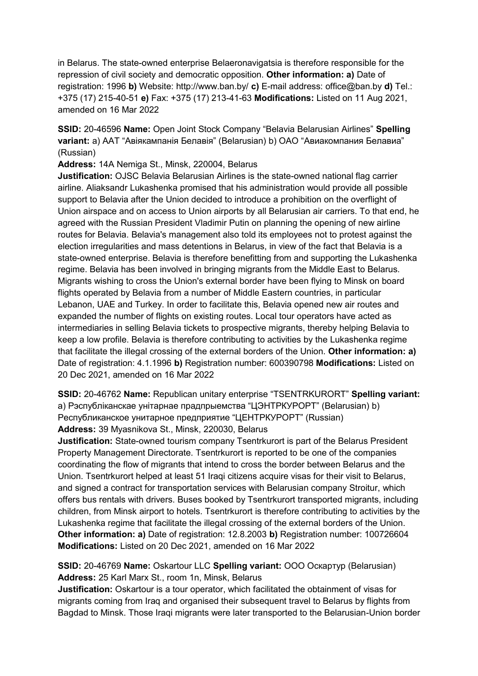in Belarus. The state-owned enterprise Belaeronavigatsia is therefore responsible for the repression of civil society and democratic opposition. **Other information: a)** Date of registration: 1996 **b)** Website: http://www.ban.by/ **c)** E-mail address: office@ban.by **d)** Tel.: +375 (17) 215-40-51 **e)** Fax: +375 (17) 213-41-63 **Modifications:** Listed on 11 Aug 2021, amended on 16 Mar 2022

**SSID:** 20-46596 **Name:** Open Joint Stock Company "Belavia Belarusian Airlines" **Spelling variant:** a) ААТ "Авiякампанiя Белавiя" (Belarusian) b) ОАО "Авиакомпания Белавиа" (Russian)

**Address:** 14A Nemiga St., Minsk, 220004, Belarus

**Justification:** OJSC Belavia Belarusian Airlines is the state-owned national flag carrier airline. Aliaksandr Lukashenka promised that his administration would provide all possible support to Belavia after the Union decided to introduce a prohibition on the overflight of Union airspace and on access to Union airports by all Belarusian air carriers. To that end, he agreed with the Russian President Vladimir Putin on planning the opening of new airline routes for Belavia. Belavia's management also told its employees not to protest against the election irregularities and mass detentions in Belarus, in view of the fact that Belavia is a state-owned enterprise. Belavia is therefore benefitting from and supporting the Lukashenka regime. Belavia has been involved in bringing migrants from the Middle East to Belarus. Migrants wishing to cross the Union's external border have been flying to Minsk on board flights operated by Belavia from a number of Middle Eastern countries, in particular Lebanon, UAE and Turkey. In order to facilitate this, Belavia opened new air routes and expanded the number of flights on existing routes. Local tour operators have acted as intermediaries in selling Belavia tickets to prospective migrants, thereby helping Belavia to keep a low profile. Belavia is therefore contributing to activities by the Lukashenka regime that facilitate the illegal crossing of the external borders of the Union. **Other information: a)**  Date of registration: 4.1.1996 **b)** Registration number: 600390798 **Modifications:** Listed on 20 Dec 2021, amended on 16 Mar 2022

**SSID:** 20-46762 **Name:** Republican unitary enterprise "TSENTRKURORT" **Spelling variant:**  a) Рэспублiканскае унiтарнае прадпрыемства "ЦЭНТРКУРОРТ" (Belarusian) b) Республиканское унитарное предприятие "ЦЕНТРКУРОРТ" (Russian) **Address:** 39 Myasnikova St., Minsk, 220030, Belarus

**Justification:** State-owned tourism company Tsentrkurort is part of the Belarus President Property Management Directorate. Tsentrkurort is reported to be one of the companies coordinating the flow of migrants that intend to cross the border between Belarus and the Union. Tsentrkurort helped at least 51 Iraqi citizens acquire visas for their visit to Belarus, and signed a contract for transportation services with Belarusian company Stroitur, which offers bus rentals with drivers. Buses booked by Tsentrkurort transported migrants, including children, from Minsk airport to hotels. Tsentrkurort is therefore contributing to activities by the Lukashenka regime that facilitate the illegal crossing of the external borders of the Union. **Other information: a)** Date of registration: 12.8.2003 **b)** Registration number: 100726604 **Modifications:** Listed on 20 Dec 2021, amended on 16 Mar 2022

**SSID:** 20-46769 **Name:** Oskartour LLC **Spelling variant:** ООО Оскартур (Belarusian) **Address:** 25 Karl Marx St., room 1n, Minsk, Belarus

**Justification:** Oskartour is a tour operator, which facilitated the obtainment of visas for migrants coming from Iraq and organised their subsequent travel to Belarus by flights from Bagdad to Minsk. Those Iraqi migrants were later transported to the Belarusian-Union border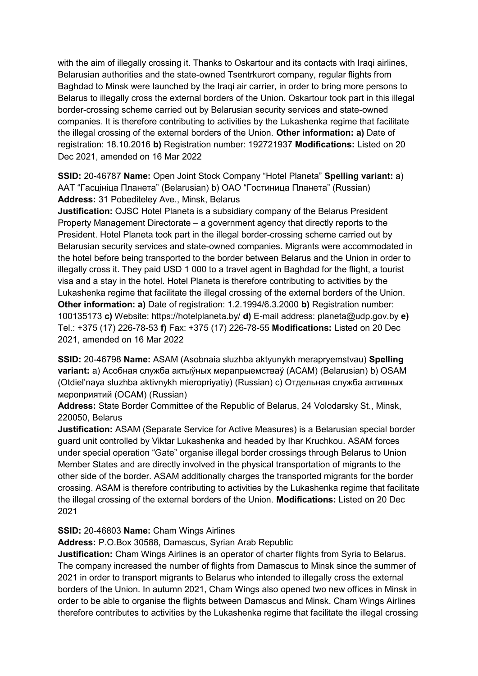with the aim of illegally crossing it. Thanks to Oskartour and its contacts with Iraqi airlines, Belarusian authorities and the state-owned Tsentrkurort company, regular flights from Baghdad to Minsk were launched by the Iraqi air carrier, in order to bring more persons to Belarus to illegally cross the external borders of the Union. Oskartour took part in this illegal border-crossing scheme carried out by Belarusian security services and state-owned companies. It is therefore contributing to activities by the Lukashenka regime that facilitate the illegal crossing of the external borders of the Union. **Other information: a)** Date of registration: 18.10.2016 **b)** Registration number: 192721937 **Modifications:** Listed on 20 Dec 2021, amended on 16 Mar 2022

**SSID:** 20-46787 **Name:** Open Joint Stock Company "Hotel Planeta" **Spelling variant:** a) ААТ "Гасцiнiца Планета" (Belarusian) b) OAO "Гостиница Планета" (Russian) **Address:** 31 Pobediteley Ave., Minsk, Belarus

**Justification:** OJSC Hotel Planeta is a subsidiary company of the Belarus President Property Management Directorate – a government agency that directly reports to the President. Hotel Planeta took part in the illegal border-crossing scheme carried out by Belarusian security services and state-owned companies. Migrants were accommodated in the hotel before being transported to the border between Belarus and the Union in order to illegally cross it. They paid USD 1 000 to a travel agent in Baghdad for the flight, a tourist visa and a stay in the hotel. Hotel Planeta is therefore contributing to activities by the Lukashenka regime that facilitate the illegal crossing of the external borders of the Union. **Other information: a)** Date of registration: 1.2.1994/6.3.2000 **b)** Registration number: 100135173 **c)** Website: https://hotelplaneta.by/ **d)** E-mail address: planeta@udp.gov.by **e)**  Tel.: +375 (17) 226-78-53 **f)** Fax: +375 (17) 226-78-55 **Modifications:** Listed on 20 Dec 2021, amended on 16 Mar 2022

**SSID:** 20-46798 **Name:** ASAM (Asobnaia sluzhba aktyunykh merapryemstvau) **Spelling variant:** a) Асобная служба актыўных мерапрыемстваў (АСАМ) (Belarusian) b) OSAM (Otdiel'naya sluzhba aktivnykh mieropriyatiy) (Russian) c) Отдельная служба активных мероприятий (ОСАМ) (Russian)

**Address:** State Border Committee of the Republic of Belarus, 24 Volodarsky St., Minsk, 220050, Belarus

**Justification:** ASAM (Separate Service for Active Measures) is a Belarusian special border guard unit controlled by Viktar Lukashenka and headed by Ihar Kruchkou. ASAM forces under special operation "Gate" organise illegal border crossings through Belarus to Union Member States and are directly involved in the physical transportation of migrants to the other side of the border. ASAM additionally charges the transported migrants for the border crossing. ASAM is therefore contributing to activities by the Lukashenka regime that facilitate the illegal crossing of the external borders of the Union. **Modifications:** Listed on 20 Dec 2021

### **SSID:** 20-46803 **Name:** Cham Wings Airlines

**Address:** P.O.Box 30588, Damascus, Syrian Arab Republic

**Justification:** Cham Wings Airlines is an operator of charter flights from Syria to Belarus. The company increased the number of flights from Damascus to Minsk since the summer of 2021 in order to transport migrants to Belarus who intended to illegally cross the external borders of the Union. In autumn 2021, Cham Wings also opened two new offices in Minsk in order to be able to organise the flights between Damascus and Minsk. Cham Wings Airlines therefore contributes to activities by the Lukashenka regime that facilitate the illegal crossing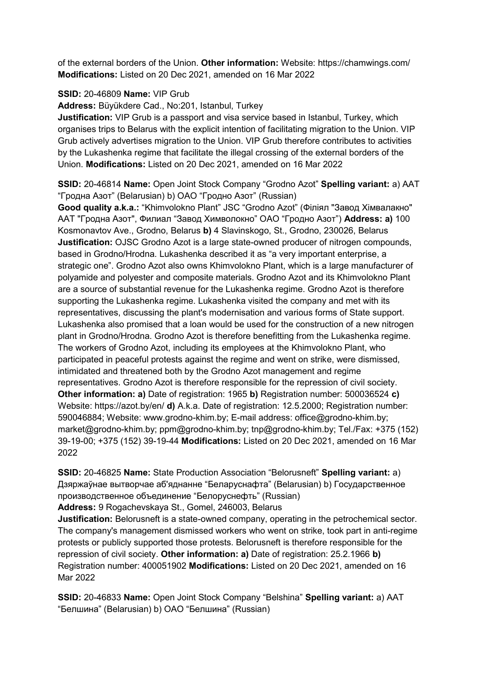of the external borders of the Union. **Other information:** Website: https://chamwings.com/ **Modifications:** Listed on 20 Dec 2021, amended on 16 Mar 2022

### **SSID:** 20-46809 **Name:** VIP Grub

**Address:** Büyükdere Cad., No:201, Istanbul, Turkey

**Justification:** VIP Grub is a passport and visa service based in Istanbul, Turkey, which organises trips to Belarus with the explicit intention of facilitating migration to the Union. VIP Grub actively advertises migration to the Union. VIP Grub therefore contributes to activities by the Lukashenka regime that facilitate the illegal crossing of the external borders of the Union. **Modifications:** Listed on 20 Dec 2021, amended on 16 Mar 2022

**SSID:** 20-46814 **Name:** Open Joint Stock Company "Grodno Azot" **Spelling variant:** a) ААТ "Гродна Азот" (Belarusian) b) ОАО "Гродно Азот" (Russian)

**Good quality a.k.a.:** "Khimvolokno Plant" JSC "Grodno Azot" (Фiлiял "Завод Хiмвалакно" ААТ "Гродна Азот", Филиал "Завод Химволокно" ОАО "Гродно Азот") **Address: a)** 100 Kosmonavtov Ave., Grodno, Belarus **b)** 4 Slavinskogo, St., Grodno, 230026, Belarus **Justification:** OJSC Grodno Azot is a large state-owned producer of nitrogen compounds, based in Grodno/Hrodna. Lukashenka described it as "a very important enterprise, a strategic one". Grodno Azot also owns Khimvolokno Plant, which is a large manufacturer of polyamide and polyester and composite materials. Grodno Azot and its Khimvolokno Plant are a source of substantial revenue for the Lukashenka regime. Grodno Azot is therefore supporting the Lukashenka regime. Lukashenka visited the company and met with its representatives, discussing the plant's modernisation and various forms of State support. Lukashenka also promised that a loan would be used for the construction of a new nitrogen plant in Grodno/Hrodna. Grodno Azot is therefore benefitting from the Lukashenka regime. The workers of Grodno Azot, including its employees at the Khimvolokno Plant, who participated in peaceful protests against the regime and went on strike, were dismissed, intimidated and threatened both by the Grodno Azot management and regime representatives. Grodno Azot is therefore responsible for the repression of civil society. **Other information: a)** Date of registration: 1965 **b)** Registration number: 500036524 **c)**  Website: https://azot.by/en/ **d)** A.k.a. Date of registration: 12.5.2000; Registration number: 590046884; Website: www.grodno-khim.by; E-mail address: office@grodno-khim.by; market@grodno-khim.by; ppm@grodno-khim.by; tnp@grodno-khim.by; Tel./Fax: +375 (152) 39-19-00; +375 (152) 39-19-44 **Modifications:** Listed on 20 Dec 2021, amended on 16 Mar 2022

**SSID:** 20-46825 **Name:** State Production Association "Belorusneft" **Spelling variant:** a) Дзяржаўнае вытворчае аб'яднанне "Беларуснафта" (Belarusian) b) Государственное производственное объединение "Белоруснефть" (Russian) **Address:** 9 Rogachevskaya St., Gomel, 246003, Belarus

**Justification:** Belorusneft is a state-owned company, operating in the petrochemical sector. The company's management dismissed workers who went on strike, took part in anti-regime protests or publicly supported those protests. Belorusneft is therefore responsible for the repression of civil society. **Other information: a)** Date of registration: 25.2.1966 **b)**  Registration number: 400051902 **Modifications:** Listed on 20 Dec 2021, amended on 16 Mar 2022

**SSID:** 20-46833 **Name:** Open Joint Stock Company "Belshina" **Spelling variant:** a) AAT "Белшина" (Belarusian) b) ОАО "Белшина" (Russian)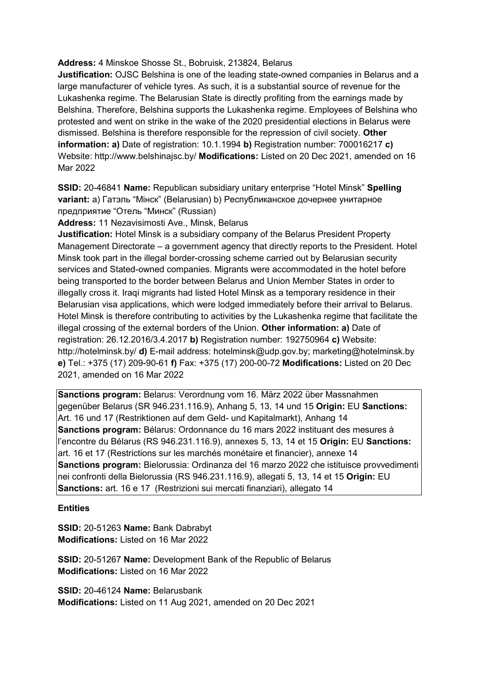### **Address:** 4 Minskoe Shosse St., Bobruisk, 213824, Belarus

**Justification:** OJSC Belshina is one of the leading state-owned companies in Belarus and a large manufacturer of vehicle tyres. As such, it is a substantial source of revenue for the Lukashenka regime. The Belarusian State is directly profiting from the earnings made by Belshina. Therefore, Belshina supports the Lukashenka regime. Employees of Belshina who protested and went on strike in the wake of the 2020 presidential elections in Belarus were dismissed. Belshina is therefore responsible for the repression of civil society. **Other information: a)** Date of registration: 10.1.1994 **b)** Registration number: 700016217 **c)**  Website: http://www.belshinajsc.by/ **Modifications:** Listed on 20 Dec 2021, amended on 16 Mar 2022

**SSID:** 20-46841 **Name:** Republican subsidiary unitary enterprise "Hotel Minsk" **Spelling variant:** a) Гатэль "Мiнск" (Belarusian) b) Республиканское дочернее унитарное предприятие "Отель "Минск" (Russian)

**Address:** 11 Nezavisimosti Ave., Minsk, Belarus

**Justification:** Hotel Minsk is a subsidiary company of the Belarus President Property Management Directorate – a government agency that directly reports to the President. Hotel Minsk took part in the illegal border-crossing scheme carried out by Belarusian security services and Stated-owned companies. Migrants were accommodated in the hotel before being transported to the border between Belarus and Union Member States in order to illegally cross it. Iraqi migrants had listed Hotel Minsk as a temporary residence in their Belarusian visa applications, which were lodged immediately before their arrival to Belarus. Hotel Minsk is therefore contributing to activities by the Lukashenka regime that facilitate the illegal crossing of the external borders of the Union. **Other information: a)** Date of registration: 26.12.2016/3.4.2017 **b)** Registration number: 192750964 **c)** Website: http://hotelminsk.by/ **d)** E-mail address: hotelminsk@udp.gov.by; marketing@hotelminsk.by **e)** Tel.: +375 (17) 209-90-61 **f)** Fax: +375 (17) 200-00-72 **Modifications:** Listed on 20 Dec 2021, amended on 16 Mar 2022

**Sanctions program:** Belarus: Verordnung vom 16. März 2022 über Massnahmen gegenüber Belarus (SR 946.231.116.9), Anhang 5, 13, 14 und 15 **Origin:** EU **Sanctions:** Art. 16 und 17 (Restriktionen auf dem Geld- und Kapitalmarkt), Anhang 14 **Sanctions program:** Bélarus: Ordonnance du 16 mars 2022 instituant des mesures à l'encontre du Bélarus (RS 946.231.116.9), annexes 5, 13, 14 et 15 **Origin:** EU **Sanctions:** art. 16 et 17 (Restrictions sur les marchés monétaire et financier), annexe 14 **Sanctions program:** Bielorussia: Ordinanza del 16 marzo 2022 che istituisce provvedimenti nei confronti della Bielorussia (RS 946.231.116.9), allegati 5, 13, 14 et 15 **Origin:** EU **Sanctions:** art. 16 e 17 (Restrizioni sui mercati finanziari), allegato 14

**Entities**

**SSID:** 20-51263 **Name:** Bank Dabrabyt **Modifications:** Listed on 16 Mar 2022

**SSID:** 20-51267 **Name:** Development Bank of the Republic of Belarus **Modifications:** Listed on 16 Mar 2022

**SSID:** 20-46124 **Name:** Belarusbank **Modifications:** Listed on 11 Aug 2021, amended on 20 Dec 2021